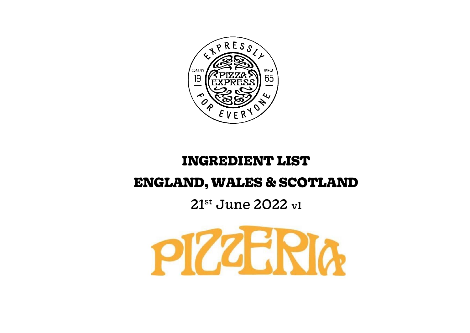

# **INGREDIENT LIST**

# **ENGLAND, WALES & SCOTLAND**

# 21<sup>st</sup> June 2022 v1

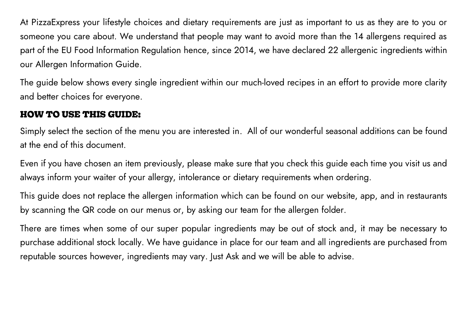At PizzaExpress your lifestyle choices and dietary requirements are just as important to us as they are to you or someone you care about. We understand that people may want to avoid more than the 14 allergens required as part of the EU Food Information Regulation hence, since 2014, we have declared 22 allergenic ingredients within our Allergen Information Guide.

The guide below shows every single ingredient within our much-loved recipes in an effort to provide more clarity and better choices for everyone.

#### **HOW TO USE THIS GUIDE:**

Simply select the section of the menu you are interested in. All of our wonderful seasonal additions can be found at the end of this document.

Even if you have chosen an item previously, please make sure that you check this guide each time you visit us and always inform your waiter of your allergy, intolerance or dietary requirements when ordering.

This guide does not replace the allergen information which can be found on our website, app, and in restaurants by scanning the QR code on our menus or, by asking our team for the allergen folder.

There are times when some of our super popular ingredients may be out of stock and, it may be necessary to purchase additional stock locally. We have guidance in place for our team and all ingredients are purchased from reputable sources however, ingredients may vary. Just Ask and we will be able to advise.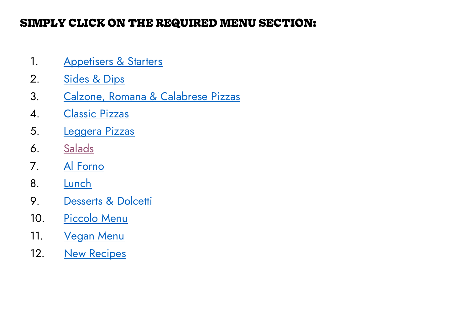# **SIMPLY CLICK ON THE REQUIRED MENU SECTION:**

- 1. [Appetisers & Starters](#page-3-0)
- 2. Sides [& Dips](#page-6-0)
- 3. [Calzone, Romana & Calabrese Pizzas](#page-9-0)
- 4. [Classic Pizzas](#page-14-0)
- 5. [Leggera Pizzas](#page-19-0)
- 6. [Salads](#page-24-0)
- 7. [Al Forno](#page-27-0)
- 8. [Lunch](#page-29-0)
- 9. [Desserts & Dolcetti](#page-38-0)
- 10. [Piccolo Menu](#page-43-0)
- 11. [Vegan Menu](#page-49-0)
- 12. [New Recipes](#page-63-0)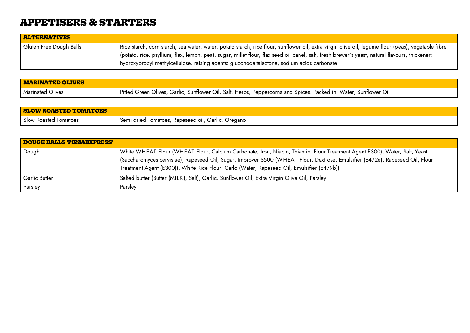### <span id="page-3-0"></span>**APPETISERS & STARTERS**

| ALTERNATIVES            |                                                                                                                                                    |
|-------------------------|----------------------------------------------------------------------------------------------------------------------------------------------------|
| Gluten Free Dough Balls | Rice starch, corn starch, sea water, water, potato starch, rice flour, sunflower oil, extra virgin olive oil, legume flour (peas), vegetable fibre |
|                         | potato, rice, psyllium, flax, lemon, pea), sugar, millet flour, flax seed oil panel, salt, fresh brewer's yeast, natural flavours, thickener:      |
|                         | hydroxypropyl methylcellulose. raising agents: gluconodeltalactone, sodium acids carbonate                                                         |

| <b>MARINATED OLIVES</b> |                                                                                                                  |
|-------------------------|------------------------------------------------------------------------------------------------------------------|
| <b>Marinated Olives</b> | Pitted Green Olives, Garlic, Sunflower Oil, Salt, Herbs, Peppercorns and Spices. Packed in: Water, Sunflower Oil |

| <b>SLOW ROASTED TOMATOES</b> |                                                                |
|------------------------------|----------------------------------------------------------------|
| Slow Roasted Tomatoes        | ' Semi dried Tomatoes, Rapeseed oil, Garlic,<br><b>Oregano</b> |

| <b>DOUGH BALLS 'PIZZAEXPRESS'</b> |                                                                                                                                                                                                                                                                                                                                                                     |
|-----------------------------------|---------------------------------------------------------------------------------------------------------------------------------------------------------------------------------------------------------------------------------------------------------------------------------------------------------------------------------------------------------------------|
| Dough                             | White WHEAT Flour (WHEAT Flour, Calcium Carbonate, Iron, Niacin, Thiamin, Flour Treatment Agent E300), Water, Salt, Yeast<br>$^{\rm !}$ (Saccharomyces cervisiae), Rapeseed Oil, Sugar, Improver S500 (WHEAT Flour, Dextrose, Emulsifier (E472e), Rapeseed Oil, Flour<br>Treatment Agent (E300)), White Rice Flour, Carlo (Water, Rapeseed Oil, Emulsifier (E479b)) |
| Garlic Butter                     | Salted butter (Butter (MILK), Salt), Garlic, Sunflower Oil, Extra Virgin Olive Oil, Parsley                                                                                                                                                                                                                                                                         |
| Parsley                           | Parsley                                                                                                                                                                                                                                                                                                                                                             |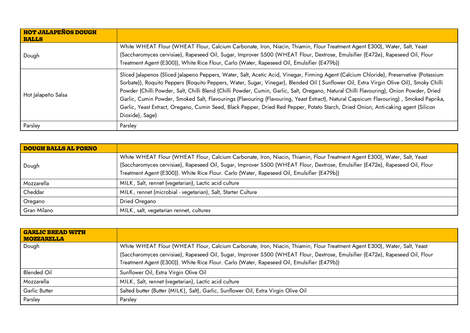| <b>HOT JALAPEÑOS DOUGH</b><br><b>BALLS</b> |                                                                                                                                                                                                                                                                                                                                                                                                                                                                                                                                                                                                                                                                                                                                |
|--------------------------------------------|--------------------------------------------------------------------------------------------------------------------------------------------------------------------------------------------------------------------------------------------------------------------------------------------------------------------------------------------------------------------------------------------------------------------------------------------------------------------------------------------------------------------------------------------------------------------------------------------------------------------------------------------------------------------------------------------------------------------------------|
| Dough                                      | White WHEAT Flour (WHEAT Flour, Calcium Carbonate, Iron, Niacin, Thiamin, Flour Treatment Agent E300), Water, Salt, Yeast<br>(Saccharomyces cervisiae), Rapeseed Oil, Sugar, Improver S500 (WHEAT Flour, Dextrose, Emulsifier (E472e), Rapeseed Oil, Flour<br>Treatment Agent (E300)), White Rice Flour, Carlo (Water, Rapeseed Oil, Emulsifier (E479b))                                                                                                                                                                                                                                                                                                                                                                       |
| Hot Jalapeño Salsa                         | Sliced Jalapenos (Sliced Jalapeno Peppers, Water, Salt, Acetic Acid, Vinegar, Firming Agent (Calcium Chloride), Preservative (Potassium<br>Sorbate)), Roquito Peppers (Roquito Peppers, Water, Sugar, Vinegar), Blended Oil (Sunflower Oil, Extra Virgin Olive Oil), Smoky Chilli<br>Powder (Chilli Powder, Salt, Chilli Blend (Chilli Powder, Cumin, Garlic, Salt, Oregano, Natural Chilli Flavouring), Onion Powder, Dried<br>Garlic, Cumin Powder, Smoked Salt, Flavourings (Flavouring (Flavouring, Yeast Extract), Natural Capsicum Flavouring), Smoked Paprika,<br>Garlic, Yeast Extract, Oregano, Cumin Seed, Black Pepper, Dried Red Pepper, Potato Starch, Dried Onion, Anti-caking agent (Silicon<br>Dioxide), Sage) |
| Parsley                                    | Parsley                                                                                                                                                                                                                                                                                                                                                                                                                                                                                                                                                                                                                                                                                                                        |

| <b>DOUGH BALLS AL FORNO</b> |                                                                                                                                                                                                                                                                                                                                                          |
|-----------------------------|----------------------------------------------------------------------------------------------------------------------------------------------------------------------------------------------------------------------------------------------------------------------------------------------------------------------------------------------------------|
| Dough                       | White WHEAT Flour (WHEAT Flour, Calcium Carbonate, Iron, Niacin, Thiamin, Flour Treatment Agent E300), Water, Salt, Yeast<br>(Saccharomyces cervisiae), Rapeseed Oil, Sugar, Improver S500 (WHEAT Flour, Dextrose, Emulsifier (E472e), Rapeseed Oil, Flour<br>Treatment Agent (E300)). White Rice Flour. Carlo (Water, Rapeseed Oil, Emulsifier (E479b)) |
| Mozzarella                  | MILK, Salt, rennet (vegetarian), Lactic acid culture                                                                                                                                                                                                                                                                                                     |
| Cheddar                     | MILK, rennet (microbial - vegetarian), Salt, Starter Culture                                                                                                                                                                                                                                                                                             |
| Oregano                     | Dried Oregano                                                                                                                                                                                                                                                                                                                                            |
| Gran Milano                 | MILK, salt, vegetarian rennet, cultures                                                                                                                                                                                                                                                                                                                  |

| <b>GARLIC BREAD WITH</b><br><b>MOZZARELLA</b> |                                                                                                                               |
|-----------------------------------------------|-------------------------------------------------------------------------------------------------------------------------------|
| Dough                                         | White WHEAT Flour (WHEAT Flour, Calcium Carbonate, Iron, Niacin, Thiamin, Flour Treatment Agent E300), Water, Salt, Yeast     |
|                                               | (Saccharomyces cervisiae), Rapeseed Oil, Sugar, Improver S500 (WHEAT Flour, Dextrose, Emulsifier (E472e), Rapeseed Oil, Flour |
|                                               | Treatment Agent (E300)). White Rice Flour. Carlo (Water, Rapeseed Oil, Emulsifier (E479b))                                    |
| <b>Blended Oil</b>                            | Sunflower Oil, Extra Virgin Olive Oil                                                                                         |
| Mozzarella                                    | MILK, Salt, rennet (vegetarian), Lactic acid culture                                                                          |
| <b>Garlic Butter</b>                          | Salted butter (Butter (MILK), Salt), Garlic, Sunflower Oil, Extra Virgin Olive Oil                                            |
| Parsley                                       | Parsley                                                                                                                       |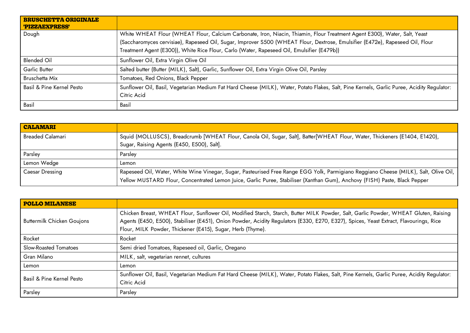| <b>BRUSCHETTA ORIGINALE</b><br>'PIZZAEXPRESS' |                                                                                                                                                                                                                                                                                                                                                          |
|-----------------------------------------------|----------------------------------------------------------------------------------------------------------------------------------------------------------------------------------------------------------------------------------------------------------------------------------------------------------------------------------------------------------|
| Dough                                         | White WHEAT Flour (WHEAT Flour, Calcium Carbonate, Iron, Niacin, Thiamin, Flour Treatment Agent E300), Water, Salt, Yeast<br>(Saccharomyces cervisiae), Rapeseed Oil, Sugar, Improver S500 (WHEAT Flour, Dextrose, Emulsifier (E472e), Rapeseed Oil, Flour<br>Treatment Agent (E300)), White Rice Flour, Carlo (Water, Rapeseed Oil, Emulsifier (E479b)) |
| <b>Blended Oil</b>                            | Sunflower Oil, Extra Virgin Olive Oil                                                                                                                                                                                                                                                                                                                    |
| Garlic Butter                                 | Salted butter (Butter (MILK), Salt), Garlic, Sunflower Oil, Extra Virgin Olive Oil, Parsley                                                                                                                                                                                                                                                              |
| Bruschetta Mix                                | Tomatoes, Red Onions, Black Pepper                                                                                                                                                                                                                                                                                                                       |
| Basil & Pine Kernel Pesto                     | Sunflower Oil, Basil, Vegetarian Medium Fat Hard Cheese (MILK), Water, Potato Flakes, Salt, Pine Kernels, Garlic Puree, Acidity Regulator:<br>Citric Acid                                                                                                                                                                                                |
| Basil                                         | Basil                                                                                                                                                                                                                                                                                                                                                    |

| <b>CALAMARI</b>  |                                                                                                                                                                                                                                                                    |
|------------------|--------------------------------------------------------------------------------------------------------------------------------------------------------------------------------------------------------------------------------------------------------------------|
| Breaded Calamari | Squid (MOLLUSCS), Breadcrumb [WHEAT Flour, Canola Oil, Sugar, Salt], Batter[WHEAT Flour, Water, Thickeners (E1404, E1420),                                                                                                                                         |
|                  | Sugar, Raising Agents (E450, E500), Salt].                                                                                                                                                                                                                         |
| Parsley          | Parsley                                                                                                                                                                                                                                                            |
| Lemon Wedge      | Lemon                                                                                                                                                                                                                                                              |
| Caesar Dressing  | Rapeseed Oil, Water, White Wine Vinegar, Sugar, Pasteurised Free Range EGG Yolk, Parmigiano Reggiano Cheese (MILK), Salt, Olive Oil,<br>Yellow MUSTARD Flour, Concentrated Lemon Juice, Garlic Puree, Stabiliser (Xanthan Gum), Anchovy (FISH) Paste, Black Pepper |

| <b>POLLO MILANESE</b>             |                                                                                                                                                                                                                                                                                                                                            |
|-----------------------------------|--------------------------------------------------------------------------------------------------------------------------------------------------------------------------------------------------------------------------------------------------------------------------------------------------------------------------------------------|
| <b>Buttermilk Chicken Goujons</b> | Chicken Breast, WHEAT Flour, Sunflower Oil, Modified Starch, Starch, Butter MILK Powder, Salt, Garlic Powder, WHEAT Gluten, Raising<br>Agents (E450, E500), Stabiliser (E451), Onion Powder, Acidity Regulators (E330, E270, E327), Spices, Yeast Extract, Flavourings, Rice<br>Flour, MILK Powder, Thickener (E415), Sugar, Herb (Thyme). |
| Rocket                            | Rocket                                                                                                                                                                                                                                                                                                                                     |
| Slow-Roasted Tomatoes             | Semi dried Tomatoes, Rapeseed oil, Garlic, Oregano                                                                                                                                                                                                                                                                                         |
| Gran Milano                       | MILK, salt, vegetarian rennet, cultures                                                                                                                                                                                                                                                                                                    |
| Lemon                             | Lemon                                                                                                                                                                                                                                                                                                                                      |
| Basil & Pine Kernel Pesto         | Sunflower Oil, Basil, Vegetarian Medium Fat Hard Cheese (MILK), Water, Potato Flakes, Salt, Pine Kernels, Garlic Puree, Acidity Regulator:<br>Citric Acid                                                                                                                                                                                  |
| Parsley                           | Parsley                                                                                                                                                                                                                                                                                                                                    |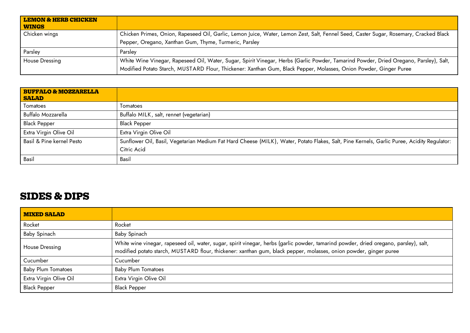| <b>LEMON &amp; HERB CHICKEN</b><br><b>WINGS</b> |                                                                                                                                                                                                                                                            |
|-------------------------------------------------|------------------------------------------------------------------------------------------------------------------------------------------------------------------------------------------------------------------------------------------------------------|
| Chicken wings                                   | Chicken Primes, Onion, Rapeseed Oil, Garlic, Lemon Juice, Water, Lemon Zest, Salt, Fennel Seed, Caster Sugar, Rosemary, Cracked Black                                                                                                                      |
|                                                 | Pepper, Oregano, Xanthan Gum, Thyme, Turmeric, Parsley                                                                                                                                                                                                     |
| Parsley                                         | Parsley                                                                                                                                                                                                                                                    |
| <b>House Dressing</b>                           | White Wine Vinegar, Rapeseed Oil, Water, Sugar, Spirit Vinegar, Herbs (Garlic Powder, Tamarind Powder, Dried Oregano, Parsley), Salt,<br>Modified Potato Starch, MUSTARD Flour, Thickener: Xanthan Gum, Black Pepper, Molasses, Onion Powder, Ginger Puree |

| <b>BUFFALO &amp; MOZZARELLA</b><br><b>SALAD</b> |                                                                                                                                                           |
|-------------------------------------------------|-----------------------------------------------------------------------------------------------------------------------------------------------------------|
| Tomatoes                                        | Tomatoes                                                                                                                                                  |
| Buffalo Mozzarella                              | Buffalo MILK, salt, rennet (vegetarian)                                                                                                                   |
| <b>Black Pepper</b>                             | <b>Black Pepper</b>                                                                                                                                       |
| Extra Virgin Olive Oil                          | Extra Virgin Olive Oil                                                                                                                                    |
| Basil & Pine kernel Pesto                       | Sunflower Oil, Basil, Vegetarian Medium Fat Hard Cheese (MILK), Water, Potato Flakes, Salt, Pine Kernels, Garlic Puree, Acidity Regulator:<br>Citric Acid |
| Basil                                           | Basil                                                                                                                                                     |

#### <span id="page-6-0"></span>**SIDES & DIPS**

| <b>MIXED SALAD</b>        |                                                                                                                                                                                                                                                            |
|---------------------------|------------------------------------------------------------------------------------------------------------------------------------------------------------------------------------------------------------------------------------------------------------|
| Rocket                    | Rocket                                                                                                                                                                                                                                                     |
| <b>Baby Spinach</b>       | Baby Spinach                                                                                                                                                                                                                                               |
| House Dressing            | White wine vinegar, rapeseed oil, water, sugar, spirit vinegar, herbs (garlic powder, tamarind powder, dried oregano, parsley), salt,<br>modified potato starch, MUSTARD flour, thickener: xanthan gum, black pepper, molasses, onion powder, ginger puree |
| Cucumber                  | Cucumber                                                                                                                                                                                                                                                   |
| <b>Baby Plum Tomatoes</b> | <b>Baby Plum Tomatoes</b>                                                                                                                                                                                                                                  |
| Extra Virgin Olive Oil    | Extra Virgin Olive Oil                                                                                                                                                                                                                                     |
| <b>Black Pepper</b>       | <b>Black Pepper</b>                                                                                                                                                                                                                                        |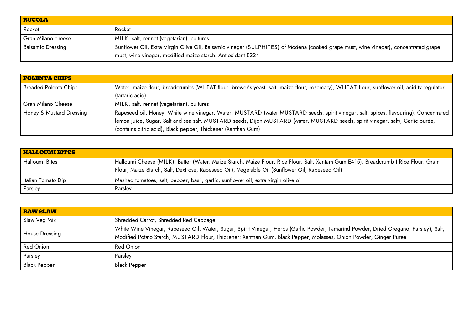| <b>RUCOLA</b>             |                                                                                                                                     |
|---------------------------|-------------------------------------------------------------------------------------------------------------------------------------|
| Rocket                    | Rocket                                                                                                                              |
| <b>Gran Milano cheese</b> | MILK, salt, rennet (vegetarian), cultures                                                                                           |
| <b>Balsamic Dressing</b>  | Sunflower Oil, Extra Virgin Olive Oil, Balsamic vinegar (SULPHITES) of Modena (cooked grape must, wine vinegar), concentrated grape |
|                           | must, wine vinegar, modified maize starch. Antioxidant E224                                                                         |

| <b>POLENTA CHIPS</b>         |                                                                                                                                                                                                                                                                                                                                           |
|------------------------------|-------------------------------------------------------------------------------------------------------------------------------------------------------------------------------------------------------------------------------------------------------------------------------------------------------------------------------------------|
| <b>Breaded Polenta Chips</b> | Water, maize flour, breadcrumbs (WHEAT flour, brewer's yeast, salt, maize flour, rosemary), WHEAT flour, sunflower oil, acidity regulator<br>(tartaric acid)                                                                                                                                                                              |
| Gran Milano Cheese           | MILK, salt, rennet (vegetarian), cultures                                                                                                                                                                                                                                                                                                 |
| Honey & Mustard Dressing     | Rapeseed oil, Honey, White wine vinegar, Water, MUSTARD (water MUSTARD seeds, spirit vinegar, salt, spices, flavouring), Concentrated<br>lemon juice, Sugar, Salt and sea salt, MUSTARD seeds, Dijon MUSTARD (water, MUSTARD seeds, spirit vinegar, salt), Garlic purée,<br>(contains citric acid), Black pepper, Thickener (Xanthan Gum) |

| <b>HALLOUMI BITES</b> |                                                                                                                                                                                                                                       |
|-----------------------|---------------------------------------------------------------------------------------------------------------------------------------------------------------------------------------------------------------------------------------|
| <b>Halloumi Bites</b> | Halloumi Cheese (MILK), Batter (Water, Maize Starch, Maize Flour, Rice Flour, Salt, Xantam Gum E415), Breadcrumb (Rice Flour, Gram<br>Flour, Maize Starch, Salt, Dextrose, Rapeseed Oil), Vegetable Oil (Sunflower Oil, Rapeseed Oil) |
| Italian Tomato Dip    | Mashed tomatoes, salt, pepper, basil, garlic, sunflower oil, extra virgin olive oil                                                                                                                                                   |
| Parsley               | Parsley                                                                                                                                                                                                                               |

| <b>RAW SLAW</b>     |                                                                                                                                                                                                                                                            |
|---------------------|------------------------------------------------------------------------------------------------------------------------------------------------------------------------------------------------------------------------------------------------------------|
| Slaw Veg Mix        | Shredded Carrot, Shredded Red Cabbage                                                                                                                                                                                                                      |
| House Dressing      | White Wine Vinegar, Rapeseed Oil, Water, Sugar, Spirit Vinegar, Herbs (Garlic Powder, Tamarind Powder, Dried Oregano, Parsley), Salt,<br>Modified Potato Starch, MUSTARD Flour, Thickener: Xanthan Gum, Black Pepper, Molasses, Onion Powder, Ginger Puree |
| <b>Red Onion</b>    | Red Onion                                                                                                                                                                                                                                                  |
| Parsley             | Parsley                                                                                                                                                                                                                                                    |
| <b>Black Pepper</b> | <b>Black Pepper</b>                                                                                                                                                                                                                                        |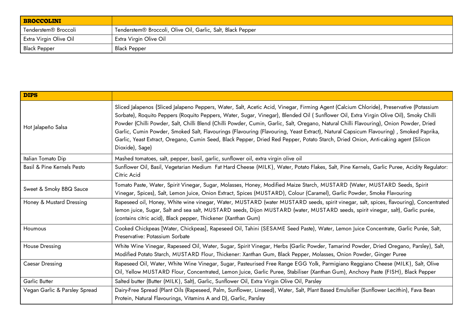| BROCCOLINI                       |                                                             |
|----------------------------------|-------------------------------------------------------------|
| Tenderstem <sup>®</sup> Broccoli | Tenderstem® Broccoli, Olive Oil, Garlic, Salt, Black Pepper |
| Extra Virgin Olive Oil           | Extra Virgin Olive Oil                                      |
| Black Pepper                     | <b>Black Pepper</b>                                         |

| <b>DIPS</b>                   |                                                                                                                                                                                                                                                                                                                                                                                                                                                                                                                                                                                                                                                                                                                               |
|-------------------------------|-------------------------------------------------------------------------------------------------------------------------------------------------------------------------------------------------------------------------------------------------------------------------------------------------------------------------------------------------------------------------------------------------------------------------------------------------------------------------------------------------------------------------------------------------------------------------------------------------------------------------------------------------------------------------------------------------------------------------------|
| Hot Jalapeño Salsa            | Sliced Jalapenos (Sliced Jalapeno Peppers, Water, Salt, Acetic Acid, Vinegar, Firming Agent (Calcium Chloride), Preservative (Potassium<br>Sorbate), Roquito Peppers (Roquito Peppers, Water, Sugar, Vinegar), Blended Oil (Sunflower Oil, Extra Virgin Olive Oil), Smoky Chilli<br>Powder (Chilli Powder, Salt, Chilli Blend (Chilli Powder, Cumin, Garlic, Salt, Oregano, Natural Chilli Flavouring), Onion Powder, Dried<br>Garlic, Cumin Powder, Smoked Salt, Flavourings (Flavouring (Flavouring, Yeast Extract), Natural Capsicum Flavouring), Smoked Paprika,<br>Garlic, Yeast Extract, Oregano, Cumin Seed, Black Pepper, Dried Red Pepper, Potato Starch, Dried Onion, Anti-caking agent (Silicon<br>Dioxide), Sage) |
| Italian Tomato Dip            | Mashed tomatoes, salt, pepper, basil, garlic, sunflower oil, extra virgin olive oil                                                                                                                                                                                                                                                                                                                                                                                                                                                                                                                                                                                                                                           |
| Basil & Pine Kernels Pesto    | Sunflower Oil, Basil, Vegetarian Medium Fat Hard Cheese (MILK), Water, Potato Flakes, Salt, Pine Kernels, Garlic Puree, Acidity Regulator:<br>Citric Acid                                                                                                                                                                                                                                                                                                                                                                                                                                                                                                                                                                     |
| Sweet & Smoky BBQ Sauce       | Tomato Paste, Water, Spirit Vinegar, Sugar, Molasses, Honey, Modified Maize Starch, MUSTARD (Water, MUSTARD Seeds, Spirit<br>Vinegar, Spices), Salt, Lemon Juice, Onion Extract, Spices (MUSTARD), Colour (Caramel), Garlic Powder, Smoke Flavouring                                                                                                                                                                                                                                                                                                                                                                                                                                                                          |
| Honey & Mustard Dressing      | Rapeseed oil, Honey, White wine vinegar, Water, MUSTARD (water MUSTARD seeds, spirit vinegar, salt, spices, flavouring), Concentrated<br>lemon juice, Sugar, Salt and sea salt, MUSTARD seeds, Dijon MUSTARD (water, MUSTARD seeds, spirit vinegar, salt), Garlic purée,<br>(contains citric acid), Black pepper, Thickener (Xanthan Gum)                                                                                                                                                                                                                                                                                                                                                                                     |
| Houmous                       | Cooked Chickpeas [Water, Chickpeas], Rapeseed Oil, Tahini (SESAME Seed Paste), Water, Lemon Juice Concentrate, Garlic Purée, Salt,<br>Preservative: Potassium Sorbate                                                                                                                                                                                                                                                                                                                                                                                                                                                                                                                                                         |
| <b>House Dressing</b>         | White Wine Vinegar, Rapeseed Oil, Water, Sugar, Spirit Vinegar, Herbs (Garlic Powder, Tamarind Powder, Dried Oregano, Parsley), Salt,<br>Modified Potato Starch, MUSTARD Flour, Thickener: Xanthan Gum, Black Pepper, Molasses, Onion Powder, Ginger Puree                                                                                                                                                                                                                                                                                                                                                                                                                                                                    |
| Caesar Dressing               | Rapeseed Oil, Water, White Wine Vinegar, Sugar, Pasteurised Free Range EGG Yolk, Parmigiano Reggiano Cheese (MILK), Salt, Olive<br>Oil, Yellow MUSTARD Flour, Concentrated, Lemon Juice, Garlic Puree, Stabiliser (Xanthan Gum), Anchovy Paste (FISH), Black Pepper                                                                                                                                                                                                                                                                                                                                                                                                                                                           |
| Garlic Butter                 | Salted butter (Butter (MILK), Salt), Garlic, Sunflower Oil, Extra Virgin Olive Oil, Parsley                                                                                                                                                                                                                                                                                                                                                                                                                                                                                                                                                                                                                                   |
| Vegan Garlic & Parsley Spread | Dairy-Free Spread (Plant Oils (Rapeseed, Palm, Sunflower, Linseed), Water, Salt, Plant Based Emulsifier (Sunflower Lecithin), Fava Bean<br>Protein, Natural Flavourings, Vitamins A and D), Garlic, Parsley                                                                                                                                                                                                                                                                                                                                                                                                                                                                                                                   |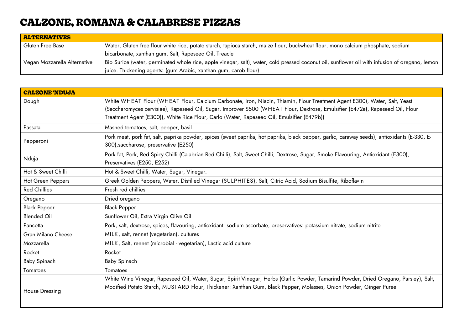# <span id="page-9-0"></span>**CALZONE, ROMANA & CALABRESE PIZZAS**

| <b>ALTERNATIVES</b>          |                                                                                                                                                |
|------------------------------|------------------------------------------------------------------------------------------------------------------------------------------------|
| Gluten Free Base             | Water, Gluten free flour white rice, potato starch, tapioca starch, maize flour, buckwheat flour, mono calcium phosphate, sodium               |
|                              | bicarbonate, xanthan gum, Salt, Rapeseed Oil, Treacle                                                                                          |
| Vegan Mozzarella Alternative | Bio Surice (water, germinated whole rice, apple vinegar, salt), water, cold pressed coconut oil, sunflower oil with infusion of oregano, lemon |
|                              | juice. Thickening agents: (gum Arabic, xanthan gum, carob flour)                                                                               |

| <b>CALZONE 'NDUJA</b> |                                                                                                                                                                                                                                                            |
|-----------------------|------------------------------------------------------------------------------------------------------------------------------------------------------------------------------------------------------------------------------------------------------------|
| Dough                 | White WHEAT Flour (WHEAT Flour, Calcium Carbonate, Iron, Niacin, Thiamin, Flour Treatment Agent E300), Water, Salt, Yeast<br>(Saccharomyces cervisiae), Rapeseed Oil, Sugar, Improver S500 (WHEAT Flour, Dextrose, Emulsifier (E472e), Rapeseed Oil, Flour |
|                       | Treatment Agent (E300)), White Rice Flour, Carlo (Water, Rapeseed Oil, Emulsifier (E479b))                                                                                                                                                                 |
| Passata               | Mashed tomatoes, salt, pepper, basil                                                                                                                                                                                                                       |
| Pepperoni             | Pork meat, pork fat, salt, paprika powder, spices (sweet paprika, hot paprika, black pepper, garlic, caraway seeds), antioxidants (E-330, E-<br>300), saccharose, preservative (E250)                                                                      |
| Nduja                 | Pork fat, Pork, Red Spicy Chilli (Calabrian Red Chilli), Salt, Sweet Chilli, Dextrose, Sugar, Smoke Flavouring, Antioxidant (E300),<br>Preservatives (E250, E252)                                                                                          |
| Hot & Sweet Chilli    | Hot & Sweet Chilli, Water, Sugar, Vinegar.                                                                                                                                                                                                                 |
| Hot Green Peppers     | Greek Golden Peppers, Water, Distilled Vinegar (SULPHITES), Salt, Citric Acid, Sodium Bisulfite, Riboflavin                                                                                                                                                |
| <b>Red Chillies</b>   | Fresh red chillies                                                                                                                                                                                                                                         |
| Oregano               | Dried oregano                                                                                                                                                                                                                                              |
| <b>Black Pepper</b>   | <b>Black Pepper</b>                                                                                                                                                                                                                                        |
| <b>Blended Oil</b>    | Sunflower Oil, Extra Virgin Olive Oil                                                                                                                                                                                                                      |
| Pancetta              | Pork, salt, dextrose, spices, flavouring, antioxidant: sodium ascorbate, preservatives: potassium nitrate, sodium nitrite                                                                                                                                  |
| Gran Milano Cheese    | MILK, salt, rennet (vegetarian), cultures                                                                                                                                                                                                                  |
| Mozzarella            | MILK, Salt, rennet (microbial - vegetarian), Lactic acid culture                                                                                                                                                                                           |
| Rocket                | Rocket                                                                                                                                                                                                                                                     |
| Baby Spinach          | Baby Spinach                                                                                                                                                                                                                                               |
| Tomatoes              | Tomatoes                                                                                                                                                                                                                                                   |
| House Dressing        | White Wine Vinegar, Rapeseed Oil, Water, Sugar, Spirit Vinegar, Herbs (Garlic Powder, Tamarind Powder, Dried Oregano, Parsley), Salt,<br>Modified Potato Starch, MUSTARD Flour, Thickener: Xanthan Gum, Black Pepper, Molasses, Onion Powder, Ginger Puree |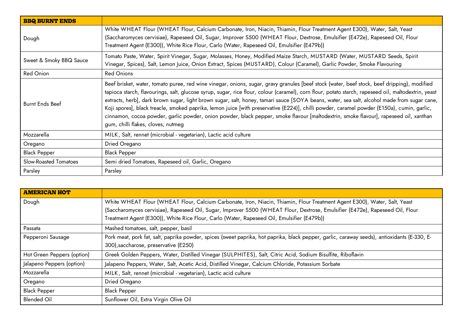| <b>BBQ BURNT ENDS</b>   |                                                                                                                                                                                                                                                                                                                                                                                                                                                                                                                                                                                                                                                                                                                                                                                |
|-------------------------|--------------------------------------------------------------------------------------------------------------------------------------------------------------------------------------------------------------------------------------------------------------------------------------------------------------------------------------------------------------------------------------------------------------------------------------------------------------------------------------------------------------------------------------------------------------------------------------------------------------------------------------------------------------------------------------------------------------------------------------------------------------------------------|
| Dough                   | White WHEAT Flour (WHEAT Flour, Calcium Carbonate, Iron, Niacin, Thiamin, Flour Treatment Agent E300), Water, Salt, Yeast<br>(Saccharomyces cervisiae), Rapeseed Oil, Sugar, Improver S500 (WHEAT Flour, Dextrose, Emulsifier (E472e), Rapeseed Oil, Flour<br>Treatment Agent (E300)), White Rice Flour, Carlo (Water, Rapeseed Oil, Emulsifier (E479b))                                                                                                                                                                                                                                                                                                                                                                                                                       |
| Sweet & Smoky BBQ Sauce | Tomato Paste, Water, Spirit Vinegar, Sugar, Molasses, Honey, Modified Maize Starch, MUSTARD (Water, MUSTARD Seeds, Spirit<br>Vinegar, Spices), Salt, Lemon Juice, Onion Extract, Spices (MUSTARD), Colour (Caramel), Garlic Powder, Smoke Flavouring                                                                                                                                                                                                                                                                                                                                                                                                                                                                                                                           |
| <b>Red Onion</b>        | <b>Red Onions</b>                                                                                                                                                                                                                                                                                                                                                                                                                                                                                                                                                                                                                                                                                                                                                              |
| <b>Burnt Ends Beef</b>  | Beef brisket, water, tomato puree, red wine vinegar, onions, sugar, gravy granules [beef stock (water, beef stock, beef dripping), modified<br>tapioca starch, flavourings, salt, glucose syrup, sugar, rice flour, colour (caramel), corn flour, potato starch, rapeseed oil, maltodextrin, yeast<br>extracts, herb], dark brown sugar, light brown sugar, salt, honey, tamari sauce [SOYA beans, water, sea salt, alcohol made from sugar cane,<br>Koji spores], black treacle, smoked paprika, lemon juice [with preservative (E224)], chilli powder, caramel powder (E150a), cumin, garlic,<br>cinnamon, cocoa powder, garlic powder, onion powder, black pepper, smoke flavour [maltodextrin, smoke flavour], rapeseed oil, xanthan<br>gum, chilli flakes, cloves, nutmeg |
| Mozzarella              | MILK, Salt, rennet (microbial - vegetarian), Lactic acid culture                                                                                                                                                                                                                                                                                                                                                                                                                                                                                                                                                                                                                                                                                                               |
| Oregano                 | Dried Oregano                                                                                                                                                                                                                                                                                                                                                                                                                                                                                                                                                                                                                                                                                                                                                                  |
| <b>Black Pepper</b>     | <b>Black Pepper</b>                                                                                                                                                                                                                                                                                                                                                                                                                                                                                                                                                                                                                                                                                                                                                            |
| Slow-Roasted Tomatoes   | Semi dried Tomatoes, Rapeseed oil, Garlic, Oregano                                                                                                                                                                                                                                                                                                                                                                                                                                                                                                                                                                                                                                                                                                                             |
| Parsley                 | Parsley                                                                                                                                                                                                                                                                                                                                                                                                                                                                                                                                                                                                                                                                                                                                                                        |

| <b>AMERICAN HOT</b>        |                                                                                                                                              |
|----------------------------|----------------------------------------------------------------------------------------------------------------------------------------------|
| Dough                      | White WHEAT Flour (WHEAT Flour, Calcium Carbonate, Iron, Niacin, Thiamin, Flour Treatment Agent E300), Water, Salt, Yeast                    |
|                            | (Saccharomyces cervisiae), Rapeseed Oil, Sugar, Improver S500 (WHEAT Flour, Dextrose, Emulsifier (E472e), Rapeseed Oil, Flour                |
|                            | Treatment Agent (E300)), White Rice Flour, Carlo (Water, Rapeseed Oil, Emulsifier (E479b))                                                   |
| Passata                    | Mashed tomatoes, salt, pepper, basil                                                                                                         |
| Pepperoni Sausage          | Pork meat, pork fat, salt, paprika powder, spices (sweet paprika, hot paprika, black pepper, garlic, caraway seeds), antioxidants (E-330, E- |
|                            | 300), saccharose, preservative (E250)                                                                                                        |
| Hot Green Peppers (option) | Greek Golden Peppers, Water, Distilled Vinegar (SULPHITES), Salt, Citric Acid, Sodium Bisulfite, Riboflavin                                  |
| Jalapeno Peppers (option)  | Jalapeno Peppers, Water, Salt, Acetic Acid, Distilled Vinegar, Calcium Chloride, Potassium Sorbate                                           |
| Mozzarella                 | MILK, Salt, rennet (microbial - vegetarian), Lactic acid culture                                                                             |
| Oregano                    | Dried Oregano                                                                                                                                |
| <b>Black Pepper</b>        | <b>Black Pepper</b>                                                                                                                          |
| <b>Blended Oil</b>         | Sunflower Oil, Extra Virgin Olive Oil                                                                                                        |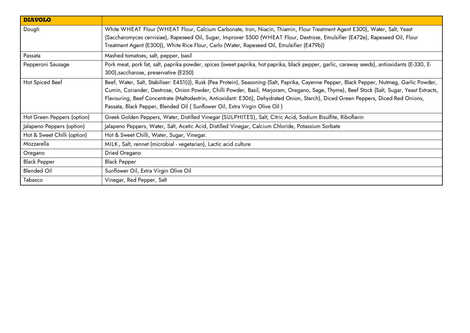| <b>DIAVOLO</b>              |                                                                                                                                                                                                                                                                                                                                                                                                                                                                                                             |
|-----------------------------|-------------------------------------------------------------------------------------------------------------------------------------------------------------------------------------------------------------------------------------------------------------------------------------------------------------------------------------------------------------------------------------------------------------------------------------------------------------------------------------------------------------|
| Dough                       | White WHEAT Flour (WHEAT Flour, Calcium Carbonate, Iron, Niacin, Thiamin, Flour Treatment Agent E300), Water, Salt, Yeast<br>(Saccharomyces cervisiae), Rapeseed Oil, Sugar, Improver S500 (WHEAT Flour, Dextrose, Emulsifier (E472e), Rapeseed Oil, Flour<br>Treatment Agent (E300)), White Rice Flour, Carlo (Water, Rapeseed Oil, Emulsifier (E479b))                                                                                                                                                    |
| Passata                     | Mashed tomatoes, salt, pepper, basil                                                                                                                                                                                                                                                                                                                                                                                                                                                                        |
| Pepperoni Sausage           | Pork meat, pork fat, salt, paprika powder, spices (sweet paprika, hot paprika, black pepper, garlic, caraway seeds), antioxidants (E-330, E-<br>300), saccharose, preservative (E250)                                                                                                                                                                                                                                                                                                                       |
| Hot Spiced Beef             | Beef, Water, Salt, Stabiliser: E451(i)), Rusk (Pea Protein), Seasoning (Salt, Paprika, Cayenne Pepper, Black Pepper, Nutmeg, Garlic Powder,<br>Cumin, Coriander, Dextrose, Onion Powder, Chilli Powder, Basil, Marjoram, Oregano, Sage, Thyme), Beef Stock (Salt, Sugar, Yeast Extracts,<br>Flavouring, Beef Concentrate (Maltodextrin, Antioxidant: E306), Dehydrated Onion, Starch), Diced Green Peppers, Diced Red Onions,<br>Passata, Black Pepper, Blended Oil (Sunflower Oil, Extra Virgin Olive Oil) |
| Hot Green Peppers (option)  | Greek Golden Peppers, Water, Distilled Vinegar (SULPHITES), Salt, Citric Acid, Sodium Bisulfite, Riboflavin                                                                                                                                                                                                                                                                                                                                                                                                 |
| Jalapeno Peppers (option)   | Jalapeno Peppers, Water, Salt, Acetic Acid, Distilled Vinegar, Calcium Chloride, Potassium Sorbate                                                                                                                                                                                                                                                                                                                                                                                                          |
| Hot & Sweet Chilli (option) | Hot & Sweet Chilli, Water, Sugar, Vinegar.                                                                                                                                                                                                                                                                                                                                                                                                                                                                  |
| Mozzarella                  | MILK, Salt, rennet (microbial - vegetarian), Lactic acid culture                                                                                                                                                                                                                                                                                                                                                                                                                                            |
| Oregano                     | Dried Oregano                                                                                                                                                                                                                                                                                                                                                                                                                                                                                               |
| <b>Black Pepper</b>         | <b>Black Pepper</b>                                                                                                                                                                                                                                                                                                                                                                                                                                                                                         |
| <b>Blended Oil</b>          | Sunflower Oil, Extra Virgin Olive Oil                                                                                                                                                                                                                                                                                                                                                                                                                                                                       |
| Tabasco                     | Vinegar, Red Pepper, Salt                                                                                                                                                                                                                                                                                                                                                                                                                                                                                   |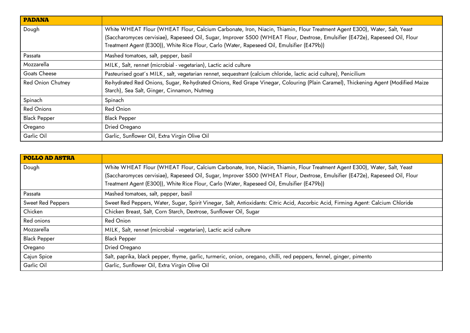| <b>PADANA</b>            |                                                                                                                                                                                                                                                            |
|--------------------------|------------------------------------------------------------------------------------------------------------------------------------------------------------------------------------------------------------------------------------------------------------|
| Dough                    | White WHEAT Flour (WHEAT Flour, Calcium Carbonate, Iron, Niacin, Thiamin, Flour Treatment Agent E300), Water, Salt, Yeast<br>(Saccharomyces cervisiae), Rapeseed Oil, Sugar, Improver S500 (WHEAT Flour, Dextrose, Emulsifier (E472e), Rapeseed Oil, Flour |
|                          | Treatment Agent (E300)), White Rice Flour, Carlo (Water, Rapeseed Oil, Emulsifier (E479b))                                                                                                                                                                 |
| Passata                  | Mashed tomatoes, salt, pepper, basil                                                                                                                                                                                                                       |
| Mozzarella               | MILK, Salt, rennet (microbial - vegetarian), Lactic acid culture                                                                                                                                                                                           |
| Goats Cheese             | Pasteurised goat's MILK, salt, vegetarian rennet, sequestrant (calcium chloride, lactic acid culture), Penicilium                                                                                                                                          |
| <b>Red Onion Chutney</b> | Re-hydrated Red Onions, Sugar, Re-hydrated Onions, Red Grape Vinegar, Colouring (Plain Caramel), Thickening Agent (Modified Maize<br>Starch), Sea Salt, Ginger, Cinnamon, Nutmeg                                                                           |
| Spinach                  | Spinach                                                                                                                                                                                                                                                    |
| <b>Red Onions</b>        | Red Onion                                                                                                                                                                                                                                                  |
| <b>Black Pepper</b>      | <b>Black Pepper</b>                                                                                                                                                                                                                                        |
| Oregano                  | Dried Oregano                                                                                                                                                                                                                                              |
| Garlic Oil               | Garlic, Sunflower Oil, Extra Virgin Olive Oil                                                                                                                                                                                                              |

| <b>POLLO AD ASTRA</b>    |                                                                                                                                  |
|--------------------------|----------------------------------------------------------------------------------------------------------------------------------|
| Dough                    | White WHEAT Flour (WHEAT Flour, Calcium Carbonate, Iron, Niacin, Thiamin, Flour Treatment Agent E300), Water, Salt, Yeast        |
|                          | (Saccharomyces cervisiae), Rapeseed Oil, Sugar, Improver S500 (WHEAT Flour, Dextrose, Emulsifier (E472e), Rapeseed Oil, Flour    |
|                          | Treatment Agent (E300)), White Rice Flour, Carlo (Water, Rapeseed Oil, Emulsifier (E479b))                                       |
| Passata                  | Mashed tomatoes, salt, pepper, basil                                                                                             |
| <b>Sweet Red Peppers</b> | Sweet Red Peppers, Water, Sugar, Spirit Vinegar, Salt, Antioxidants: Citric Acid, Ascorbic Acid, Firming Agent: Calcium Chloride |
| Chicken                  | Chicken Breast, Salt, Corn Starch, Dextrose, Sunflower Oil, Sugar                                                                |
| Red onions               | Red Onion                                                                                                                        |
| Mozzarella               | MILK, Salt, rennet (microbial - vegetarian), Lactic acid culture                                                                 |
| <b>Black Pepper</b>      | <b>Black Pepper</b>                                                                                                              |
| Oregano                  | Dried Oregano                                                                                                                    |
| Cajun Spice              | Salt, paprika, black pepper, thyme, garlic, turmeric, onion, oregano, chilli, red peppers, fennel, ginger, pimento               |
| Garlic Oil               | Garlic, Sunflower Oil, Extra Virgin Olive Oil                                                                                    |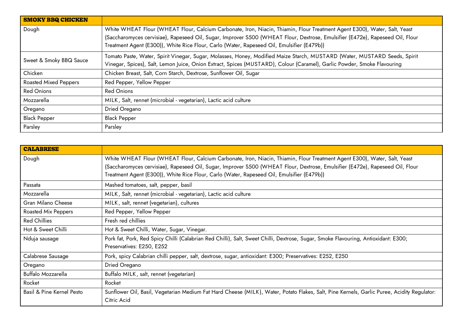| <b>SMOKY BBQ CHICKEN</b>     |                                                                                                                               |
|------------------------------|-------------------------------------------------------------------------------------------------------------------------------|
| Dough                        | White WHEAT Flour (WHEAT Flour, Calcium Carbonate, Iron, Niacin, Thiamin, Flour Treatment Agent E300), Water, Salt, Yeast     |
|                              | (Saccharomyces cervisiae), Rapeseed Oil, Sugar, Improver S500 (WHEAT Flour, Dextrose, Emulsifier (E472e), Rapeseed Oil, Flour |
|                              | Treatment Agent (E300)), White Rice Flour, Carlo (Water, Rapeseed Oil, Emulsifier (E479b))                                    |
|                              | Tomato Paste, Water, Spirit Vinegar, Sugar, Molasses, Honey, Modified Maize Starch, MUSTARD (Water, MUSTARD Seeds, Spirit     |
| Sweet & Smoky BBQ Sauce      | Vinegar, Spices), Salt, Lemon Juice, Onion Extract, Spices (MUSTARD), Colour (Caramel), Garlic Powder, Smoke Flavouring       |
| Chicken                      | Chicken Breast, Salt, Corn Starch, Dextrose, Sunflower Oil, Sugar                                                             |
| <b>Roasted Mixed Peppers</b> | Red Pepper, Yellow Pepper                                                                                                     |
| <b>Red Onions</b>            | <b>Red Onions</b>                                                                                                             |
| Mozzarella                   | MILK, Salt, rennet (microbial - vegetarian), Lactic acid culture                                                              |
| Oregano                      | Dried Oregano                                                                                                                 |
| <b>Black Pepper</b>          | Black Pepper                                                                                                                  |
| Parsley                      | Parsley                                                                                                                       |

| <b>CALABRESE</b>          |                                                                                                                                                                                                                                                                                                                                                          |
|---------------------------|----------------------------------------------------------------------------------------------------------------------------------------------------------------------------------------------------------------------------------------------------------------------------------------------------------------------------------------------------------|
| Dough                     | White WHEAT Flour (WHEAT Flour, Calcium Carbonate, Iron, Niacin, Thiamin, Flour Treatment Agent E300), Water, Salt, Yeast<br>(Saccharomyces cervisiae), Rapeseed Oil, Sugar, Improver S500 (WHEAT Flour, Dextrose, Emulsifier (E472e), Rapeseed Oil, Flour<br>Treatment Agent (E300)), White Rice Flour, Carlo (Water, Rapeseed Oil, Emulsifier (E479b)) |
| Passata                   | Mashed tomatoes, salt, pepper, basil                                                                                                                                                                                                                                                                                                                     |
| Mozzarella                | MILK, Salt, rennet (microbial - vegetarian), Lactic acid culture                                                                                                                                                                                                                                                                                         |
| Gran Milano Cheese        | MILK, salt, rennet (vegetarian), cultures                                                                                                                                                                                                                                                                                                                |
| Roasted Mix Peppers       | Red Pepper, Yellow Pepper                                                                                                                                                                                                                                                                                                                                |
| <b>Red Chillies</b>       | Fresh red chillies                                                                                                                                                                                                                                                                                                                                       |
| Hot & Sweet Chilli        | Hot & Sweet Chilli, Water, Sugar, Vinegar.                                                                                                                                                                                                                                                                                                               |
| Nduja sausage             | Pork fat, Pork, Red Spicy Chilli (Calabrian Red Chilli), Salt, Sweet Chilli, Dextrose, Sugar, Smoke Flavouring, Antioxidant: E300;<br>Preservatives: E250, E252                                                                                                                                                                                          |
| Calabrese Sausage         | Pork, spicy Calabrian chilli pepper, salt, dextrose, sugar, antioxidant: E300; Preservatives: E252, E250                                                                                                                                                                                                                                                 |
| Oregano                   | Dried Oregano                                                                                                                                                                                                                                                                                                                                            |
| Buffalo Mozzarella        | Buffalo MILK, salt, rennet (vegetarian)                                                                                                                                                                                                                                                                                                                  |
| Rocket                    | Rocket                                                                                                                                                                                                                                                                                                                                                   |
| Basil & Pine Kernel Pesto | Sunflower Oil, Basil, Vegetarian Medium Fat Hard Cheese (MILK), Water, Potato Flakes, Salt, Pine Kernels, Garlic Puree, Acidity Regulator:<br>Citric Acid                                                                                                                                                                                                |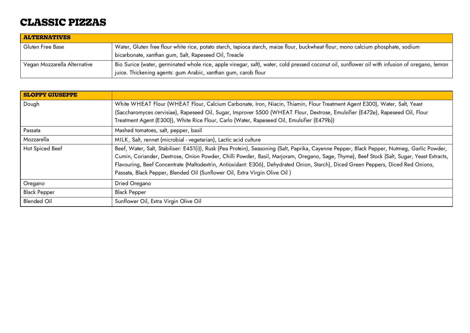### <span id="page-14-0"></span>**CLASSIC PIZZAS**

| <b>ALTERNATIVES</b>          |                                                                                                                                                |
|------------------------------|------------------------------------------------------------------------------------------------------------------------------------------------|
| Gluten Free Base             | Water, Gluten free flour white rice, potato starch, tapioca starch, maize flour, buckwheat flour, mono calcium phosphate, sodium               |
|                              | bicarbonate, xanthan gum, Salt, Rapeseed Oil, Treacle                                                                                          |
| Vegan Mozzarella Alternative | Bio Surice (water, germinated whole rice, apple vinegar, salt), water, cold pressed coconut oil, sunflower oil with infusion of oregano, lemon |
|                              | juice. Thickening agents: gum Arabic, xanthan gum, carob flour                                                                                 |

| <b>SLOPPY GIUSEPPE</b> |                                                                                                                                             |
|------------------------|---------------------------------------------------------------------------------------------------------------------------------------------|
| Dough                  | White WHEAT Flour (WHEAT Flour, Calcium Carbonate, Iron, Niacin, Thiamin, Flour Treatment Agent E300), Water, Salt, Yeast                   |
|                        | (Saccharomyces cervisiae), Rapeseed Oil, Sugar, Improver S500 (WHEAT Flour, Dextrose, Emulsifier (E472e), Rapeseed Oil, Flour               |
|                        | Treatment Agent (E300)), White Rice Flour, Carlo (Water, Rapeseed Oil, Emulsifier (E479b))                                                  |
| Passata                | Mashed tomatoes, salt, pepper, basil                                                                                                        |
| Mozzarella             | MILK, Salt, rennet (microbial - vegetarian), Lactic acid culture                                                                            |
| Hot Spiced Beef        | Beef, Water, Salt, Stabiliser: E451(i)), Rusk (Pea Protein), Seasoning (Salt, Paprika, Cayenne Pepper, Black Pepper, Nutmeg, Garlic Powder, |
|                        | Cumin, Coriander, Dextrose, Onion Powder, Chilli Powder, Basil, Marjoram, Oregano, Sage, Thyme), Beef Stock (Salt, Sugar, Yeast Extracts,   |
|                        | Flavouring, Beef Concentrate (Maltodextrin, Antioxidant: E306), Dehydrated Onion, Starch), Diced Green Peppers, Diced Red Onions,           |
|                        | Passata, Black Pepper, Blended Oil (Sunflower Oil, Extra Virgin Olive Oil)                                                                  |
| Oregano                | Dried Oregano                                                                                                                               |
| <b>Black Pepper</b>    | <b>Black Pepper</b>                                                                                                                         |
| <b>Blended Oil</b>     | Sunflower Oil, Extra Virgin Olive Oil                                                                                                       |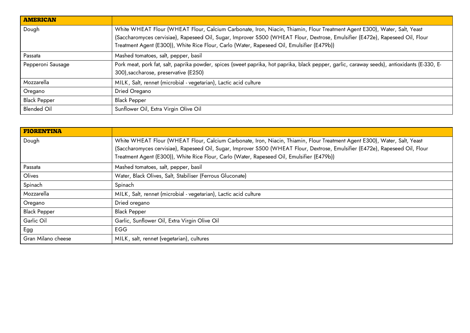| <b>AMERICAN</b>     |                                                                                                                                                                                                                                                            |
|---------------------|------------------------------------------------------------------------------------------------------------------------------------------------------------------------------------------------------------------------------------------------------------|
| Dough               | White WHEAT Flour (WHEAT Flour, Calcium Carbonate, Iron, Niacin, Thiamin, Flour Treatment Agent E300), Water, Salt, Yeast<br>(Saccharomyces cervisiae), Rapeseed Oil, Sugar, Improver S500 (WHEAT Flour, Dextrose, Emulsifier (E472e), Rapeseed Oil, Flour |
|                     | Treatment Agent (E300)), White Rice Flour, Carlo (Water, Rapeseed Oil, Emulsifier (E479b))                                                                                                                                                                 |
| Passata             | Mashed tomatoes, salt, pepper, basil                                                                                                                                                                                                                       |
| Pepperoni Sausage   | Pork meat, pork fat, salt, paprika powder, spices (sweet paprika, hot paprika, black pepper, garlic, caraway seeds), antioxidants (E-330, E-<br>300), saccharose, preservative (E250)                                                                      |
| Mozzarella          | MILK, Salt, rennet (microbial - vegetarian), Lactic acid culture                                                                                                                                                                                           |
| Oregano             | Dried Oregano                                                                                                                                                                                                                                              |
| <b>Black Pepper</b> | <b>Black Pepper</b>                                                                                                                                                                                                                                        |
| <b>Blended Oil</b>  | Sunflower Oil, Extra Virgin Olive Oil                                                                                                                                                                                                                      |

| <b>FIORENTINA</b>   |                                                                                                                               |
|---------------------|-------------------------------------------------------------------------------------------------------------------------------|
| Dough               | White WHEAT Flour (WHEAT Flour, Calcium Carbonate, Iron, Niacin, Thiamin, Flour Treatment Agent E300), Water, Salt, Yeast     |
|                     | (Saccharomyces cervisiae), Rapeseed Oil, Sugar, Improver S500 (WHEAT Flour, Dextrose, Emulsifier (E472e), Rapeseed Oil, Flour |
|                     | Treatment Agent (E300)), White Rice Flour, Carlo (Water, Rapeseed Oil, Emulsifier (E479b))                                    |
| Passata             | Mashed tomatoes, salt, pepper, basil                                                                                          |
| Olives              | Water, Black Olives, Salt, Stabiliser (Ferrous Gluconate)                                                                     |
| Spinach             | Spinach                                                                                                                       |
| Mozzarella          | MILK, Salt, rennet (microbial - vegetarian), Lactic acid culture                                                              |
| Oregano             | Dried oregano                                                                                                                 |
| <b>Black Pepper</b> | <b>Black Pepper</b>                                                                                                           |
| Garlic Oil          | Garlic, Sunflower Oil, Extra Virgin Olive Oil                                                                                 |
| Egg                 | <b>EGG</b>                                                                                                                    |
| Gran Milano cheese  | MILK, salt, rennet (vegetarian), cultures                                                                                     |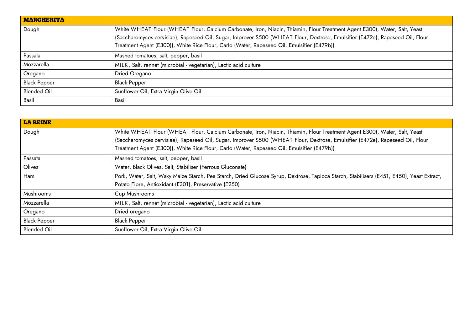| <b>MARGHERITA</b>   |                                                                                                                               |
|---------------------|-------------------------------------------------------------------------------------------------------------------------------|
| Dough               | White WHEAT Flour (WHEAT Flour, Calcium Carbonate, Iron, Niacin, Thiamin, Flour Treatment Agent E300), Water, Salt, Yeast     |
|                     | (Saccharomyces cervisiae), Rapeseed Oil, Sugar, Improver S500 (WHEAT Flour, Dextrose, Emulsifier (E472e), Rapeseed Oil, Flour |
|                     | Treatment Agent (E300)), White Rice Flour, Carlo (Water, Rapeseed Oil, Emulsifier (E479b))                                    |
| Passata             | Mashed tomatoes, salt, pepper, basil                                                                                          |
| Mozzarella          | MILK, Salt, rennet (microbial - vegetarian), Lactic acid culture                                                              |
| Oregano             | Dried Oregano                                                                                                                 |
| <b>Black Pepper</b> | <b>Black Pepper</b>                                                                                                           |
| <b>Blended Oil</b>  | Sunflower Oil, Extra Virgin Olive Oil                                                                                         |
| Basil               | Basil                                                                                                                         |

| <b>LA REINE</b>     |                                                                                                                                           |
|---------------------|-------------------------------------------------------------------------------------------------------------------------------------------|
| Dough               | White WHEAT Flour (WHEAT Flour, Calcium Carbonate, Iron, Niacin, Thiamin, Flour Treatment Agent E300), Water, Salt, Yeast                 |
|                     | (Saccharomyces cervisiae), Rapeseed Oil, Sugar, Improver S500 (WHEAT Flour, Dextrose, Emulsifier (E472e), Rapeseed Oil, Flour             |
|                     | Treatment Agent (E300)), White Rice Flour, Carlo (Water, Rapeseed Oil, Emulsifier (E479b))                                                |
| Passata             | Mashed tomatoes, salt, pepper, basil                                                                                                      |
| Olives              | Water, Black Olives, Salt, Stabiliser (Ferrous Gluconate)                                                                                 |
| Ham                 | Pork, Water, Salt, Waxy Maize Starch, Pea Starch, Dried Glucose Syrup, Dextrose, Tapioca Starch, Stabilisers (E451, E450), Yeast Extract, |
|                     | Potato Fibre, Antioxidant (E301), Preservative (E250)                                                                                     |
| Mushrooms           | Cup Mushrooms                                                                                                                             |
| Mozzarella          | MILK, Salt, rennet (microbial - vegetarian), Lactic acid culture                                                                          |
| Oregano             | Dried oregano                                                                                                                             |
| <b>Black Pepper</b> | <b>Black Pepper</b>                                                                                                                       |
| <b>Blended Oil</b>  | Sunflower Oil, Extra Virgin Olive Oil                                                                                                     |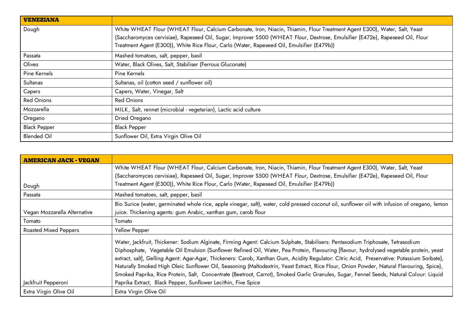| <b>VENEZIANA</b>    |                                                                                                                                                                                                                                                            |
|---------------------|------------------------------------------------------------------------------------------------------------------------------------------------------------------------------------------------------------------------------------------------------------|
| Dough               | White WHEAT Flour (WHEAT Flour, Calcium Carbonate, Iron, Niacin, Thiamin, Flour Treatment Agent E300), Water, Salt, Yeast<br>(Saccharomyces cervisiae), Rapeseed Oil, Sugar, Improver S500 (WHEAT Flour, Dextrose, Emulsifier (E472e), Rapeseed Oil, Flour |
|                     | Treatment Agent (E300)), White Rice Flour, Carlo (Water, Rapeseed Oil, Emulsifier (E479b))                                                                                                                                                                 |
| Passata             | Mashed tomatoes, salt, pepper, basil                                                                                                                                                                                                                       |
| Olives              | Water, Black Olives, Salt, Stabiliser (Ferrous Gluconate)                                                                                                                                                                                                  |
| Pine Kernels        | Pine Kernels                                                                                                                                                                                                                                               |
| Sultanas            | Sultanas, oil (cotton seed / sunflower oil)                                                                                                                                                                                                                |
| Capers              | Capers, Water, Vinegar, Salt                                                                                                                                                                                                                               |
| <b>Red Onions</b>   | <b>Red Onions</b>                                                                                                                                                                                                                                          |
| Mozzarella          | MILK, Salt, rennet (microbial - vegetarian), Lactic acid culture                                                                                                                                                                                           |
| Oregano             | Dried Oregano                                                                                                                                                                                                                                              |
| <b>Black Pepper</b> | <b>Black Pepper</b>                                                                                                                                                                                                                                        |
| <b>Blended Oil</b>  | Sunflower Oil, Extra Virgin Olive Oil                                                                                                                                                                                                                      |

| <b>AMERICAN JACK - VEGAN</b> |                                                                                                                                                                                                                                                                                                                                                                                                                                                                                                                                                                                                                                                                                                                   |
|------------------------------|-------------------------------------------------------------------------------------------------------------------------------------------------------------------------------------------------------------------------------------------------------------------------------------------------------------------------------------------------------------------------------------------------------------------------------------------------------------------------------------------------------------------------------------------------------------------------------------------------------------------------------------------------------------------------------------------------------------------|
|                              | White WHEAT Flour (WHEAT Flour, Calcium Carbonate, Iron, Niacin, Thiamin, Flour Treatment Agent E300), Water, Salt, Yeast                                                                                                                                                                                                                                                                                                                                                                                                                                                                                                                                                                                         |
|                              | (Saccharomyces cervisiae), Rapeseed Oil, Sugar, Improver S500 (WHEAT Flour, Dextrose, Emulsifier (E472e), Rapeseed Oil, Flour                                                                                                                                                                                                                                                                                                                                                                                                                                                                                                                                                                                     |
| Dough                        | Treatment Agent (E300)), White Rice Flour, Carlo (Water, Rapeseed Oil, Emulsifier (E479b))                                                                                                                                                                                                                                                                                                                                                                                                                                                                                                                                                                                                                        |
| Passata                      | Mashed tomatoes, salt, pepper, basil                                                                                                                                                                                                                                                                                                                                                                                                                                                                                                                                                                                                                                                                              |
|                              | Bio Surice (water, germinated whole rice, apple vinegar, salt), water, cold pressed coconut oil, sunflower oil with infusion of oregano, lemon                                                                                                                                                                                                                                                                                                                                                                                                                                                                                                                                                                    |
| Vegan Mozzarella Alternative | juice. Thickening agents: gum Arabic, xanthan gum, carob flour                                                                                                                                                                                                                                                                                                                                                                                                                                                                                                                                                                                                                                                    |
| Tomato                       | Tomato                                                                                                                                                                                                                                                                                                                                                                                                                                                                                                                                                                                                                                                                                                            |
| <b>Roasted Mixed Peppers</b> | Yellow Pepper                                                                                                                                                                                                                                                                                                                                                                                                                                                                                                                                                                                                                                                                                                     |
|                              | Water, Jackfruit, Thickener: Sodium Alginate, Firming Agent: Calcium Sulphate, Stabilisers: Pentasodium Triphosate, Tetrasodium<br>Diphosphate, Vegetable Oil Emulsion (Sunflower Refined Oil, Water, Pea Protein, Flavouring [flavour, hydrolysed vegetable protein, yeast<br>extract, salt], Gelling Agent: Agar-Agar, Thickeners: Carob, Xanthan Gum, Acidity Regulator: Citric Acid, Preservative: Potassium Sorbate),<br>Naturally Smoked High Oleic Sunflower Oil, Seasoning (Maltodextrin, Yeast Extract, Rice Flour, Onion Powder, Natural Flavouring, Spice),<br>Smoked Paprika, Rice Protein, Salt, Concentrate (Beetroot, Carrot), Smoked Garlic Granules, Sugar, Fennel Seeds, Natural Colour: Liquid |
| Jackfruit Pepperoni          | Paprika Extract, Black Pepper, Sunflower Lecithin, Five Spice                                                                                                                                                                                                                                                                                                                                                                                                                                                                                                                                                                                                                                                     |
| Extra Virgin Olive Oil       | Extra Virgin Olive Oil                                                                                                                                                                                                                                                                                                                                                                                                                                                                                                                                                                                                                                                                                            |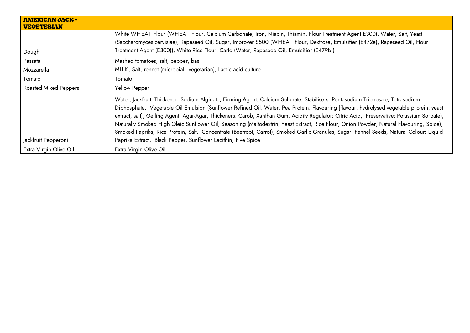| <b>AMERICAN JACK -</b><br><b>VEGETERIAN</b> |                                                                                                                                                                                                                                                                                                                                                                                                                                                                                                                                                                                                                                                                                                                   |
|---------------------------------------------|-------------------------------------------------------------------------------------------------------------------------------------------------------------------------------------------------------------------------------------------------------------------------------------------------------------------------------------------------------------------------------------------------------------------------------------------------------------------------------------------------------------------------------------------------------------------------------------------------------------------------------------------------------------------------------------------------------------------|
|                                             | White WHEAT Flour (WHEAT Flour, Calcium Carbonate, Iron, Niacin, Thiamin, Flour Treatment Agent E300), Water, Salt, Yeast                                                                                                                                                                                                                                                                                                                                                                                                                                                                                                                                                                                         |
|                                             | (Saccharomyces cervisiae), Rapeseed Oil, Sugar, Improver S500 (WHEAT Flour, Dextrose, Emulsifier (E472e), Rapeseed Oil, Flour                                                                                                                                                                                                                                                                                                                                                                                                                                                                                                                                                                                     |
| Dough                                       | Treatment Agent (E300)), White Rice Flour, Carlo (Water, Rapeseed Oil, Emulsifier (E479b))                                                                                                                                                                                                                                                                                                                                                                                                                                                                                                                                                                                                                        |
| Passata                                     | Mashed tomatoes, salt, pepper, basil                                                                                                                                                                                                                                                                                                                                                                                                                                                                                                                                                                                                                                                                              |
| Mozzarella                                  | MILK, Salt, rennet (microbial - vegetarian), Lactic acid culture                                                                                                                                                                                                                                                                                                                                                                                                                                                                                                                                                                                                                                                  |
| Tomato                                      | Tomato                                                                                                                                                                                                                                                                                                                                                                                                                                                                                                                                                                                                                                                                                                            |
| <b>Roasted Mixed Peppers</b>                | Yellow Pepper                                                                                                                                                                                                                                                                                                                                                                                                                                                                                                                                                                                                                                                                                                     |
|                                             | Water, Jackfruit, Thickener: Sodium Alginate, Firming Agent: Calcium Sulphate, Stabilisers: Pentasodium Triphosate, Tetrasodium<br>Diphosphate, Vegetable Oil Emulsion (Sunflower Refined Oil, Water, Pea Protein, Flavouring [flavour, hydrolysed vegetable protein, yeast<br>extract, salt], Gelling Agent: Agar-Agar, Thickeners: Carob, Xanthan Gum, Acidity Regulator: Citric Acid, Preservative: Potassium Sorbate),<br>Naturally Smoked High Oleic Sunflower Oil, Seasoning (Maltodextrin, Yeast Extract, Rice Flour, Onion Powder, Natural Flavouring, Spice),<br>Smoked Paprika, Rice Protein, Salt, Concentrate (Beetroot, Carrot), Smoked Garlic Granules, Sugar, Fennel Seeds, Natural Colour: Liquid |
| Jackfruit Pepperoni                         | Paprika Extract, Black Pepper, Sunflower Lecithin, Five Spice                                                                                                                                                                                                                                                                                                                                                                                                                                                                                                                                                                                                                                                     |
| Extra Virgin Olive Oil                      | Extra Virgin Olive Oil                                                                                                                                                                                                                                                                                                                                                                                                                                                                                                                                                                                                                                                                                            |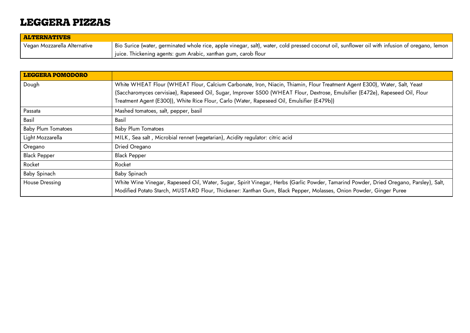### <span id="page-19-0"></span>**LEGGERA PIZZAS**

| <b>ALTERNATIVES</b>          |                                                                                                                                                |
|------------------------------|------------------------------------------------------------------------------------------------------------------------------------------------|
| Vegan Mozzarella Alternative | Bio Surice (water, germinated whole rice, apple vinegar, salt), water, cold pressed coconut oil, sunflower oil with infusion of oregano, lemon |
|                              | juice. Thickening agents: gum Arabic, xanthan gum, carob flour                                                                                 |

| <b>LEGGERA POMODORO</b>   |                                                                                                                                       |
|---------------------------|---------------------------------------------------------------------------------------------------------------------------------------|
| Dough                     | White WHEAT Flour (WHEAT Flour, Calcium Carbonate, Iron, Niacin, Thiamin, Flour Treatment Agent E300), Water, Salt, Yeast             |
|                           | (Saccharomyces cervisiae), Rapeseed Oil, Sugar, Improver S500 (WHEAT Flour, Dextrose, Emulsifier (E472e), Rapeseed Oil, Flour         |
|                           | Treatment Agent (E300)), White Rice Flour, Carlo (Water, Rapeseed Oil, Emulsifier (E479b))                                            |
| Passata                   | Mashed tomatoes, salt, pepper, basil                                                                                                  |
| Basil                     | Basil                                                                                                                                 |
| <b>Baby Plum Tomatoes</b> | <b>Baby Plum Tomatoes</b>                                                                                                             |
| Light Mozzarella          | MILK, Sea salt, Microbial rennet (vegetarian), Acidity regulator: citric acid                                                         |
| Oregano                   | Dried Oregano                                                                                                                         |
| <b>Black Pepper</b>       | <b>Black Pepper</b>                                                                                                                   |
| Rocket                    | Rocket                                                                                                                                |
| Baby Spinach              | Baby Spinach                                                                                                                          |
| House Dressing            | White Wine Vinegar, Rapeseed Oil, Water, Sugar, Spirit Vinegar, Herbs (Garlic Powder, Tamarind Powder, Dried Oregano, Parsley), Salt, |
|                           | Modified Potato Starch, MUSTARD Flour, Thickener: Xanthan Gum, Black Pepper, Molasses, Onion Powder, Ginger Puree                     |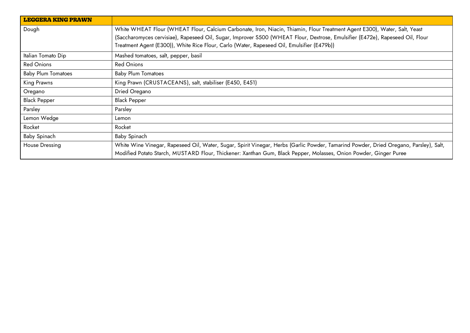| <b>LEGGERA KING PRAWN</b> |                                                                                                                                       |
|---------------------------|---------------------------------------------------------------------------------------------------------------------------------------|
| Dough                     | White WHEAT Flour (WHEAT Flour, Calcium Carbonate, Iron, Niacin, Thiamin, Flour Treatment Agent E300), Water, Salt, Yeast             |
|                           | (Saccharomyces cervisiae), Rapeseed Oil, Sugar, Improver S500 (WHEAT Flour, Dextrose, Emulsifier (E472e), Rapeseed Oil, Flour         |
|                           | Treatment Agent (E300)), White Rice Flour, Carlo (Water, Rapeseed Oil, Emulsifier (E479b))                                            |
| Italian Tomato Dip        | Mashed tomatoes, salt, pepper, basil                                                                                                  |
| <b>Red Onions</b>         | <b>Red Onions</b>                                                                                                                     |
| <b>Baby Plum Tomatoes</b> | <b>Baby Plum Tomatoes</b>                                                                                                             |
| King Prawns               | King Prawn (CRUSTACEANS), salt, stabiliser (E450, E451)                                                                               |
| Oregano                   | Dried Oregano                                                                                                                         |
| <b>Black Pepper</b>       | <b>Black Pepper</b>                                                                                                                   |
| Parsley                   | Parsley                                                                                                                               |
| Lemon Wedge               | Lemon                                                                                                                                 |
| Rocket                    | Rocket                                                                                                                                |
| Baby Spinach              | Baby Spinach                                                                                                                          |
| <b>House Dressing</b>     | White Wine Vinegar, Rapeseed Oil, Water, Sugar, Spirit Vinegar, Herbs (Garlic Powder, Tamarind Powder, Dried Oregano, Parsley), Salt, |
|                           | Modified Potato Starch, MUSTARD Flour, Thickener: Xanthan Gum, Black Pepper, Molasses, Onion Powder, Ginger Puree                     |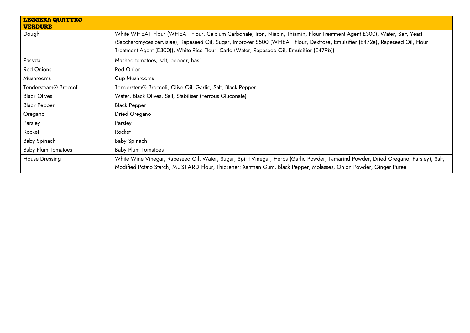| <b>LEGGERA QUATTRO</b><br><b>VERDURE</b> |                                                                                                                                                                                                                                                            |
|------------------------------------------|------------------------------------------------------------------------------------------------------------------------------------------------------------------------------------------------------------------------------------------------------------|
| Dough                                    | White WHEAT Flour (WHEAT Flour, Calcium Carbonate, Iron, Niacin, Thiamin, Flour Treatment Agent E300), Water, Salt, Yeast<br>(Saccharomyces cervisiae), Rapeseed Oil, Sugar, Improver S500 (WHEAT Flour, Dextrose, Emulsifier (E472e), Rapeseed Oil, Flour |
|                                          | Treatment Agent (E300)), White Rice Flour, Carlo (Water, Rapeseed Oil, Emulsifier (E479b))                                                                                                                                                                 |
| Passata                                  | Mashed tomatoes, salt, pepper, basil                                                                                                                                                                                                                       |
| <b>Red Onions</b>                        | <b>Red Onion</b>                                                                                                                                                                                                                                           |
| Mushrooms                                | Cup Mushrooms                                                                                                                                                                                                                                              |
| Tendersteam <sup>®</sup> Broccoli        | Tenderstem® Broccoli, Olive Oil, Garlic, Salt, Black Pepper                                                                                                                                                                                                |
| <b>Black Olives</b>                      | Water, Black Olives, Salt, Stabiliser (Ferrous Gluconate)                                                                                                                                                                                                  |
| <b>Black Pepper</b>                      | <b>Black Pepper</b>                                                                                                                                                                                                                                        |
| Oregano                                  | Dried Oregano                                                                                                                                                                                                                                              |
| Parsley                                  | Parsley                                                                                                                                                                                                                                                    |
| Rocket                                   | Rocket                                                                                                                                                                                                                                                     |
| Baby Spinach                             | Baby Spinach                                                                                                                                                                                                                                               |
| <b>Baby Plum Tomatoes</b>                | <b>Baby Plum Tomatoes</b>                                                                                                                                                                                                                                  |
| House Dressing                           | White Wine Vinegar, Rapeseed Oil, Water, Sugar, Spirit Vinegar, Herbs (Garlic Powder, Tamarind Powder, Dried Oregano, Parsley), Salt,<br>Modified Potato Starch, MUSTARD Flour, Thickener: Xanthan Gum, Black Pepper, Molasses, Onion Powder, Ginger Puree |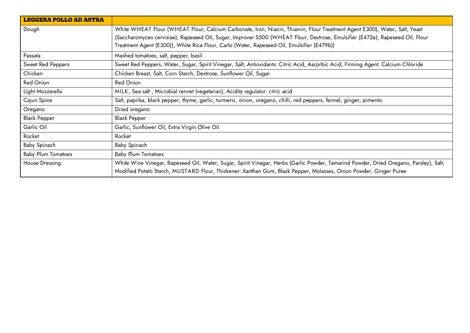| <b>LEGGERA POLLO AD ASTRA</b> |                                                                                                                                                                                                                                                                                                                                                          |
|-------------------------------|----------------------------------------------------------------------------------------------------------------------------------------------------------------------------------------------------------------------------------------------------------------------------------------------------------------------------------------------------------|
| Dough                         | White WHEAT Flour (WHEAT Flour, Calcium Carbonate, Iron, Niacin, Thiamin, Flour Treatment Agent E300), Water, Salt, Yeast<br>(Saccharomyces cervisiae), Rapeseed Oil, Sugar, Improver S500 (WHEAT Flour, Dextrose, Emulsifier (E472e), Rapeseed Oil, Flour<br>Treatment Agent (E300)), White Rice Flour, Carlo (Water, Rapeseed Oil, Emulsifier (E479b)) |
| Passata                       | Mashed tomatoes, salt, pepper, basil                                                                                                                                                                                                                                                                                                                     |
| Sweet Red Peppers             | Sweet Red Peppers, Water, Sugar, Spirit Vinegar, Salt, Antioxidants: Citric Acid, Ascorbic Acid, Firming Agent: Calcium Chloride                                                                                                                                                                                                                         |
| Chicken                       | Chicken Breast, Salt, Corn Starch, Dextrose, Sunflower Oil, Sugar                                                                                                                                                                                                                                                                                        |
| Red Onion                     | Red Onion                                                                                                                                                                                                                                                                                                                                                |
| Light Mozzarella              | MILK, Sea salt, Microbial rennet (vegetarian), Acidity regulator: citric acid                                                                                                                                                                                                                                                                            |
| Cajun Spice                   | Salt, paprika, black pepper, thyme, garlic, turmeric, onion, oregano, chilli, red peppers, fennel, ginger, pimento                                                                                                                                                                                                                                       |
| Oregano                       | Dried oregano                                                                                                                                                                                                                                                                                                                                            |
| <b>Black Pepper</b>           | <b>Black Pepper</b>                                                                                                                                                                                                                                                                                                                                      |
| Garlic Oil                    | Garlic, Sunflower Oil, Extra Virgin Olive Oil                                                                                                                                                                                                                                                                                                            |
| Rocket                        | Rocket                                                                                                                                                                                                                                                                                                                                                   |
| Baby Spinach                  | Baby Spinach                                                                                                                                                                                                                                                                                                                                             |
| <b>Baby Plum Tomatoes</b>     | <b>Baby Plum Tomatoes</b>                                                                                                                                                                                                                                                                                                                                |
| <b>House Dressing</b>         | White Wine Vinegar, Rapeseed Oil, Water, Sugar, Spirit Vinegar, Herbs (Garlic Powder, Tamarind Powder, Dried Oregano, Parsley), Salt,<br>Modified Potato Starch, MUSTARD Flour, Thickener: Xanthan Gum, Black Pepper, Molasses, Onion Powder, Ginger Puree                                                                                               |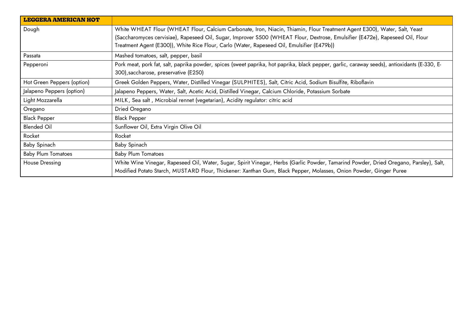| <b>LEGGERA AMERICAN HOT</b> |                                                                                                                                                                                                                                                            |
|-----------------------------|------------------------------------------------------------------------------------------------------------------------------------------------------------------------------------------------------------------------------------------------------------|
| Dough                       | White WHEAT Flour (WHEAT Flour, Calcium Carbonate, Iron, Niacin, Thiamin, Flour Treatment Agent E300), Water, Salt, Yeast<br>(Saccharomyces cervisiae), Rapeseed Oil, Sugar, Improver S500 (WHEAT Flour, Dextrose, Emulsifier (E472e), Rapeseed Oil, Flour |
|                             | Treatment Agent (E300)), White Rice Flour, Carlo (Water, Rapeseed Oil, Emulsifier (E479b))                                                                                                                                                                 |
| Passata                     | Mashed tomatoes, salt, pepper, basil                                                                                                                                                                                                                       |
| Pepperoni                   | Pork meat, pork fat, salt, paprika powder, spices (sweet paprika, hot paprika, black pepper, garlic, caraway seeds), antioxidants (E-330, E-<br>300), saccharose, preservative (E250)                                                                      |
| Hot Green Peppers (option)  | Greek Golden Peppers, Water, Distilled Vinegar (SULPHITES), Salt, Citric Acid, Sodium Bisulfite, Riboflavin                                                                                                                                                |
| Jalapeno Peppers (option)   | Jalapeno Peppers, Water, Salt, Acetic Acid, Distilled Vinegar, Calcium Chloride, Potassium Sorbate                                                                                                                                                         |
| Light Mozzarella            | MILK, Sea salt, Microbial rennet (vegetarian), Acidity regulator: citric acid                                                                                                                                                                              |
| Oregano                     | Dried Oregano                                                                                                                                                                                                                                              |
| <b>Black Pepper</b>         | <b>Black Pepper</b>                                                                                                                                                                                                                                        |
| <b>Blended Oil</b>          | Sunflower Oil, Extra Virgin Olive Oil                                                                                                                                                                                                                      |
| Rocket                      | Rocket                                                                                                                                                                                                                                                     |
| Baby Spinach                | Baby Spinach                                                                                                                                                                                                                                               |
| <b>Baby Plum Tomatoes</b>   | <b>Baby Plum Tomatoes</b>                                                                                                                                                                                                                                  |
| House Dressing              | White Wine Vinegar, Rapeseed Oil, Water, Sugar, Spirit Vinegar, Herbs (Garlic Powder, Tamarind Powder, Dried Oregano, Parsley), Salt,<br>Modified Potato Starch, MUSTARD Flour, Thickener: Xanthan Gum, Black Pepper, Molasses, Onion Powder, Ginger Puree |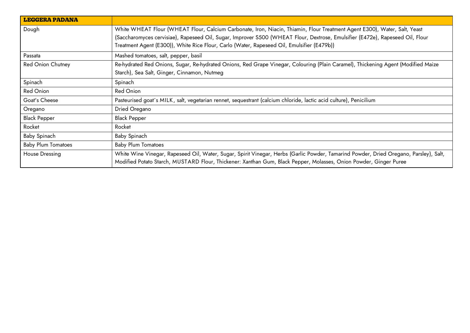<span id="page-24-0"></span>

| <b>LEGGERA PADANA</b>     |                                                                                                                                                                                                                                                            |
|---------------------------|------------------------------------------------------------------------------------------------------------------------------------------------------------------------------------------------------------------------------------------------------------|
| Dough                     | White WHEAT Flour (WHEAT Flour, Calcium Carbonate, Iron, Niacin, Thiamin, Flour Treatment Agent E300), Water, Salt, Yeast<br>(Saccharomyces cervisiae), Rapeseed Oil, Sugar, Improver S500 (WHEAT Flour, Dextrose, Emulsifier (E472e), Rapeseed Oil, Flour |
|                           | Treatment Agent (E300)), White Rice Flour, Carlo (Water, Rapeseed Oil, Emulsifier (E479b))                                                                                                                                                                 |
| Passata                   | Mashed tomatoes, salt, pepper, basil                                                                                                                                                                                                                       |
| Red Onion Chutney         | Re-hydrated Red Onions, Sugar, Re-hydrated Onions, Red Grape Vinegar, Colouring (Plain Caramel), Thickening Agent (Modified Maize                                                                                                                          |
|                           | Starch), Sea Salt, Ginger, Cinnamon, Nutmeg                                                                                                                                                                                                                |
| Spinach                   | Spinach                                                                                                                                                                                                                                                    |
| Red Onion                 | Red Onion                                                                                                                                                                                                                                                  |
| Goat's Cheese             | Pasteurised goat's MILK, salt, vegetarian rennet, sequestrant (calcium chloride, lactic acid culture), Penicilium                                                                                                                                          |
| Oregano                   | Dried Oregano                                                                                                                                                                                                                                              |
| <b>Black Pepper</b>       | <b>Black Pepper</b>                                                                                                                                                                                                                                        |
| Rocket                    | Rocket                                                                                                                                                                                                                                                     |
| Baby Spinach              | Baby Spinach                                                                                                                                                                                                                                               |
| <b>Baby Plum Tomatoes</b> | <b>Baby Plum Tomatoes</b>                                                                                                                                                                                                                                  |
| House Dressing            | White Wine Vinegar, Rapeseed Oil, Water, Sugar, Spirit Vinegar, Herbs (Garlic Powder, Tamarind Powder, Dried Oregano, Parsley), Salt,                                                                                                                      |
|                           | Modified Potato Starch, MUSTARD Flour, Thickener: Xanthan Gum, Black Pepper, Molasses, Onion Powder, Ginger Puree                                                                                                                                          |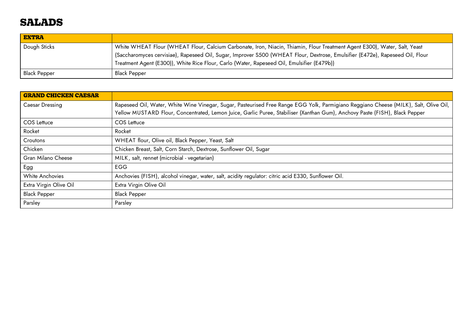### **SALADS**

| <b>EXTRA</b>        |                                                                                                                                 |
|---------------------|---------------------------------------------------------------------------------------------------------------------------------|
| Dough Sticks        | White WHEAT Flour (WHEAT Flour, Calcium Carbonate, Iron, Niacin, Thiamin, Flour Treatment Agent E300), Water, Salt, Yeast       |
|                     | (Saccharomyces cervisiae), Rapeseed Oil, Sugar, Improver S500 (WHEAT Flour, Dextrose, Emulsifier (E472e), Rapeseed Oil, Flour ' |
|                     | Treatment Agent (E300)), White Rice Flour, Carlo (Water, Rapeseed Oil, Emulsifier (E479b))                                      |
| <b>Black Pepper</b> | <b>Black Pepper</b>                                                                                                             |

| <b>GRAND CHICKEN CAESAR</b> |                                                                                                                                      |
|-----------------------------|--------------------------------------------------------------------------------------------------------------------------------------|
| <b>Caesar Dressing</b>      | Rapeseed Oil, Water, White Wine Vinegar, Sugar, Pasteurised Free Range EGG Yolk, Parmigiano Reggiano Cheese (MILK), Salt, Olive Oil, |
|                             | Yellow MUSTARD Flour, Concentrated, Lemon Juice, Garlic Puree, Stabiliser (Xanthan Gum), Anchovy Paste (FISH), Black Pepper          |
| COS Lettuce                 | COS Lettuce                                                                                                                          |
| Rocket                      | Rocket                                                                                                                               |
| Croutons                    | WHEAT flour, Olive oil, Black Pepper, Yeast, Salt                                                                                    |
| Chicken                     | Chicken Breast, Salt, Corn Starch, Dextrose, Sunflower Oil, Sugar                                                                    |
| Gran Milano Cheese          | MILK, salt, rennet (microbial - vegetarian)                                                                                          |
| Egg                         | <b>EGG</b>                                                                                                                           |
| White Anchovies             | Anchovies (FISH), alcohol vinegar, water, salt, acidity regulator: citric acid E330, Sunflower Oil.                                  |
| Extra Virgin Olive Oil      | Extra Virgin Olive Oil                                                                                                               |
| <b>Black Pepper</b>         | <b>Black Pepper</b>                                                                                                                  |
| Parsley                     | Parsley                                                                                                                              |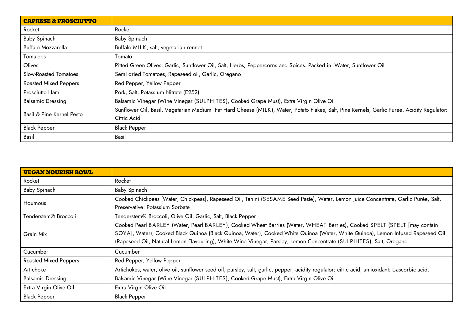| <b>CAPRESE &amp; PROSCIUTTO</b> |                                                                                                                                            |
|---------------------------------|--------------------------------------------------------------------------------------------------------------------------------------------|
| Rocket                          | Rocket                                                                                                                                     |
| Baby Spinach                    | Baby Spinach                                                                                                                               |
| Buffalo Mozzarella              | Buffalo MILK, salt, vegetarian rennet                                                                                                      |
| Tomatoes                        | Tomato                                                                                                                                     |
| Olives                          | Pitted Green Olives, Garlic, Sunflower Oil, Salt, Herbs, Peppercorns and Spices. Packed in: Water, Sunflower Oil                           |
| Slow-Roasted Tomatoes           | Semi dried Tomatoes, Rapeseed oil, Garlic, Oregano                                                                                         |
| <b>Roasted Mixed Peppers</b>    | Red Pepper, Yellow Pepper                                                                                                                  |
| Prosciutto Ham                  | Pork, Salt, Potassium Nitrate (E252)                                                                                                       |
| <b>Balsamic Dressing</b>        | Balsamic Vinegar (Wine Vinegar (SULPHITES), Cooked Grape Must), Extra Virgin Olive Oil                                                     |
| Basil & Pine Kernel Pesto       | Sunflower Oil, Basil, Vegetarian Medium Fat Hard Cheese (MILK), Water, Potato Flakes, Salt, Pine Kernels, Garlic Puree, Acidity Regulator: |
|                                 | Citric Acid                                                                                                                                |
| <b>Black Pepper</b>             | <b>Black Pepper</b>                                                                                                                        |
| Basil                           | Basil                                                                                                                                      |

| <b>VEGAN NOURISH BOWL</b>    |                                                                                                                                                                                                                                                                                                                                                                                    |
|------------------------------|------------------------------------------------------------------------------------------------------------------------------------------------------------------------------------------------------------------------------------------------------------------------------------------------------------------------------------------------------------------------------------|
| Rocket                       | Rocket                                                                                                                                                                                                                                                                                                                                                                             |
| Baby Spinach                 | Baby Spinach                                                                                                                                                                                                                                                                                                                                                                       |
| <b>Houmous</b>               | Cooked Chickpeas [Water, Chickpeas], Rapeseed Oil, Tahini (SESAME Seed Paste), Water, Lemon Juice Concentrate, Garlic Purée, Salt,<br>Preservative: Potassium Sorbate                                                                                                                                                                                                              |
| Tenderstem® Broccoli         | Tenderstem® Broccoli, Olive Oil, Garlic, Salt, Black Pepper                                                                                                                                                                                                                                                                                                                        |
| Grain Mix                    | Cooked Pearl BARLEY (Water, Pearl BARLEY), Cooked Wheat Berries (Water, WHEAT Berries), Cooked SPELT (SPELT [may contain<br>SOYA], Water), Cooked Black Quinoa (Black Quinoa, Water), Cooked White Quinoa (Water, White Quinoa), Lemon Infused Rapeseed Oil<br>(Rapeseed Oil, Natural Lemon Flavouring), White Wine Vinegar, Parsley, Lemon Concentrate (SULPHITES), Salt, Oregano |
| Cucumber                     | Cucumber                                                                                                                                                                                                                                                                                                                                                                           |
| <b>Roasted Mixed Peppers</b> | Red Pepper, Yellow Pepper                                                                                                                                                                                                                                                                                                                                                          |
| Artichoke                    | Artichokes, water, olive oil, sunflower seed oil, parsley, salt, garlic, pepper, acidity regulator: citric acid, antioxidant: L-ascorbic acid.                                                                                                                                                                                                                                     |
| <b>Balsamic Dressing</b>     | Balsamic Vinegar (Wine Vinegar (SULPHITES), Cooked Grape Must), Extra Virgin Olive Oil                                                                                                                                                                                                                                                                                             |
| Extra Virgin Olive Oil       | Extra Virgin Olive Oil                                                                                                                                                                                                                                                                                                                                                             |
| <b>Black Pepper</b>          | <b>Black Pepper</b>                                                                                                                                                                                                                                                                                                                                                                |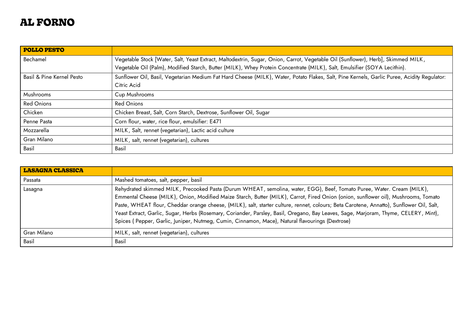## <span id="page-27-0"></span>**AL FORNO**

| <b>POLLO PESTO</b>        |                                                                                                                                            |
|---------------------------|--------------------------------------------------------------------------------------------------------------------------------------------|
| Bechamel                  | Vegetable Stock [Water, Salt, Yeast Extract, Maltodextrin, Sugar, Onion, Carrot, Vegetable Oil (Sunflower), Herb], Skimmed MILK,           |
|                           | Vegetable Oil (Palm), Modified Starch, Butter (MILK), Whey Protein Concentrate (MILK), Salt, Emulsifier (SOYA Lecithin).                   |
| Basil & Pine Kernel Pesto | Sunflower Oil, Basil, Vegetarian Medium Fat Hard Cheese (MILK), Water, Potato Flakes, Salt, Pine Kernels, Garlic Puree, Acidity Regulator: |
|                           | Citric Acid                                                                                                                                |
| <b>Mushrooms</b>          | Cup Mushrooms                                                                                                                              |
| <b>Red Onions</b>         | <b>Red Onions</b>                                                                                                                          |
| Chicken                   | Chicken Breast, Salt, Corn Starch, Dextrose, Sunflower Oil, Sugar                                                                          |
| Penne Pasta               | Corn flour, water, rice flour, emulsifier: E471                                                                                            |
| Mozzarella                | MILK, Salt, rennet (vegetarian), Lactic acid culture                                                                                       |
| Gran Milano               | MILK, salt, rennet (vegetarian), cultures                                                                                                  |
| Basil                     | Basil                                                                                                                                      |

| <b>LASAGNA CLASSICA</b> |                                                                                                                                                                                                                                                                                                                                                                                                                                                                                                                                                                                                                                                     |
|-------------------------|-----------------------------------------------------------------------------------------------------------------------------------------------------------------------------------------------------------------------------------------------------------------------------------------------------------------------------------------------------------------------------------------------------------------------------------------------------------------------------------------------------------------------------------------------------------------------------------------------------------------------------------------------------|
| Passata                 | Mashed tomatoes, salt, pepper, basil                                                                                                                                                                                                                                                                                                                                                                                                                                                                                                                                                                                                                |
| Lasagna                 | Rehydrated skimmed MILK, Precooked Pasta (Durum WHEAT, semolina, water, EGG), Beef, Tomato Puree, Water. Cream (MILK),<br>Emmental Cheese (MILK), Onion, Modified Maize Starch, Butter (MILK), Carrot, Fired Onion (onion, sunflower oil), Mushrooms, Tomato<br>Paste, WHEAT flour, Cheddar orange cheese, (MILK), salt, starter culture, rennet, colours; Beta Carotene, Annatto), Sunflower Oil, Salt,<br>Yeast Extract, Garlic, Sugar, Herbs (Rosemary, Coriander, Parsley, Basil, Oregano, Bay Leaves, Sage, Marjoram, Thyme, CELERY, Mint),<br>Spices (Pepper, Garlic, Juniper, Nutmeg, Cumin, Cinnamon, Mace), Natural flavourings (Dextrose) |
| Gran Milano             | MILK, salt, rennet (vegetarian), cultures                                                                                                                                                                                                                                                                                                                                                                                                                                                                                                                                                                                                           |
| Basil                   | Basil                                                                                                                                                                                                                                                                                                                                                                                                                                                                                                                                                                                                                                               |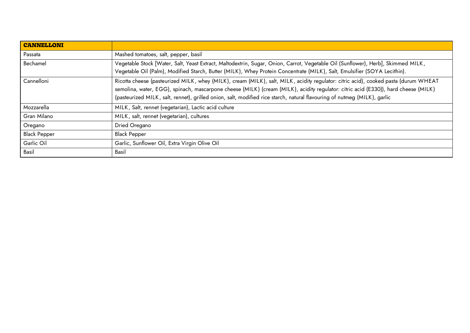| <b>CANNELLONI</b>   |                                                                                                                                                                                                                                                                                                                                                                                                       |
|---------------------|-------------------------------------------------------------------------------------------------------------------------------------------------------------------------------------------------------------------------------------------------------------------------------------------------------------------------------------------------------------------------------------------------------|
| Passata             | Mashed tomatoes, salt, pepper, basil                                                                                                                                                                                                                                                                                                                                                                  |
| Bechamel            | Vegetable Stock [Water, Salt, Yeast Extract, Maltodextrin, Sugar, Onion, Carrot, Vegetable Oil (Sunflower), Herb], Skimmed MILK,<br>Vegetable Oil (Palm), Modified Starch, Butter (MILK), Whey Protein Concentrate (MILK), Salt, Emulsifier (SOYA Lecithin).                                                                                                                                          |
| Cannelloni          | Ricotta cheese (pasteurized MILK, whey (MILK), cream (MILK), salt, MILK, acidity regulator: citric acid), cooked pasta (durum WHEAT<br>semolina, water, EGG), spinach, mascarpone cheese (MILK) (cream (MILK), acidity regulator: citric acid (E330)), hard cheese (MILK)<br>(pasteurized MILK, salt, rennet), grilled onion, salt, modified rice starch, natural flavouring of nutmeg (MILK), garlic |
| Mozzarella          | MILK, Salt, rennet (vegetarian), Lactic acid culture                                                                                                                                                                                                                                                                                                                                                  |
| Gran Milano         | MILK, salt, rennet (vegetarian), cultures                                                                                                                                                                                                                                                                                                                                                             |
| Oregano             | Dried Oregano                                                                                                                                                                                                                                                                                                                                                                                         |
| <b>Black Pepper</b> | <b>Black Pepper</b>                                                                                                                                                                                                                                                                                                                                                                                   |
| Garlic Oil          | Garlic, Sunflower Oil, Extra Virgin Olive Oil                                                                                                                                                                                                                                                                                                                                                         |
| Basil               | Basil                                                                                                                                                                                                                                                                                                                                                                                                 |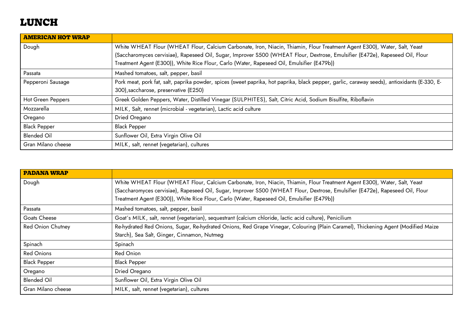# <span id="page-29-0"></span>**LUNCH**

| <b>AMERICAN HOT WRAP</b> |                                                                                                                                              |
|--------------------------|----------------------------------------------------------------------------------------------------------------------------------------------|
| Dough                    | White WHEAT Flour (WHEAT Flour, Calcium Carbonate, Iron, Niacin, Thiamin, Flour Treatment Agent E300), Water, Salt, Yeast                    |
|                          | (Saccharomyces cervisiae), Rapeseed Oil, Sugar, Improver S500 (WHEAT Flour, Dextrose, Emulsifier (E472e), Rapeseed Oil, Flour                |
|                          | Treatment Agent (E300)), White Rice Flour, Carlo (Water, Rapeseed Oil, Emulsifier (E479b))                                                   |
| Passata                  | Mashed tomatoes, salt, pepper, basil                                                                                                         |
| Pepperoni Sausage        | Pork meat, pork fat, salt, paprika powder, spices (sweet paprika, hot paprika, black pepper, garlic, caraway seeds), antioxidants (E-330, E- |
|                          | 300), saccharose, preservative (E250)                                                                                                        |
| Hot Green Peppers        | Greek Golden Peppers, Water, Distilled Vinegar (SULPHITES), Salt, Citric Acid, Sodium Bisulfite, Riboflavin                                  |
| Mozzarella               | MILK, Salt, rennet (microbial - vegetarian), Lactic acid culture                                                                             |
| Oregano                  | Dried Oregano                                                                                                                                |
| <b>Black Pepper</b>      | <b>Black Pepper</b>                                                                                                                          |
| <b>Blended Oil</b>       | Sunflower Oil, Extra Virgin Olive Oil                                                                                                        |
| Gran Milano cheese       | MILK, salt, rennet (vegetarian), cultures                                                                                                    |

| <b>PADANA WRAP</b>       |                                                                                                                                                                                                                             |
|--------------------------|-----------------------------------------------------------------------------------------------------------------------------------------------------------------------------------------------------------------------------|
| Dough                    | White WHEAT Flour (WHEAT Flour, Calcium Carbonate, Iron, Niacin, Thiamin, Flour Treatment Agent E300), Water, Salt, Yeast                                                                                                   |
|                          | (Saccharomyces cervisiae), Rapeseed Oil, Sugar, Improver S500 (WHEAT Flour, Dextrose, Emulsifier (E472e), Rapeseed Oil, Flour<br>Treatment Agent (E300)), White Rice Flour, Carlo (Water, Rapeseed Oil, Emulsifier (E479b)) |
| Passata                  | Mashed tomatoes, salt, pepper, basil                                                                                                                                                                                        |
| Goats Cheese             | Goat's MILK, salt, rennet (vegetarian), sequestrant (calcium chloride, lactic acid culture), Penicilium                                                                                                                     |
| <b>Red Onion Chutney</b> | Re-hydrated Red Onions, Sugar, Re-hydrated Onions, Red Grape Vinegar, Colouring (Plain Caramel), Thickening Agent (Modified Maize                                                                                           |
|                          | Starch), Sea Salt, Ginger, Cinnamon, Nutmeg                                                                                                                                                                                 |
| Spinach                  | Spinach                                                                                                                                                                                                                     |
| <b>Red Onions</b>        | <b>Red Onion</b>                                                                                                                                                                                                            |
| <b>Black Pepper</b>      | <b>Black Pepper</b>                                                                                                                                                                                                         |
| Oregano                  | Dried Oregano                                                                                                                                                                                                               |
| <b>Blended Oil</b>       | Sunflower Oil, Extra Virgin Olive Oil                                                                                                                                                                                       |
| Gran Milano cheese       | MILK, salt, rennet (vegetarian), cultures                                                                                                                                                                                   |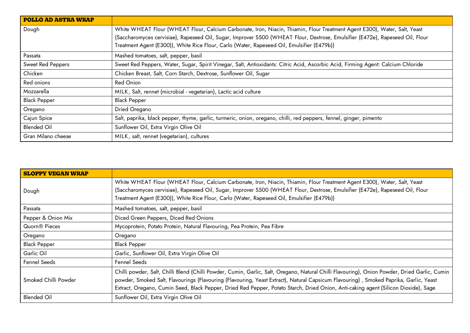| <b>POLLO AD ASTRA WRAP</b> |                                                                                                                                                                                                                                                            |
|----------------------------|------------------------------------------------------------------------------------------------------------------------------------------------------------------------------------------------------------------------------------------------------------|
| Dough                      | White WHEAT Flour (WHEAT Flour, Calcium Carbonate, Iron, Niacin, Thiamin, Flour Treatment Agent E300), Water, Salt, Yeast<br>(Saccharomyces cervisiae), Rapeseed Oil, Sugar, Improver S500 (WHEAT Flour, Dextrose, Emulsifier (E472e), Rapeseed Oil, Flour |
|                            | Treatment Agent (E300)), White Rice Flour, Carlo (Water, Rapeseed Oil, Emulsifier (E479b))                                                                                                                                                                 |
| Passata                    | Mashed tomatoes, salt, pepper, basil                                                                                                                                                                                                                       |
| Sweet Red Peppers          | Sweet Red Peppers, Water, Sugar, Spirit Vinegar, Salt, Antioxidants: Citric Acid, Ascorbic Acid, Firming Agent: Calcium Chloride                                                                                                                           |
| Chicken                    | Chicken Breast, Salt, Corn Starch, Dextrose, Sunflower Oil, Sugar                                                                                                                                                                                          |
| Red onions                 | <b>Red Onion</b>                                                                                                                                                                                                                                           |
| Mozzarella                 | MILK, Salt, rennet (microbial - vegetarian), Lactic acid culture                                                                                                                                                                                           |
| <b>Black Pepper</b>        | <b>Black Pepper</b>                                                                                                                                                                                                                                        |
| Oregano                    | Dried Oregano                                                                                                                                                                                                                                              |
| Cajun Spice                | Salt, paprika, black pepper, thyme, garlic, turmeric, onion, oregano, chilli, red peppers, fennel, ginger, pimento                                                                                                                                         |
| <b>Blended Oil</b>         | Sunflower Oil, Extra Virgin Olive Oil                                                                                                                                                                                                                      |
| Gran Milano cheese         | MILK, salt, rennet (vegetarian), cultures                                                                                                                                                                                                                  |

| <b>SLOPPY VEGAN WRAP</b>  |                                                                                                                                                                                                                                                                                                                                                                                                                               |
|---------------------------|-------------------------------------------------------------------------------------------------------------------------------------------------------------------------------------------------------------------------------------------------------------------------------------------------------------------------------------------------------------------------------------------------------------------------------|
| Dough                     | White WHEAT Flour (WHEAT Flour, Calcium Carbonate, Iron, Niacin, Thiamin, Flour Treatment Agent E300), Water, Salt, Yeast<br>(Saccharomyces cervisiae), Rapeseed Oil, Sugar, Improver S500 (WHEAT Flour, Dextrose, Emulsifier (E472e), Rapeseed Oil, Flour<br>Treatment Agent (E300)), White Rice Flour, Carlo (Water, Rapeseed Oil, Emulsifier (E479b))                                                                      |
| Passata                   | Mashed tomatoes, salt, pepper, basil                                                                                                                                                                                                                                                                                                                                                                                          |
| Pepper & Onion Mix        | Diced Green Peppers, Diced Red Onions                                                                                                                                                                                                                                                                                                                                                                                         |
| Quorn <sup>®</sup> Pieces | Mycoprotein, Potato Protein, Natural Flavouring, Pea Protein, Pea Fibre                                                                                                                                                                                                                                                                                                                                                       |
| Oregano                   | Oregano                                                                                                                                                                                                                                                                                                                                                                                                                       |
| <b>Black Pepper</b>       | <b>Black Pepper</b>                                                                                                                                                                                                                                                                                                                                                                                                           |
| Garlic Oil                | Garlic, Sunflower Oil, Extra Virgin Olive Oil                                                                                                                                                                                                                                                                                                                                                                                 |
| Fennel Seeds              | Fennel Seeds                                                                                                                                                                                                                                                                                                                                                                                                                  |
| Smoked Chilli Powder      | Chilli powder, Salt, Chilli Blend (Chilli Powder, Cumin, Garlic, Salt, Oregano, Natural Chilli Flavouring), Onion Powder, Dried Garlic, Cumin<br>powder, Smoked Salt, Flavourings (Flavouring (Flavouring, Yeast Extract), Natural Capsicum Flavouring), Smoked Paprika, Garlic, Yeast<br>Extract, Oregano, Cumin Seed, Black Pepper, Dried Red Pepper, Potato Starch, Dried Onion, Anti-caking agent (Silicon Dioxide), Sage |
| <b>Blended Oil</b>        | Sunflower Oil, Extra Virgin Olive Oil                                                                                                                                                                                                                                                                                                                                                                                         |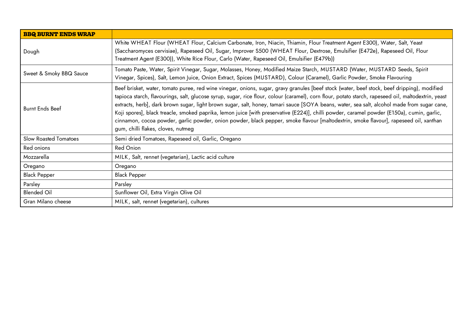| <b>BBQ BURNT ENDS WRAP</b>   |                                                                                                                                                                                                                                                                                                                                                                                                                                                                                                                                                                                                                                                                                                                                                                                |
|------------------------------|--------------------------------------------------------------------------------------------------------------------------------------------------------------------------------------------------------------------------------------------------------------------------------------------------------------------------------------------------------------------------------------------------------------------------------------------------------------------------------------------------------------------------------------------------------------------------------------------------------------------------------------------------------------------------------------------------------------------------------------------------------------------------------|
| Dough                        | White WHEAT Flour (WHEAT Flour, Calcium Carbonate, Iron, Niacin, Thiamin, Flour Treatment Agent E300), Water, Salt, Yeast<br>(Saccharomyces cervisiae), Rapeseed Oil, Sugar, Improver S500 (WHEAT Flour, Dextrose, Emulsifier (E472e), Rapeseed Oil, Flour<br>Treatment Agent (E300)), White Rice Flour, Carlo (Water, Rapeseed Oil, Emulsifier (E479b))                                                                                                                                                                                                                                                                                                                                                                                                                       |
| Sweet & Smoky BBQ Sauce      | Tomato Paste, Water, Spirit Vinegar, Sugar, Molasses, Honey, Modified Maize Starch, MUSTARD (Water, MUSTARD Seeds, Spirit<br>Vinegar, Spices), Salt, Lemon Juice, Onion Extract, Spices (MUSTARD), Colour (Caramel), Garlic Powder, Smoke Flavouring                                                                                                                                                                                                                                                                                                                                                                                                                                                                                                                           |
| <b>Burnt Ends Beef</b>       | Beef brisket, water, tomato puree, red wine vinegar, onions, sugar, gravy granules [beef stock (water, beef stock, beef dripping), modified<br>tapioca starch, flavourings, salt, glucose syrup, sugar, rice flour, colour (caramel), corn flour, potato starch, rapeseed oil, maltodextrin, yeast<br>extracts, herb], dark brown sugar, light brown sugar, salt, honey, tamari sauce [SOYA beans, water, sea salt, alcohol made from sugar cane,<br>Koji spores], black treacle, smoked paprika, lemon juice [with preservative (E224)], chilli powder, caramel powder (E150a), cumin, garlic,<br>cinnamon, cocoa powder, garlic powder, onion powder, black pepper, smoke flavour [maltodextrin, smoke flavour], rapeseed oil, xanthan<br>gum, chilli flakes, cloves, nutmeg |
| <b>Slow Roasted Tomatoes</b> | Semi dried Tomatoes, Rapeseed oil, Garlic, Oregano                                                                                                                                                                                                                                                                                                                                                                                                                                                                                                                                                                                                                                                                                                                             |
| Red onions                   | <b>Red Onion</b>                                                                                                                                                                                                                                                                                                                                                                                                                                                                                                                                                                                                                                                                                                                                                               |
| Mozzarella                   | MILK, Salt, rennet (vegetarian), Lactic acid culture                                                                                                                                                                                                                                                                                                                                                                                                                                                                                                                                                                                                                                                                                                                           |
| Oregano                      | Oregano                                                                                                                                                                                                                                                                                                                                                                                                                                                                                                                                                                                                                                                                                                                                                                        |
| <b>Black Pepper</b>          | <b>Black Pepper</b>                                                                                                                                                                                                                                                                                                                                                                                                                                                                                                                                                                                                                                                                                                                                                            |
| Parsley                      | Parsley                                                                                                                                                                                                                                                                                                                                                                                                                                                                                                                                                                                                                                                                                                                                                                        |
| <b>Blended Oil</b>           | Sunflower Oil, Extra Virgin Olive Oil                                                                                                                                                                                                                                                                                                                                                                                                                                                                                                                                                                                                                                                                                                                                          |
| Gran Milano cheese           | MILK, salt, rennet (vegetarian), cultures                                                                                                                                                                                                                                                                                                                                                                                                                                                                                                                                                                                                                                                                                                                                      |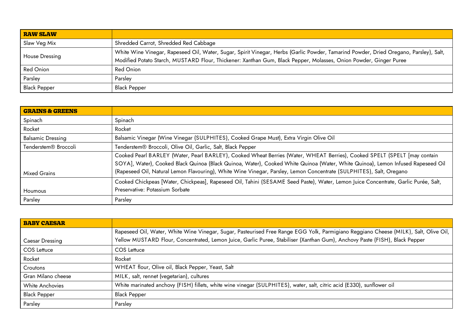| <b>RAW SLAW</b>     |                                                                                                                                                                                                                                                            |
|---------------------|------------------------------------------------------------------------------------------------------------------------------------------------------------------------------------------------------------------------------------------------------------|
| Slaw Veg Mix        | Shredded Carrot, Shredded Red Cabbage                                                                                                                                                                                                                      |
| House Dressing      | White Wine Vinegar, Rapeseed Oil, Water, Sugar, Spirit Vinegar, Herbs (Garlic Powder, Tamarind Powder, Dried Oregano, Parsley), Salt,<br>Modified Potato Starch, MUSTARD Flour, Thickener: Xanthan Gum, Black Pepper, Molasses, Onion Powder, Ginger Puree |
| <b>Red Onion</b>    | Red Onion                                                                                                                                                                                                                                                  |
| Parsley             | Parsley                                                                                                                                                                                                                                                    |
| <b>Black Pepper</b> | <b>Black Pepper</b>                                                                                                                                                                                                                                        |

| <b>GRAINS &amp; GREENS</b>       |                                                                                                                                    |
|----------------------------------|------------------------------------------------------------------------------------------------------------------------------------|
| Spinach                          | Spinach                                                                                                                            |
| Rocket                           | Rocket                                                                                                                             |
| <b>Balsamic Dressing</b>         | Balsamic Vinegar (Wine Vinegar (SULPHITES), Cooked Grape Must), Extra Virgin Olive Oil                                             |
| Tenderstem <sup>®</sup> Broccoli | Tenderstem® Broccoli, Olive Oil, Garlic, Salt, Black Pepper                                                                        |
|                                  | Cooked Pearl BARLEY (Water, Pearl BARLEY), Cooked Wheat Berries (Water, WHEAT Berries), Cooked SPELT (SPELT [may contain           |
|                                  | SOYA], Water), Cooked Black Quinoa (Black Quinoa, Water), Cooked White Quinoa (Water, White Quinoa), Lemon Infused Rapeseed Oil    |
| <b>Mixed Grains</b>              | (Rapeseed Oil, Natural Lemon Flavouring), White Wine Vinegar, Parsley, Lemon Concentrate (SULPHITES), Salt, Oregano                |
|                                  | Cooked Chickpeas [Water, Chickpeas], Rapeseed Oil, Tahini (SESAME Seed Paste), Water, Lemon Juice Concentrate, Garlic Purée, Salt, |
| Houmous                          | Preservative: Potassium Sorbate                                                                                                    |
| Parsley                          | Parsley                                                                                                                            |

| <b>BABY CAESAR</b> |                                                                                                                                      |
|--------------------|--------------------------------------------------------------------------------------------------------------------------------------|
|                    | Rapeseed Oil, Water, White Wine Vinegar, Sugar, Pasteurised Free Range EGG Yolk, Parmigiano Reggiano Cheese (MILK), Salt, Olive Oil, |
| Caesar Dressing    | Yellow MUSTARD Flour, Concentrated, Lemon Juice, Garlic Puree, Stabiliser (Xanthan Gum), Anchovy Paste (FISH), Black Pepper          |
| <b>COS Lettuce</b> | COS Lettuce                                                                                                                          |
| Rocket             | Rocket                                                                                                                               |
| Croutons           | WHEAT flour, Olive oil, Black Pepper, Yeast, Salt                                                                                    |
| Gran Milano cheese | MILK, salt, rennet (vegetarian), cultures                                                                                            |
| White Anchovies    | White marinated anchovy (FISH) fillets, white wine vinegar (SULPHITES), water, salt, citric acid (E330), sunflower oil               |
| Black Pepper       | <b>Black Pepper</b>                                                                                                                  |
| Parsley            | Parsley                                                                                                                              |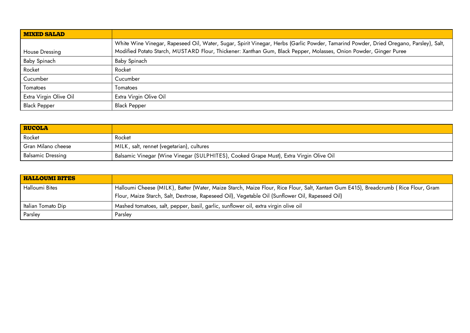| <b>MIXED SALAD</b>     |                                                                                                                                                                                                                                                            |
|------------------------|------------------------------------------------------------------------------------------------------------------------------------------------------------------------------------------------------------------------------------------------------------|
| House Dressing         | White Wine Vinegar, Rapeseed Oil, Water, Sugar, Spirit Vinegar, Herbs (Garlic Powder, Tamarind Powder, Dried Oregano, Parsley), Salt,<br>Modified Potato Starch, MUSTARD Flour, Thickener: Xanthan Gum, Black Pepper, Molasses, Onion Powder, Ginger Puree |
| Baby Spinach           | Baby Spinach                                                                                                                                                                                                                                               |
| Rocket                 | Rocket                                                                                                                                                                                                                                                     |
| Cucumber               | Cucumber                                                                                                                                                                                                                                                   |
| Tomatoes               | Tomatoes                                                                                                                                                                                                                                                   |
| Extra Virgin Olive Oil | Extra Virgin Olive Oil                                                                                                                                                                                                                                     |
| <b>Black Pepper</b>    | <b>Black Pepper</b>                                                                                                                                                                                                                                        |

| <b>RUCOLA</b>            |                                                                                        |
|--------------------------|----------------------------------------------------------------------------------------|
| Rocket                   | Rocket                                                                                 |
| Gran Milano cheese       | MILK, salt, rennet (vegetarian), cultures                                              |
| <b>Balsamic Dressing</b> | Balsamic Vinegar (Wine Vinegar (SULPHITES), Cooked Grape Must), Extra Virgin Olive Oil |

| <b>HALLOUMI BITES</b> |                                                                                                                                    |
|-----------------------|------------------------------------------------------------------------------------------------------------------------------------|
| Halloumi Bites        | Halloumi Cheese (MILK), Batter (Water, Maize Starch, Maize Flour, Rice Flour, Salt, Xantam Gum E415), Breadcrumb (Rice Flour, Gram |
|                       | Flour, Maize Starch, Salt, Dextrose, Rapeseed Oil), Vegetable Oil (Sunflower Oil, Rapeseed Oil)                                    |
| Italian Tomato Dip    | Mashed tomatoes, salt, pepper, basil, garlic, sunflower oil, extra virgin olive oil                                                |
| Parsley               | Parsley                                                                                                                            |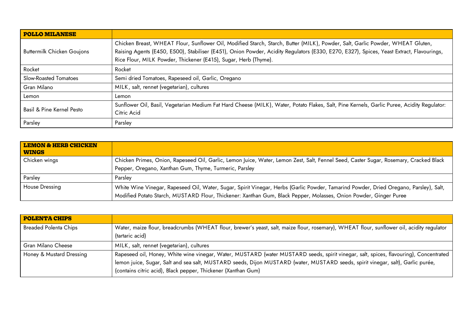| <b>POLLO MILANESE</b>             |                                                                                                                                                                                                                                                                                                                                               |
|-----------------------------------|-----------------------------------------------------------------------------------------------------------------------------------------------------------------------------------------------------------------------------------------------------------------------------------------------------------------------------------------------|
| <b>Buttermilk Chicken Goujons</b> | Chicken Breast, WHEAT Flour, Sunflower Oil, Modified Starch, Starch, Butter (MILK), Powder, Salt, Garlic Powder, WHEAT Gluten,<br>Raising Agents (E450, E500), Stabiliser (E451), Onion Powder, Acidity Regulators (E330, E270, E327), Spices, Yeast Extract, Flavourings,<br>Rice Flour, MILK Powder, Thickener (E415), Sugar, Herb (Thyme). |
| Rocket                            | Rocket                                                                                                                                                                                                                                                                                                                                        |
| Slow-Roasted Tomatoes             | Semi dried Tomatoes, Rapeseed oil, Garlic, Oregano                                                                                                                                                                                                                                                                                            |
| Gran Milano                       | MILK, salt, rennet (vegetarian), cultures                                                                                                                                                                                                                                                                                                     |
| Lemon                             | Lemon                                                                                                                                                                                                                                                                                                                                         |
| Basil & Pine Kernel Pesto         | Sunflower Oil, Basil, Vegetarian Medium Fat Hard Cheese (MILK), Water, Potato Flakes, Salt, Pine Kernels, Garlic Puree, Acidity Regulator:<br>Citric Acid                                                                                                                                                                                     |
| Parsley                           | Parsley                                                                                                                                                                                                                                                                                                                                       |

| <b>LEMON &amp; HERB CHICKEN</b><br><b>WINGS</b> |                                                                                                                                                                                                                                                            |
|-------------------------------------------------|------------------------------------------------------------------------------------------------------------------------------------------------------------------------------------------------------------------------------------------------------------|
| Chicken wings                                   | Chicken Primes, Onion, Rapeseed Oil, Garlic, Lemon Juice, Water, Lemon Zest, Salt, Fennel Seed, Caster Sugar, Rosemary, Cracked Black                                                                                                                      |
|                                                 | Pepper, Oregano, Xanthan Gum, Thyme, Turmeric, Parsley                                                                                                                                                                                                     |
| Parsley                                         | Parsley                                                                                                                                                                                                                                                    |
| House Dressing                                  | White Wine Vinegar, Rapeseed Oil, Water, Sugar, Spirit Vinegar, Herbs (Garlic Powder, Tamarind Powder, Dried Oregano, Parsley), Salt,<br>Modified Potato Starch, MUSTARD Flour, Thickener: Xanthan Gum, Black Pepper, Molasses, Onion Powder, Ginger Puree |

| <b>POLENTA CHIPS</b>         |                                                                                                                                                                                                                                                                                                                                           |
|------------------------------|-------------------------------------------------------------------------------------------------------------------------------------------------------------------------------------------------------------------------------------------------------------------------------------------------------------------------------------------|
| <b>Breaded Polenta Chips</b> | Water, maize flour, breadcrumbs (WHEAT flour, brewer's yeast, salt, maize flour, rosemary), WHEAT flour, sunflower oil, acidity regulator<br>(tartaric acid)                                                                                                                                                                              |
| Gran Milano Cheese           | MILK, salt, rennet (vegetarian), cultures                                                                                                                                                                                                                                                                                                 |
| Honey & Mustard Dressing     | Rapeseed oil, Honey, White wine vinegar, Water, MUSTARD (water MUSTARD seeds, spirit vinegar, salt, spices, flavouring), Concentrated<br>lemon juice, Sugar, Salt and sea salt, MUSTARD seeds, Dijon MUSTARD (water, MUSTARD seeds, spirit vinegar, salt), Garlic purée,<br>(contains citric acid), Black pepper, Thickener (Xanthan Gum) |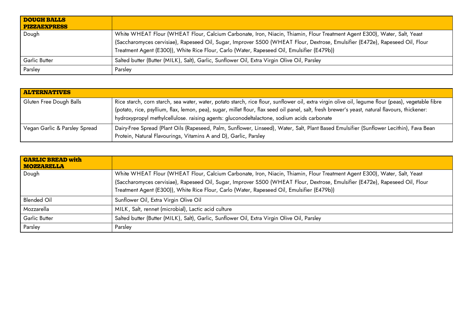| <b>DOUGH BALLS</b><br><b>PIZZAEXPRESS</b> |                                                                                                                                                                                                                                                                                                                                                          |
|-------------------------------------------|----------------------------------------------------------------------------------------------------------------------------------------------------------------------------------------------------------------------------------------------------------------------------------------------------------------------------------------------------------|
| Dough                                     | White WHEAT Flour (WHEAT Flour, Calcium Carbonate, Iron, Niacin, Thiamin, Flour Treatment Agent E300), Water, Salt, Yeast<br>(Saccharomyces cervisiae), Rapeseed Oil, Sugar, Improver S500 (WHEAT Flour, Dextrose, Emulsifier (E472e), Rapeseed Oil, Flour<br>Treatment Agent (E300)), White Rice Flour, Carlo (Water, Rapeseed Oil, Emulsifier (E479b)) |
| Garlic Butter                             | Salted butter (Butter (MILK), Salt), Garlic, Sunflower Oil, Extra Virgin Olive Oil, Parsley                                                                                                                                                                                                                                                              |
| Parsley                                   | Parsley                                                                                                                                                                                                                                                                                                                                                  |

| <b>ALTERNATIVES</b>           |                                                                                                                                                                                                                                                                                                                                                                                                    |
|-------------------------------|----------------------------------------------------------------------------------------------------------------------------------------------------------------------------------------------------------------------------------------------------------------------------------------------------------------------------------------------------------------------------------------------------|
| Gluten Free Dough Balls       | Rice starch, corn starch, sea water, water, potato starch, rice flour, sunflower oil, extra virgin olive oil, legume flour (peas), vegetable fibre<br>(potato, rice, psyllium, flax, lemon, pea), sugar, millet flour, flax seed oil panel, salt, fresh brewer's yeast, natural flavours, thickener:<br>hydroxypropyl methylcellulose. raising agents: gluconodeltalactone, sodium acids carbonate |
| Vegan Garlic & Parsley Spread | Dairy-Free Spread (Plant Oils (Rapeseed, Palm, Sunflower, Linseed), Water, Salt, Plant Based Emulsifier (Sunflower Lecithin), Fava Bean<br>Protein, Natural Flavourings, Vitamins A and D), Garlic, Parsley                                                                                                                                                                                        |

| <b>GARLIC BREAD with</b><br><b>MOZZARELLA</b> |                                                                                                                               |
|-----------------------------------------------|-------------------------------------------------------------------------------------------------------------------------------|
| Dough                                         | White WHEAT Flour (WHEAT Flour, Calcium Carbonate, Iron, Niacin, Thiamin, Flour Treatment Agent E300), Water, Salt, Yeast     |
|                                               | (Saccharomyces cervisiae), Rapeseed Oil, Sugar, Improver S500 (WHEAT Flour, Dextrose, Emulsifier (E472e), Rapeseed Oil, Flour |
|                                               | Treatment Agent (E300)), White Rice Flour, Carlo (Water, Rapeseed Oil, Emulsifier (E479b))                                    |
| <b>Blended Oil</b>                            | Sunflower Oil, Extra Virgin Olive Oil                                                                                         |
| Mozzarella                                    | MILK, Salt, rennet (microbial), Lactic acid culture                                                                           |
| <b>Garlic Butter</b>                          | Salted butter (Butter (MILK), Salt), Garlic, Sunflower Oil, Extra Virgin Olive Oil, Parsley                                   |
| Parsley                                       | Parsley                                                                                                                       |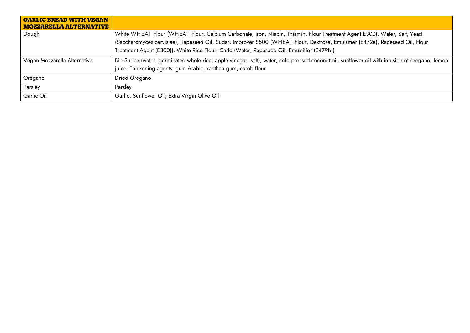| <b>GARLIC BREAD WITH VEGAN</b><br><b>MOZZARELLA ALTERNATIVE</b> |                                                                                                                                                                                                                                                                                                                                                          |
|-----------------------------------------------------------------|----------------------------------------------------------------------------------------------------------------------------------------------------------------------------------------------------------------------------------------------------------------------------------------------------------------------------------------------------------|
| Dough                                                           | White WHEAT Flour (WHEAT Flour, Calcium Carbonate, Iron, Niacin, Thiamin, Flour Treatment Agent E300), Water, Salt, Yeast<br>(Saccharomyces cervisiae), Rapeseed Oil, Sugar, Improver S500 (WHEAT Flour, Dextrose, Emulsifier (E472e), Rapeseed Oil, Flour<br>Treatment Agent (E300)), White Rice Flour, Carlo (Water, Rapeseed Oil, Emulsifier (E479b)) |
| Vegan Mozzarella Alternative                                    | Bio Surice (water, germinated whole rice, apple vinegar, salt), water, cold pressed coconut oil, sunflower oil with infusion of oregano, lemon<br>juice. Thickening agents: gum Arabic, xanthan gum, carob flour                                                                                                                                         |
| Oregano                                                         | Dried Oregano                                                                                                                                                                                                                                                                                                                                            |
| Parsley                                                         | Parsley                                                                                                                                                                                                                                                                                                                                                  |
| Garlic Oil                                                      | Garlic, Sunflower Oil, Extra Virgin Olive Oil                                                                                                                                                                                                                                                                                                            |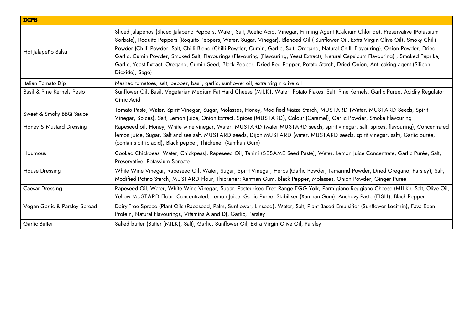| <b>DIPS</b>                           |                                                                                                                                                                                                                                                                                                                                                                                                                                                                                                                                                                                                                                                                                                                               |
|---------------------------------------|-------------------------------------------------------------------------------------------------------------------------------------------------------------------------------------------------------------------------------------------------------------------------------------------------------------------------------------------------------------------------------------------------------------------------------------------------------------------------------------------------------------------------------------------------------------------------------------------------------------------------------------------------------------------------------------------------------------------------------|
| Hot Jalapeño Salsa                    | Sliced Jalapenos (Sliced Jalapeno Peppers, Water, Salt, Acetic Acid, Vinegar, Firming Agent (Calcium Chloride), Preservative (Potassium<br>Sorbate), Roquito Peppers (Roquito Peppers, Water, Sugar, Vinegar), Blended Oil (Sunflower Oil, Extra Virgin Olive Oil), Smoky Chilli<br>Powder (Chilli Powder, Salt, Chilli Blend (Chilli Powder, Cumin, Garlic, Salt, Oregano, Natural Chilli Flavouring), Onion Powder, Dried<br>Garlic, Cumin Powder, Smoked Salt, Flavourings (Flavouring (Flavouring, Yeast Extract), Natural Capsicum Flavouring), Smoked Paprika,<br>Garlic, Yeast Extract, Oregano, Cumin Seed, Black Pepper, Dried Red Pepper, Potato Starch, Dried Onion, Anti-caking agent (Silicon<br>Dioxide), Sage) |
| Italian Tomato Dip                    | Mashed tomatoes, salt, pepper, basil, garlic, sunflower oil, extra virgin olive oil                                                                                                                                                                                                                                                                                                                                                                                                                                                                                                                                                                                                                                           |
| <b>Basil &amp; Pine Kernels Pesto</b> | Sunflower Oil, Basil, Vegetarian Medium Fat Hard Cheese (MILK), Water, Potato Flakes, Salt, Pine Kernels, Garlic Puree, Acidity Regulator:<br>Citric Acid                                                                                                                                                                                                                                                                                                                                                                                                                                                                                                                                                                     |
| Sweet & Smoky BBQ Sauce               | Tomato Paste, Water, Spirit Vinegar, Sugar, Molasses, Honey, Modified Maize Starch, MUSTARD (Water, MUSTARD Seeds, Spirit<br>Vinegar, Spices), Salt, Lemon Juice, Onion Extract, Spices (MUSTARD), Colour (Caramel), Garlic Powder, Smoke Flavouring                                                                                                                                                                                                                                                                                                                                                                                                                                                                          |
| Honey & Mustard Dressing              | Rapeseed oil, Honey, White wine vinegar, Water, MUSTARD (water MUSTARD seeds, spirit vinegar, salt, spices, flavouring), Concentrated<br>lemon juice, Sugar, Salt and sea salt, MUSTARD seeds, Dijon MUSTARD (water, MUSTARD seeds, spirit vinegar, salt), Garlic purée,<br>(contains citric acid), Black pepper, Thickener (Xanthan Gum)                                                                                                                                                                                                                                                                                                                                                                                     |
| Houmous                               | Cooked Chickpeas [Water, Chickpeas], Rapeseed Oil, Tahini (SESAME Seed Paste), Water, Lemon Juice Concentrate, Garlic Purée, Salt,<br>Preservative: Potassium Sorbate                                                                                                                                                                                                                                                                                                                                                                                                                                                                                                                                                         |
| <b>House Dressing</b>                 | White Wine Vinegar, Rapeseed Oil, Water, Sugar, Spirit Vinegar, Herbs (Garlic Powder, Tamarind Powder, Dried Oregano, Parsley), Salt,<br>Modified Potato Starch, MUSTARD Flour, Thickener: Xanthan Gum, Black Pepper, Molasses, Onion Powder, Ginger Puree                                                                                                                                                                                                                                                                                                                                                                                                                                                                    |
| Caesar Dressing                       | Rapeseed Oil, Water, White Wine Vinegar, Sugar, Pasteurised Free Range EGG Yolk, Parmigiano Reggiano Cheese (MILK), Salt, Olive Oil,<br>Yellow MUSTARD Flour, Concentrated, Lemon Juice, Garlic Puree, Stabiliser (Xanthan Gum), Anchovy Paste (FISH), Black Pepper                                                                                                                                                                                                                                                                                                                                                                                                                                                           |
| Vegan Garlic & Parsley Spread         | Dairy-Free Spread (Plant Oils (Rapeseed, Palm, Sunflower, Linseed), Water, Salt, Plant Based Emulsifier (Sunflower Lecithin), Fava Bean<br>Protein, Natural Flavourings, Vitamins A and D), Garlic, Parsley                                                                                                                                                                                                                                                                                                                                                                                                                                                                                                                   |
| Garlic Butter                         | Salted butter (Butter (MILK), Salt), Garlic, Sunflower Oil, Extra Virgin Olive Oil, Parsley                                                                                                                                                                                                                                                                                                                                                                                                                                                                                                                                                                                                                                   |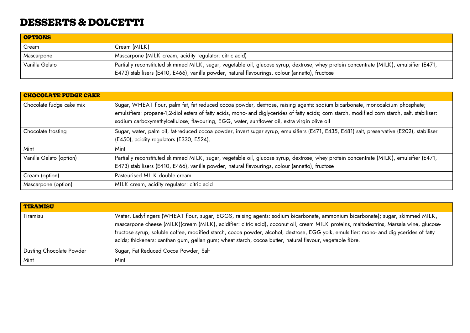# **DESSERTS & DOLCETTI**

| <b>OPTIONS</b> |                                                                                                                                                                                                                                            |
|----------------|--------------------------------------------------------------------------------------------------------------------------------------------------------------------------------------------------------------------------------------------|
| Cream          | Cream (MILK)                                                                                                                                                                                                                               |
| Mascarpone     | Mascarpone (MILK cream, acidity regulator: citric acid)                                                                                                                                                                                    |
| Vanilla Gelato | Partially reconstituted skimmed MILK, sugar, vegetable oil, glucose syrup, dextrose, whey protein concentrate (MILK), emulsifier (E471,<br>E473) stabilisers (E410, E466), vanilla powder, natural flavourings, colour (annatto), fructose |

| <b>CHOCOLATE FUDGE CAKE</b> |                                                                                                                                                                                                                                                                                                                                                                                  |
|-----------------------------|----------------------------------------------------------------------------------------------------------------------------------------------------------------------------------------------------------------------------------------------------------------------------------------------------------------------------------------------------------------------------------|
| Chocolate fudge cake mix    | Sugar, WHEAT flour, palm fat, fat reduced cocoa powder, dextrose, raising agents: sodium bicarbonate, monocalcium phosphate;<br>emulsifiers: propane-1,2-diol esters of fatty acids, mono- and diglycerides of fatty acids; corn starch, modified corn starch, salt, stabiliser:<br>sodium carboxymethylcellulose; flavouring, EGG, water, sunflower oil, extra virgin olive oil |
| Chocolate frosting          | Sugar, water, palm oil, fat-reduced cocoa powder, invert sugar syrup, emulsifiers (E471, E435, E481) salt, preservative (E202), stabiliser<br>(E450), acidity regulators (E330, E524).                                                                                                                                                                                           |
| Mint                        | Mint                                                                                                                                                                                                                                                                                                                                                                             |
| Vanilla Gelato (option)     | Partially reconstituted skimmed MILK, sugar, vegetable oil, glucose syrup, dextrose, whey protein concentrate (MILK), emulsifier (E471,<br>E473) stabilisers (E410, E466), vanilla powder, natural flavourings, colour (annatto), fructose                                                                                                                                       |
| Cream (option)              | Pasteurised MILK double cream                                                                                                                                                                                                                                                                                                                                                    |
| Mascarpone (option)         | MILK cream, acidity regulator: citric acid                                                                                                                                                                                                                                                                                                                                       |

| <b>TIRAMISU</b>                 |                                                                                                                                                                                                                                                                                                                                                                                                                                                                                                                                  |
|---------------------------------|----------------------------------------------------------------------------------------------------------------------------------------------------------------------------------------------------------------------------------------------------------------------------------------------------------------------------------------------------------------------------------------------------------------------------------------------------------------------------------------------------------------------------------|
| Tiramisu                        | Water, Ladyfingers (WHEAT flour, sugar, EGGS, raising agents: sodium bicarbonate, ammonium bicarbonate); sugar, skimmed MILK,<br>mascarpone cheese (MILK)(cream (MILK), acidifier: citric acid), coconut oil, cream MILK proteins, maltodextrins, Marsala wine, glucose-<br>fructose syrup, soluble coffee, modified starch, cocoa powder, alcohol, dextrose, EGG yolk, emulsifier: mono- and diglycerides of fatty<br>acids; thickeners: xanthan gum, gellan gum; wheat starch, cocoa butter, natural flavour, vegetable fibre. |
| <b>Dusting Chocolate Powder</b> | Sugar, Fat Reduced Cocoa Powder, Salt                                                                                                                                                                                                                                                                                                                                                                                                                                                                                            |
| Mint                            | Mint                                                                                                                                                                                                                                                                                                                                                                                                                                                                                                                             |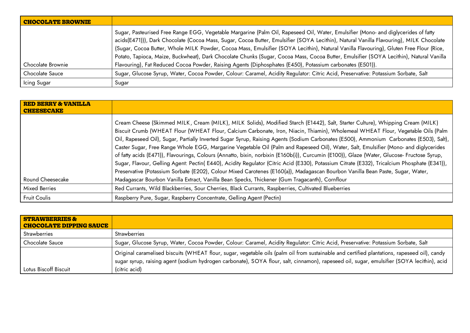| <b>CHOCOLATE BROWNIE</b> |                                                                                                                                                                                                                                                                                                                                                                                                                                                                                                                                                                    |
|--------------------------|--------------------------------------------------------------------------------------------------------------------------------------------------------------------------------------------------------------------------------------------------------------------------------------------------------------------------------------------------------------------------------------------------------------------------------------------------------------------------------------------------------------------------------------------------------------------|
|                          | Sugar, Pasteurised Free Range EGG, Vegetable Margarine (Palm Oil, Rapeseed Oil, Water, Emulsifier (Mono- and diglycerides of fatty<br>acids(E471))), Dark Chocolate (Cocoa Mass, Sugar, Cocoa Butter, Emulsifier (SOYA Lecithin), Natural Vanilla Flavouring), MILK Chocolate<br>(Sugar, Cocoa Butter, Whole MILK Powder, Cocoa Mass, Emulsifier (SOYA Lecithin), Natural Vanilla Flavouring), Gluten Free Flour (Rice,<br>Potato, Tapioca, Maize, Buckwheat), Dark Chocolate Chunks (Sugar, Cocoa Mass, Cocoa Butter, Emulsifier (SOYA Lecithin), Natural Vanilla |
| Chocolate Brownie        | Flavouring), Fat Reduced Cocoa Powder, Raising Agents (Diphosphates (E450), Potassium carbonates (E501)).                                                                                                                                                                                                                                                                                                                                                                                                                                                          |
| Chocolate Sauce          | Sugar, Glucose Syrup, Water, Cocoa Powder, Colour: Caramel, Acidity Regulator: Citric Acid, Preservative: Potassium Sorbate, Salt                                                                                                                                                                                                                                                                                                                                                                                                                                  |
| Icing Sugar              | Sugar                                                                                                                                                                                                                                                                                                                                                                                                                                                                                                                                                              |

| <b>RED BERRY &amp; VANILLA</b><br><b>CHEESECAKE</b> |                                                                                                                                                                                                                                                                                                                                                                                                                                                                                                                                                                                                                                                                                                                                                                                                                                                                                                                                                                                                                                                                                        |
|-----------------------------------------------------|----------------------------------------------------------------------------------------------------------------------------------------------------------------------------------------------------------------------------------------------------------------------------------------------------------------------------------------------------------------------------------------------------------------------------------------------------------------------------------------------------------------------------------------------------------------------------------------------------------------------------------------------------------------------------------------------------------------------------------------------------------------------------------------------------------------------------------------------------------------------------------------------------------------------------------------------------------------------------------------------------------------------------------------------------------------------------------------|
| Round Cheesecake                                    | Cream Cheese (Skimmed MILK, Cream (MILK), MILK Solids), Modified Starch (E1442), Salt, Starter Culture), Whipping Cream (MILK)<br>Biscuit Crumb (WHEAT Flour (WHEAT Flour, Calcium Carbonate, Iron, Niacin, Thiamin), Wholemeal WHEAT Flour, Vegetable Oils (Palm<br>Oil, Rapeseed Oil), Sugar, Partially Inverted Sugar Syrup, Raising Agents (Sodium Carbonates (E500), Ammonium Carbonates (E503), Salt),<br>Caster Sugar, Free Range Whole EGG, Margarine Vegetable Oil (Palm and Rapeseed Oil), Water, Salt, Emulsifier (Mono- and diglycerides<br>of fatty acids (E471)), Flavourings, Colours (Annatto, bixin, norbixin (E160b(i)), Curcumin (E100)), Glaze (Water, Glucose- Fructose Syrup,<br>Sugar, Flavour, Gelling Agent: Pectin(E440), Acidity Regulator (Citric Acid (E330), Potassium Citrate (E332), Tricalcium Phosphate (E341)),<br>Preservative (Potassium Sorbate (E202), Colour Mixed Carotenes (E160(a)), Madagascan Bourbon Vanilla Bean Paste, Sugar, Water,<br>Madagascar Bourbon Vanilla Extract, Vanilla Bean Specks, Thickener (Gum Tragacanth), Cornflour |
| <b>Mixed Berries</b>                                | Red Currants, Wild Blackberries, Sour Cherries, Black Currants, Raspberries, Cultivated Blueberries                                                                                                                                                                                                                                                                                                                                                                                                                                                                                                                                                                                                                                                                                                                                                                                                                                                                                                                                                                                    |
| <b>Fruit Coulis</b>                                 | Raspberry Pure, Sugar, Raspberry Concentrate, Gelling Agent (Pectin)                                                                                                                                                                                                                                                                                                                                                                                                                                                                                                                                                                                                                                                                                                                                                                                                                                                                                                                                                                                                                   |

| <b>STRAWBERRIES &amp;</b><br><b>CHOCOLATE DIPPING SAUCE</b> |                                                                                                                                                                                                                                                                                            |
|-------------------------------------------------------------|--------------------------------------------------------------------------------------------------------------------------------------------------------------------------------------------------------------------------------------------------------------------------------------------|
| <b>Strawberries</b>                                         | <b>Strawberries</b>                                                                                                                                                                                                                                                                        |
| Chocolate Sauce                                             | Sugar, Glucose Syrup, Water, Cocoa Powder, Colour: Caramel, Acidity Regulator: Citric Acid, Preservative: Potassium Sorbate, Salt                                                                                                                                                          |
|                                                             | Original caramelised biscuits (WHEAT flour, sugar, vegetable oils (palm oil from sustainable and certified plantations, rapeseed oil), candy<br>sugar syrup, raising agent (sodium hydrogen carbonate), SOYA flour, salt, cinnamon), rapeseed oil, sugar, emulsifier (SOYA lecithin), acid |
| Lotus Biscoff Biscuit                                       | (citric acid)                                                                                                                                                                                                                                                                              |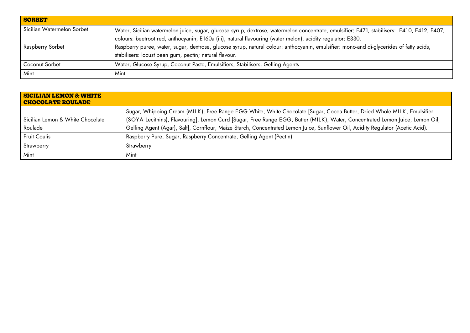| <b>SORBET</b>              |                                                                                                                                                                                                                                                           |
|----------------------------|-----------------------------------------------------------------------------------------------------------------------------------------------------------------------------------------------------------------------------------------------------------|
| Sicilian Watermelon Sorbet | Water, Sicilian watermelon juice, sugar, glucose syrup, dextrose, watermelon concentrate, emulsifier: E471, stabilisers: E410, E412, E407;<br>colours: beetroot red, anthocyanin, E160a (iii); natural flavouring (water melon), acidity regulator: E330. |
| Raspberry Sorbet           | Raspberry puree, water, sugar, dextrose, glucose syrup, natural colour: anthocyanin, emulsifier: mono-and di-glycerides of fatty acids,                                                                                                                   |
|                            | stabilisers: locust bean gum, pectin; natural flavour.                                                                                                                                                                                                    |
| Coconut Sorbet             | Water, Glucose Syrup, Coconut Paste, Emulsifiers, Stabilisers, Gelling Agents                                                                                                                                                                             |
| Mint                       | Mint                                                                                                                                                                                                                                                      |

| <b>SICILIAN LEMON &amp; WHITE</b><br><b>CHOCOLATE ROULADE</b> |                                                                                                                                                                                                                                                                                                                                                                                           |
|---------------------------------------------------------------|-------------------------------------------------------------------------------------------------------------------------------------------------------------------------------------------------------------------------------------------------------------------------------------------------------------------------------------------------------------------------------------------|
| Sicilian Lemon & White Chocolate<br>Roulade                   | Sugar, Whipping Cream (MILK), Free Range EGG White, White Chocolate [Sugar, Cocoa Butter, Dried Whole MILK, Emulsifier<br>(SOYA Lecithins), Flavouring], Lemon Curd [Sugar, Free Range EGG, Butter (MILK), Water, Concentrated Lemon Juice, Lemon Oil,<br>Gelling Agent (Agar), Salt], Cornflour, Maize Starch, Concentrated Lemon Juice, Sunflower Oil, Acidity Regulator (Acetic Acid). |
| <b>Fruit Coulis</b>                                           | Raspberry Pure, Sugar, Raspberry Concentrate, Gelling Agent (Pectin)                                                                                                                                                                                                                                                                                                                      |
| Strawberry                                                    | Strawberry                                                                                                                                                                                                                                                                                                                                                                                |
| Mint                                                          | Mint                                                                                                                                                                                                                                                                                                                                                                                      |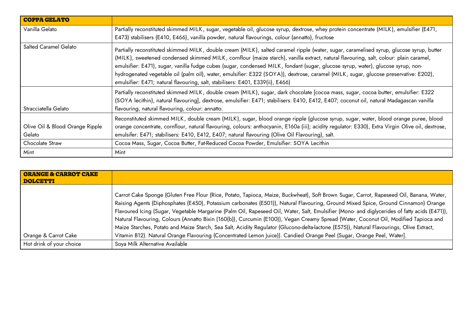| <b>COPPA GELATO</b>                       |                                                                                                                                                                                                                                                                                                                                                                                                                                                                                                                                                                                                                                                 |
|-------------------------------------------|-------------------------------------------------------------------------------------------------------------------------------------------------------------------------------------------------------------------------------------------------------------------------------------------------------------------------------------------------------------------------------------------------------------------------------------------------------------------------------------------------------------------------------------------------------------------------------------------------------------------------------------------------|
| Vanilla Gelato                            | Partially reconstituted skimmed MILK, sugar, vegetable oil, glucose syrup, dextrose, whey protein concentrate (MILK), emulsifier (E471,<br>E473) stabilisers (E410, E466), vanilla powder, natural flavourings, colour (annatto), fructose                                                                                                                                                                                                                                                                                                                                                                                                      |
| Salted Caramel Gelato                     | Partially reconstituted skimmed MILK, double cream (MILK), salted caramel ripple (water, sugar, caramelised syrup, glucose syrup, butter<br>(MILK), sweetened condensed skimmed MILK, cornflour (maize starch), vanilla extract, natural flavouring, salt, colour: plain caramel,<br>emulsifier: E471), sugar, vanilla fudge cubes (sugar, condensed MILK, fondant (sugar, glucose syrup, water), glucose syrup, non-<br>hydrogenated vegetable oil (palm oil), water, emulsifier: E322 (SOYA)), dextrose, caramel (MILK, sugar, glucose preservative: E202),<br>emulsifier: E471; natural flavouring, salt, stabilisers: E401, E339(ii), E466) |
| Stracciatella Gelato                      | Partially reconstituted skimmed MILK, double cream (MILK), sugar, dark chocolate [cocoa mass, sugar, cocoa butter, emulsifier: E322<br>(SOYA lecithin), natural flavouring], dextrose, emulsifier: E471; stabilisers: E410, E412, E407; coconut oil, natural Madagascan vanilla<br>flavouring, natural flavouring, colour: annatto.                                                                                                                                                                                                                                                                                                             |
| Olive Oil & Blood Orange Ripple<br>Gelato | Reconstituted skimmed MILK, double cream (MILK), sugar, blood orange ripple (glucose syrup, sugar, water, blood orange puree, blood<br>orange concentrate, cornflour, natural flavouring, colours: anthocyanin, E160a (iii); acidity regulator: E330), Extra Virgin Olive oil, dextrose,<br>emulsifer: E471; stabilisers: E410, E412, E407; natural flavouring (Olive Oil Flavouring), salt.                                                                                                                                                                                                                                                    |
| Chocolate Straw                           | Cocoa Mass, Sugar, Cocoa Butter, Fat-Reduced Cocoa Powder, Emulsifier: SOYA Lecithin                                                                                                                                                                                                                                                                                                                                                                                                                                                                                                                                                            |
| Mint                                      | Mint                                                                                                                                                                                                                                                                                                                                                                                                                                                                                                                                                                                                                                            |

| <b>ORANGE &amp; CARROT CAKE</b><br><b>DOLCETTI</b> |                                                                                                                                                                                                                                                                                                                                                                                                                                                                                                                                                                                                                                                                                                                                                                                                                                            |
|----------------------------------------------------|--------------------------------------------------------------------------------------------------------------------------------------------------------------------------------------------------------------------------------------------------------------------------------------------------------------------------------------------------------------------------------------------------------------------------------------------------------------------------------------------------------------------------------------------------------------------------------------------------------------------------------------------------------------------------------------------------------------------------------------------------------------------------------------------------------------------------------------------|
| Orange & Carrot Cake                               | Carrot Cake Sponge (Gluten Free Flour (Rice, Potato, Tapioca, Maize, Buckwheat), Soft Brown Sugar, Carrot, Rapeseed Oil, Banana, Water,<br>Raising Agents (Diphosphates (E450), Potassium carbonates (E501)), Natural Flavouring, Ground Mixed Spice, Ground Cinnamon) Orange<br>Flavoured Icing (Sugar, Vegetable Margarine (Palm Oil, Rapeseed Oil, Water, Salt, Emulsifier (Mono- and diglycerides of fatty acids (E471)),<br>Natural Flavouring, Colours (Annatto Bixin (160(b)), Curcumin (E100)), Vegan Creamy Spread (Water, Coconut Oil, Modified Tapioca and<br>Maize Starches, Potato and Maize Starch, Sea Salt, Acidity Regulator (Glucono-delta-lactone (E575)), Natural Flavourings, Olive Extract,<br>Vitamin B12). Natural Orange Flavouring (Concentrated Lemon Juice)). Candied Orange Peel (Sugar, Orange Peel, Water]. |
| Hot drink of your choice                           | Soya Milk Alternative Available                                                                                                                                                                                                                                                                                                                                                                                                                                                                                                                                                                                                                                                                                                                                                                                                            |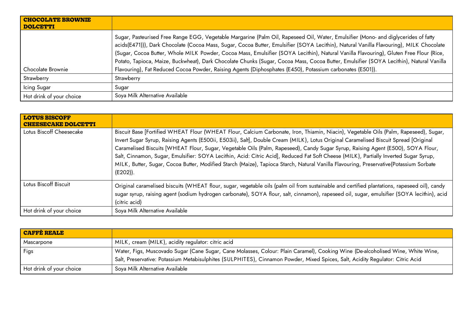| <b>CHOCOLATE BROWNIE</b><br><b>DOLCETTI</b> |                                                                                                                                                                                                                                                                                                                                                                                                                                                                                                                                                                                                                                                                                 |
|---------------------------------------------|---------------------------------------------------------------------------------------------------------------------------------------------------------------------------------------------------------------------------------------------------------------------------------------------------------------------------------------------------------------------------------------------------------------------------------------------------------------------------------------------------------------------------------------------------------------------------------------------------------------------------------------------------------------------------------|
| Chocolate Brownie                           | Sugar, Pasteurised Free Range EGG, Vegetable Margarine (Palm Oil, Rapeseed Oil, Water, Emulsifier (Mono- and diglycerides of fatty<br>acids(E471))), Dark Chocolate (Cocoa Mass, Sugar, Cocoa Butter, Emulsifier (SOYA Lecithin), Natural Vanilla Flavouring), MILK Chocolate<br>(Sugar, Cocoa Butter, Whole MILK Powder, Cocoa Mass, Emulsifier (SOYA Lecithin), Natural Vanilla Flavouring), Gluten Free Flour (Rice,<br>Potato, Tapioca, Maize, Buckwheat), Dark Chocolate Chunks (Sugar, Cocoa Mass, Cocoa Butter, Emulsifier (SOYA Lecithin), Natural Vanilla<br>Flavouring), Fat Reduced Cocoa Powder, Raising Agents (Diphosphates (E450), Potassium carbonates (E501)). |
| Strawberry                                  | Strawberry                                                                                                                                                                                                                                                                                                                                                                                                                                                                                                                                                                                                                                                                      |
| Icing Sugar                                 | Sugar                                                                                                                                                                                                                                                                                                                                                                                                                                                                                                                                                                                                                                                                           |
| Hot drink of your choice                    | Soya Milk Alternative Available                                                                                                                                                                                                                                                                                                                                                                                                                                                                                                                                                                                                                                                 |

| <b>LOTUS BISCOFF</b><br><b>CHEESECAKE DOLCETTI</b> |                                                                                                                                                                                                                                                                                                                                                                                                                                                                                                                                                                                                                                                                                                                   |
|----------------------------------------------------|-------------------------------------------------------------------------------------------------------------------------------------------------------------------------------------------------------------------------------------------------------------------------------------------------------------------------------------------------------------------------------------------------------------------------------------------------------------------------------------------------------------------------------------------------------------------------------------------------------------------------------------------------------------------------------------------------------------------|
| Lotus Biscoff Cheesecake                           | Biscuit Base [Fortified WHEAT Flour (WHEAT Flour, Calcium Carbonate, Iron, Thiamin, Niacin), Vegetable Oils (Palm, Rapeseed), Sugar,<br>Invert Sugar Syrup, Raising Agents (E500ii, E503ii), Salt], Double Cream (MILK), Lotus Original Caramelised Biscuit Spread [Original<br>Caramelised Biscuits [WHEAT Flour, Sugar, Vegetable Oils (Palm, Rapeseed), Candy Sugar Syrup, Raising Agent (E500), SOYA Flour,<br>Salt, Cinnamon, Sugar, Emulsifier: SOYA Lecithin, Acid: Citric Acid], Reduced Fat Soft Cheese (MILK), Partially Inverted Sugar Syrup,<br>MILK, Butter, Sugar, Cocoa Butter, Modified Starch (Maize), Tapioca Starch, Natural Vanilla Flavouring, Preservative(Potassium Sorbate<br>$(E202)$ ). |
| Lotus Biscoff Biscuit                              | Original caramelised biscuits (WHEAT flour, sugar, vegetable oils (palm oil from sustainable and certified plantations, rapeseed oil), candy<br>sugar syrup, raising agent (sodium hydrogen carbonate), SOYA flour, salt, cinnamon), rapeseed oil, sugar, emulsifier (SOYA lecithin), acid<br>(citric acid)                                                                                                                                                                                                                                                                                                                                                                                                       |
| Hot drink of your choice                           | Soya Milk Alternative Available                                                                                                                                                                                                                                                                                                                                                                                                                                                                                                                                                                                                                                                                                   |

| <b>CAFFÉ REALE</b>       |                                                                                                                                                                                                                                                                   |
|--------------------------|-------------------------------------------------------------------------------------------------------------------------------------------------------------------------------------------------------------------------------------------------------------------|
| Mascarpone               | MILK, cream (MILK), acidity regulator: citric acid                                                                                                                                                                                                                |
| Figs                     | Water, Figs, Muscovado Sugar (Cane Sugar, Cane Molasses, Colour: Plain Caramel), Cooking Wine (De-alcoholised Wine, White Wine,<br>Salt, Preservative: Potassium Metabisulphites (SULPHITES), Cinnamon Powder, Mixed Spices, Salt, Acidity Regulator: Citric Acid |
| Hot drink of your choice | Soya Milk Alternative Available                                                                                                                                                                                                                                   |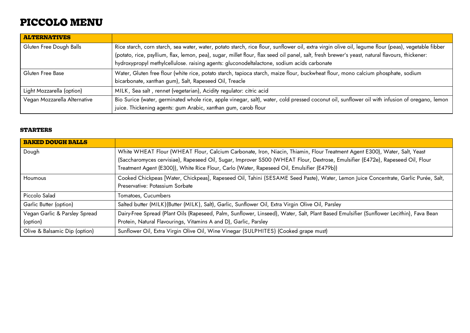# **PICCOLO MENU**

| <b>ALTERNATIVES</b>          |                                                                                                                                                     |
|------------------------------|-----------------------------------------------------------------------------------------------------------------------------------------------------|
| Gluten Free Dough Balls      | Rice starch, corn starch, sea water, water, potato starch, rice flour, sunflower oil, extra virgin olive oil, legume flour (peas), vegetable fibber |
|                              | (potato, rice, psyllium, flax, lemon, pea), sugar, millet flour, flax seed oil panel, salt, fresh brewer's yeast, natural flavours, thickener:      |
|                              | hydroxypropyl methylcellulose. raising agents: gluconodeltalactone, sodium acids carbonate                                                          |
| Gluten Free Base             | Water, Gluten free flour (white rice, potato starch, tapioca starch, maize flour, buckwheat flour, mono calcium phosphate, sodium                   |
|                              | bicarbonate, xanthan gum), Salt, Rapeseed Oil, Treacle                                                                                              |
| Light Mozzarella (option)    | MILK, Sea salt, rennet (vegetarian), Acidity regulator: citric acid                                                                                 |
| Vegan Mozzarella Alternative | Bio Surice (water, germinated whole rice, apple vinegar, salt), water, cold pressed coconut oil, sunflower oil with infusion of oregano, lemon      |
|                              | juice. Thickening agents: gum Arabic, xanthan gum, carob flour                                                                                      |

#### **STARTERS**

| <b>BAKED DOUGH BALLS</b>      |                                                                                                                                         |
|-------------------------------|-----------------------------------------------------------------------------------------------------------------------------------------|
| Dough                         | White WHEAT Flour (WHEAT Flour, Calcium Carbonate, Iron, Niacin, Thiamin, Flour Treatment Agent E300), Water, Salt, Yeast               |
|                               | (Saccharomyces cervisiae), Rapeseed Oil, Sugar, Improver S500 (WHEAT Flour, Dextrose, Emulsifier (E472e), Rapeseed Oil, Flour           |
|                               | Treatment Agent (E300)), White Rice Flour, Carlo (Water, Rapeseed Oil, Emulsifier (E479b))                                              |
| Houmous                       | Cooked Chickpeas [Water, Chickpeas], Rapeseed Oil, Tahini (SESAME Seed Paste), Water, Lemon Juice Concentrate, Garlic Purée, Salt,      |
|                               | Preservative: Potassium Sorbate                                                                                                         |
| Piccolo Salad                 | Tomatoes, Cucumbers                                                                                                                     |
| Garlic Butter (option)        | Salted butter (MILK)(Butter (MILK), Salt), Garlic, Sunflower Oil, Extra Virgin Olive Oil, Parsley                                       |
| Vegan Garlic & Parsley Spread | Dairy-Free Spread (Plant Oils (Rapeseed, Palm, Sunflower, Linseed), Water, Salt, Plant Based Emulsifier (Sunflower Lecithin), Fava Bean |
| (option)                      | Protein, Natural Flavourings, Vitamins A and D), Garlic, Parsley                                                                        |
| Olive & Balsamic Dip (option) | Sunflower Oil, Extra Virgin Olive Oil, Wine Vinegar (SULPHITES) (Cooked grape must)                                                     |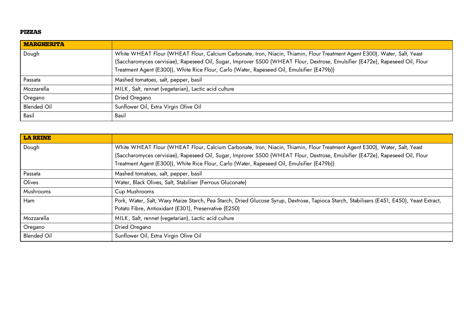#### **PIZZAS**

| <b>MARGHERITA</b>  |                                                                                                                                                                                                                                                                                                                                                          |
|--------------------|----------------------------------------------------------------------------------------------------------------------------------------------------------------------------------------------------------------------------------------------------------------------------------------------------------------------------------------------------------|
| Dough              | White WHEAT Flour (WHEAT Flour, Calcium Carbonate, Iron, Niacin, Thiamin, Flour Treatment Agent E300), Water, Salt, Yeast<br>(Saccharomyces cervisiae), Rapeseed Oil, Sugar, Improver S500 (WHEAT Flour, Dextrose, Emulsifier (E472e), Rapeseed Oil, Flour<br>Treatment Agent (E300)), White Rice Flour, Carlo (Water, Rapeseed Oil, Emulsifier (E479b)) |
| Passata            | Mashed tomatoes, salt, pepper, basil                                                                                                                                                                                                                                                                                                                     |
| Mozzarella         | MILK, Salt, rennet (vegetarian), Lactic acid culture                                                                                                                                                                                                                                                                                                     |
| Oregano            | Dried Oregano                                                                                                                                                                                                                                                                                                                                            |
| <b>Blended Oil</b> | Sunflower Oil, Extra Virgin Olive Oil                                                                                                                                                                                                                                                                                                                    |
| Basil              | Basil                                                                                                                                                                                                                                                                                                                                                    |

| <b>LA REINE</b>    |                                                                                                                                                                                                                                                            |
|--------------------|------------------------------------------------------------------------------------------------------------------------------------------------------------------------------------------------------------------------------------------------------------|
| Dough              | White WHEAT Flour (WHEAT Flour, Calcium Carbonate, Iron, Niacin, Thiamin, Flour Treatment Agent E300), Water, Salt, Yeast<br>(Saccharomyces cervisiae), Rapeseed Oil, Sugar, Improver S500 (WHEAT Flour, Dextrose, Emulsifier (E472e), Rapeseed Oil, Flour |
|                    | Treatment Agent (E300)), White Rice Flour, Carlo (Water, Rapeseed Oil, Emulsifier (E479b))                                                                                                                                                                 |
| Passata            | Mashed tomatoes, salt, pepper, basil                                                                                                                                                                                                                       |
| Olives             | Water, Black Olives, Salt, Stabiliser (Ferrous Gluconate)                                                                                                                                                                                                  |
| <b>Mushrooms</b>   | Cup Mushrooms                                                                                                                                                                                                                                              |
| Ham                | Pork, Water, Salt, Waxy Maize Starch, Pea Starch, Dried Glucose Syrup, Dextrose, Tapioca Starch, Stabilisers (E451, E450), Yeast Extract,                                                                                                                  |
|                    | Potato Fibre, Antioxidant (E301), Preservative (E250)                                                                                                                                                                                                      |
| Mozzarella         | MILK, Salt, rennet (vegetarian), Lactic acid culture                                                                                                                                                                                                       |
| Oregano            | Dried Oregano                                                                                                                                                                                                                                              |
| <b>Blended Oil</b> | Sunflower Oil, Extra Virgin Olive Oil                                                                                                                                                                                                                      |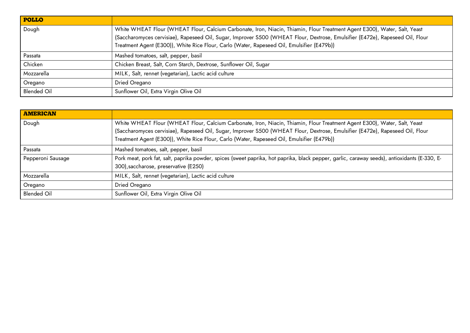| <b>POLLO</b>       |                                                                                                                                                                                                                                                                                                                                                          |
|--------------------|----------------------------------------------------------------------------------------------------------------------------------------------------------------------------------------------------------------------------------------------------------------------------------------------------------------------------------------------------------|
| Dough              | White WHEAT Flour (WHEAT Flour, Calcium Carbonate, Iron, Niacin, Thiamin, Flour Treatment Agent E300), Water, Salt, Yeast<br>(Saccharomyces cervisiae), Rapeseed Oil, Sugar, Improver S500 (WHEAT Flour, Dextrose, Emulsifier (E472e), Rapeseed Oil, Flour<br>Treatment Agent (E300)), White Rice Flour, Carlo (Water, Rapeseed Oil, Emulsifier (E479b)) |
| Passata            | Mashed tomatoes, salt, pepper, basil                                                                                                                                                                                                                                                                                                                     |
| Chicken            | Chicken Breast, Salt, Corn Starch, Dextrose, Sunflower Oil, Sugar                                                                                                                                                                                                                                                                                        |
| Mozzarella         | MILK, Salt, rennet (vegetarian), Lactic acid culture                                                                                                                                                                                                                                                                                                     |
| Oregano            | Dried Oregano                                                                                                                                                                                                                                                                                                                                            |
| <b>Blended Oil</b> | Sunflower Oil, Extra Virgin Olive Oil                                                                                                                                                                                                                                                                                                                    |

| <b>AMERICAN</b>    |                                                                                                                                                                                                                                                                                                                                                          |
|--------------------|----------------------------------------------------------------------------------------------------------------------------------------------------------------------------------------------------------------------------------------------------------------------------------------------------------------------------------------------------------|
| Dough              | White WHEAT Flour (WHEAT Flour, Calcium Carbonate, Iron, Niacin, Thiamin, Flour Treatment Agent E300), Water, Salt, Yeast<br>(Saccharomyces cervisiae), Rapeseed Oil, Sugar, Improver S500 (WHEAT Flour, Dextrose, Emulsifier (E472e), Rapeseed Oil, Flour<br>Treatment Agent (E300)), White Rice Flour, Carlo (Water, Rapeseed Oil, Emulsifier (E479b)) |
| Passata            | Mashed tomatoes, salt, pepper, basil                                                                                                                                                                                                                                                                                                                     |
| Pepperoni Sausage  | Pork meat, pork fat, salt, paprika powder, spices (sweet paprika, hot paprika, black pepper, garlic, caraway seeds), antioxidants (E-330, E-<br>300), saccharose, preservative (E250)                                                                                                                                                                    |
| Mozzarella         | MILK, Salt, rennet (vegetarian), Lactic acid culture                                                                                                                                                                                                                                                                                                     |
| Oregano            | Dried Oregano                                                                                                                                                                                                                                                                                                                                            |
| <b>Blended Oil</b> | Sunflower Oil, Extra Virgin Olive Oil                                                                                                                                                                                                                                                                                                                    |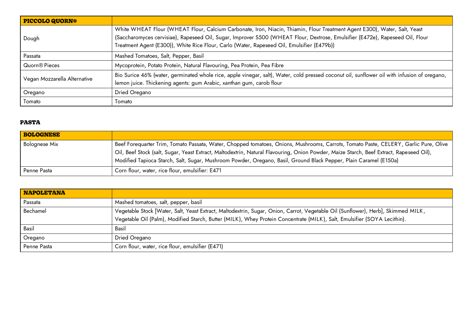| <b>PICCOLO QUORN®</b>        |                                                                                                                                                                                                                                                                                                                                                          |
|------------------------------|----------------------------------------------------------------------------------------------------------------------------------------------------------------------------------------------------------------------------------------------------------------------------------------------------------------------------------------------------------|
| Dough                        | White WHEAT Flour (WHEAT Flour, Calcium Carbonate, Iron, Niacin, Thiamin, Flour Treatment Agent E300), Water, Salt, Yeast<br>(Saccharomyces cervisiae), Rapeseed Oil, Sugar, Improver S500 (WHEAT Flour, Dextrose, Emulsifier (E472e), Rapeseed Oil, Flour<br>Treatment Agent (E300)), White Rice Flour, Carlo (Water, Rapeseed Oil, Emulsifier (E479b)) |
| Passata                      | Mashed Tomatoes, Salt, Pepper, Basil                                                                                                                                                                                                                                                                                                                     |
| Quorn <sup>®</sup> Pieces    | Mycoprotein, Potato Protein, Natural Flavouring, Pea Protein, Pea Fibre                                                                                                                                                                                                                                                                                  |
| Vegan Mozzarella Alternative | Bio Surice 46% (water, germinated whole rice, apple vinegar, salt), Water, cold pressed coconut oil, sunflower oil with infusion of oregano,<br>lemon juice. Thickening agents: gum Arabic, xanthan gum, carob flour                                                                                                                                     |
| Oregano                      | Dried Oregano                                                                                                                                                                                                                                                                                                                                            |
| Tomato                       | Tomato                                                                                                                                                                                                                                                                                                                                                   |

## **PASTA**

| <b>BOLOGNESE</b>     |                                                                                                                                                                                                                                                                                                                                                                                                      |
|----------------------|------------------------------------------------------------------------------------------------------------------------------------------------------------------------------------------------------------------------------------------------------------------------------------------------------------------------------------------------------------------------------------------------------|
| <b>Bolognese Mix</b> | Beef Forequarter Trim, Tomato Passata, Water, Chopped tomatoes, Onions, Mushrooms, Carrots, Tomato Paste, CELERY, Garlic Pure, Olive<br>Oil, Beef Stock (salt, Sugar, Yeast Extract, Maltodextrin, Natural Flavouring, Onion Powder, Maize Starch, Beef Extract, Rapeseed Oil),<br>Modified Tapioca Starch, Salt, Sugar, Mushroom Powder, Oregano, Basil, Ground Black Pepper, Plain Caramel (E150a) |
| Penne Pasta          | Corn flour, water, rice flour, emulsifier: E471                                                                                                                                                                                                                                                                                                                                                      |

| <b>NAPOLETANA</b> |                                                                                                                                                                                                                                                              |
|-------------------|--------------------------------------------------------------------------------------------------------------------------------------------------------------------------------------------------------------------------------------------------------------|
| Passata           | Mashed tomatoes, salt, pepper, basil                                                                                                                                                                                                                         |
| Bechamel          | Vegetable Stock [Water, Salt, Yeast Extract, Maltodextrin, Sugar, Onion, Carrot, Vegetable Oil (Sunflower), Herb], Skimmed MILK,<br>Vegetable Oil (Palm), Modified Starch, Butter (MILK), Whey Protein Concentrate (MILK), Salt, Emulsifier (SOYA Lecithin). |
| Basil             | Basil                                                                                                                                                                                                                                                        |
| Oregano           | Dried Oregano                                                                                                                                                                                                                                                |
| Penne Pasta       | Corn flour, water, rice flour, emulsifier (E471)                                                                                                                                                                                                             |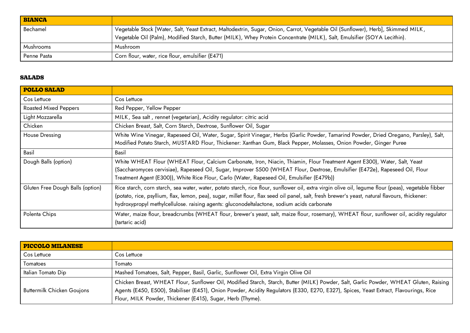| <b>BIANCA</b> |                                                                                                                                  |
|---------------|----------------------------------------------------------------------------------------------------------------------------------|
| Bechamel      | Vegetable Stock [Water, Salt, Yeast Extract, Maltodextrin, Sugar, Onion, Carrot, Vegetable Oil (Sunflower), Herb], Skimmed MILK, |
|               | Vegetable Oil (Palm), Modified Starch, Butter (MILK), Whey Protein Concentrate (MILK), Salt, Emulsifier (SOYA Lecithin).         |
| Mushrooms     | Mushroom                                                                                                                         |
| Penne Pasta   | Corn flour, water, rice flour, emulsifier (E471)                                                                                 |

## **SALADS**

| <b>POLLO SALAD</b>               |                                                                                                                                                     |
|----------------------------------|-----------------------------------------------------------------------------------------------------------------------------------------------------|
| Cos Lettuce                      | Cos Lettuce                                                                                                                                         |
| <b>Roasted Mixed Peppers</b>     | Red Pepper, Yellow Pepper                                                                                                                           |
| Light Mozzarella                 | MILK, Sea salt, rennet (vegetarian), Acidity regulator: citric acid                                                                                 |
| Chicken                          | Chicken Breast, Salt, Corn Starch, Dextrose, Sunflower Oil, Sugar                                                                                   |
| House Dressing                   | White Wine Vinegar, Rapeseed Oil, Water, Sugar, Spirit Vinegar, Herbs (Garlic Powder, Tamarind Powder, Dried Oregano, Parsley), Salt,               |
|                                  | Modified Potato Starch, MUSTARD Flour, Thickener: Xanthan Gum, Black Pepper, Molasses, Onion Powder, Ginger Puree                                   |
| Basil                            | Basil                                                                                                                                               |
| Dough Balls (option)             | White WHEAT Flour (WHEAT Flour, Calcium Carbonate, Iron, Niacin, Thiamin, Flour Treatment Agent E300), Water, Salt, Yeast                           |
|                                  | (Saccharomyces cervisiae), Rapeseed Oil, Sugar, Improver S500 (WHEAT Flour, Dextrose, Emulsifier (E472e), Rapeseed Oil, Flour                       |
|                                  | Treatment Agent (E300)), White Rice Flour, Carlo (Water, Rapeseed Oil, Emulsifier (E479b))                                                          |
| Gluten Free Dough Balls (option) | Rice starch, corn starch, sea water, water, potato starch, rice flour, sunflower oil, extra virgin olive oil, legume flour (peas), vegetable fibber |
|                                  | (potato, rice, psyllium, flax, lemon, pea), sugar, millet flour, flax seed oil panel, salt, fresh brewer's yeast, natural flavours, thickener:      |
|                                  | hydroxypropyl methylcellulose. raising agents: gluconodeltalactone, sodium acids carbonate                                                          |
| Polenta Chips                    | Water, maize flour, breadcrumbs (WHEAT flour, brewer's yeast, salt, maize flour, rosemary), WHEAT flour, sunflower oil, acidity regulator           |
|                                  | (tartaric acid)                                                                                                                                     |

| <b>PICCOLO MILANESE</b>           |                                                                                                                                                                                                                                                                                                                                              |
|-----------------------------------|----------------------------------------------------------------------------------------------------------------------------------------------------------------------------------------------------------------------------------------------------------------------------------------------------------------------------------------------|
| Cos Lettuce                       | Cos Lettuce                                                                                                                                                                                                                                                                                                                                  |
| Tomatoes                          | Tomato.                                                                                                                                                                                                                                                                                                                                      |
| Italian Tomato Dip                | Mashed Tomatoes, Salt, Pepper, Basil, Garlic, Sunflower Oil, Extra Virgin Olive Oil                                                                                                                                                                                                                                                          |
| <b>Buttermilk Chicken Goujons</b> | Chicken Breast, WHEAT Flour, Sunflower Oil, Modified Starch, Starch, Butter (MILK) Powder, Salt, Garlic Powder, WHEAT Gluten, Raising<br>Agents (E450, E500), Stabiliser (E451), Onion Powder, Acidity Regulators (E330, E270, E327), Spices, Yeast Extract, Flavourings, Rice<br>Flour, MILK Powder, Thickener (E415), Sugar, Herb (Thyme). |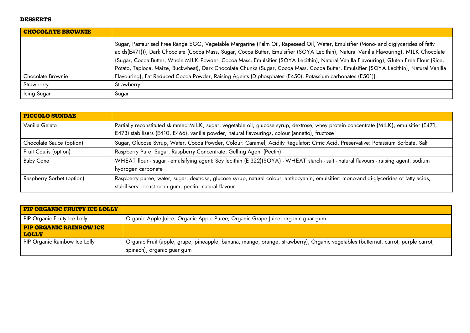### **DESSERTS**

| <b>CHOCOLATE BROWNIE</b> |                                                                                                                                                                                                                                                                                                                                                                                                                                                                                                                                                                    |
|--------------------------|--------------------------------------------------------------------------------------------------------------------------------------------------------------------------------------------------------------------------------------------------------------------------------------------------------------------------------------------------------------------------------------------------------------------------------------------------------------------------------------------------------------------------------------------------------------------|
|                          | Sugar, Pasteurised Free Range EGG, Vegetable Margarine (Palm Oil, Rapeseed Oil, Water, Emulsifier (Mono- and diglycerides of fatty<br>acids(E471))), Dark Chocolate (Cocoa Mass, Sugar, Cocoa Butter, Emulsifier (SOYA Lecithin), Natural Vanilla Flavouring), MILK Chocolate<br>(Sugar, Cocoa Butter, Whole MILK Powder, Cocoa Mass, Emulsifier (SOYA Lecithin), Natural Vanilla Flavouring), Gluten Free Flour (Rice,<br>Potato, Tapioca, Maize, Buckwheat), Dark Chocolate Chunks (Sugar, Cocoa Mass, Cocoa Butter, Emulsifier (SOYA Lecithin), Natural Vanilla |
| Chocolate Brownie        | Flavouring), Fat Reduced Cocoa Powder, Raising Agents (Diphosphates (E450), Potassium carbonates (E501)).                                                                                                                                                                                                                                                                                                                                                                                                                                                          |
| Strawberry               | Strawberry                                                                                                                                                                                                                                                                                                                                                                                                                                                                                                                                                         |
| Icing Sugar              | Sugar                                                                                                                                                                                                                                                                                                                                                                                                                                                                                                                                                              |

| <b>PICCOLO SUNDAE</b>     |                                                                                                                                                                                                                                            |
|---------------------------|--------------------------------------------------------------------------------------------------------------------------------------------------------------------------------------------------------------------------------------------|
| Vanilla Gelato            | Partially reconstituted skimmed MILK, sugar, vegetable oil, glucose syrup, dextrose, whey protein concentrate (MILK), emulsifier (E471,<br>E473) stabilisers (E410, E466), vanilla powder, natural flavourings, colour (annatto), fructose |
| Chocolate Sauce (option)  | Sugar, Glucose Syrup, Water, Cocoa Powder, Colour: Caramel, Acidity Regulator: Citric Acid, Preservative: Potassium Sorbate, Salt                                                                                                          |
| Fruit Coulis (option)     | Raspberry Pure, Sugar, Raspberry Concentrate, Gelling Agent (Pectin)                                                                                                                                                                       |
| <b>Baby Cone</b>          | WHEAT flour - sugar - emulsifying agent: Soy lecithin (E 322)(SOYA) - WHEAT starch - salt - natural flavours - raising agent: sodium<br>hydrogen carbonate                                                                                 |
| Raspberry Sorbet (option) | Raspberry puree, water, sugar, dextrose, glucose syrup, natural colour: anthocyanin, emulsifier: mono-and di-glycerides of fatty acids,<br>stabilisers: locust bean gum, pectin; natural flavour.                                          |

| <b>PIP ORGANIC FRUITY ICE LOLLY</b>            |                                                                                                                                                                 |
|------------------------------------------------|-----------------------------------------------------------------------------------------------------------------------------------------------------------------|
| PIP Organic Fruity Ice Lolly                   | Organic Apple Juice, Organic Apple Puree, Organic Grape Juice, organic guar gum                                                                                 |
| <b>PIP ORGANIC RAINBOW ICE</b><br><b>LOLLY</b> |                                                                                                                                                                 |
| PIP Organic Rainbow Ice Lolly                  | Organic Fruit (apple, grape, pineapple, banana, mango, orange, strawberry), Organic vegetables (butternut, carrot, purple carrot,<br>spinach), organic guar gum |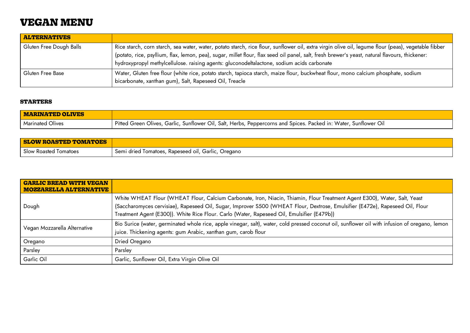# **VEGAN MENU**

| <b>ALTERNATIVES</b>     |                                                                                                                                                     |
|-------------------------|-----------------------------------------------------------------------------------------------------------------------------------------------------|
| Gluten Free Dough Balls | Rice starch, corn starch, sea water, water, potato starch, rice flour, sunflower oil, extra virgin olive oil, legume flour (peas), vegetable fibber |
|                         | (potato, rice, psyllium, flax, lemon, pea), sugar, millet flour, flax seed oil panel, salt, fresh brewer's yeast, natural flavours, thickener:      |
|                         | hydroxypropyl methylcellulose. raising agents: gluconodeltalactone, sodium acids carbonate                                                          |
| Gluten Free Base        | Water, Gluten free flour (white rice, potato starch, tapioca starch, maize flour, buckwheat flour, mono calcium phosphate, sodium                   |
|                         | bicarbonate, xanthan gum), Salt, Rapeseed Oil, Treacle                                                                                              |

### **STARTERS**

| <b>MARINATED OLIVES</b> |                                                                                                                  |
|-------------------------|------------------------------------------------------------------------------------------------------------------|
| Marinated Olives        | Pitted Green Olives, Garlic, Sunflower Oil, Salt, Herbs, Peppercorns and Spices. Packed in: Water, Sunflower Oil |

| <b>SLOW ROASTED TOMATOES</b> |                                                           |
|------------------------------|-----------------------------------------------------------|
| Slow Roasted Tomatoes        | Semi dried Tomatoes, Rapeseed oil, Garlic, C<br>, Oregano |

| <b>GARLIC BREAD WITH VEGAN</b><br><b>MOZZARELLA ALTERNATIVE</b> |                                                                                                                                                                                                                                                                                                                                                          |
|-----------------------------------------------------------------|----------------------------------------------------------------------------------------------------------------------------------------------------------------------------------------------------------------------------------------------------------------------------------------------------------------------------------------------------------|
| Dough                                                           | White WHEAT Flour (WHEAT Flour, Calcium Carbonate, Iron, Niacin, Thiamin, Flour Treatment Agent E300), Water, Salt, Yeast<br>(Saccharomyces cervisiae), Rapeseed Oil, Sugar, Improver S500 (WHEAT Flour, Dextrose, Emulsifier (E472e), Rapeseed Oil, Flour<br>Treatment Agent (E300)). White Rice Flour. Carlo (Water, Rapeseed Oil, Emulsifier (E479b)) |
| Vegan Mozzarella Alternative                                    | Bio Surice (water, germinated whole rice, apple vinegar, salt), water, cold pressed coconut oil, sunflower oil with infusion of oregano, lemon<br>juice. Thickening agents: gum Arabic, xanthan gum, carob flour                                                                                                                                         |
| Oregano                                                         | Dried Oregano                                                                                                                                                                                                                                                                                                                                            |
| Parsley                                                         | Parsley                                                                                                                                                                                                                                                                                                                                                  |
| Garlic Oil                                                      | Garlic, Sunflower Oil, Extra Virgin Olive Oil                                                                                                                                                                                                                                                                                                            |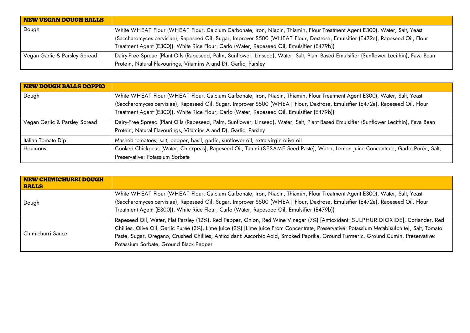| <b>NEW VEGAN DOUGH BALLS</b>  |                                                                                                                                                                                                                                                                                                                                                          |
|-------------------------------|----------------------------------------------------------------------------------------------------------------------------------------------------------------------------------------------------------------------------------------------------------------------------------------------------------------------------------------------------------|
| Dough                         | White WHEAT Flour (WHEAT Flour, Calcium Carbonate, Iron, Niacin, Thiamin, Flour Treatment Agent E300), Water, Salt, Yeast<br>(Saccharomyces cervisiae), Rapeseed Oil, Sugar, Improver S500 (WHEAT Flour, Dextrose, Emulsifier (E472e), Rapeseed Oil, Flour<br>Treatment Agent (E300)). White Rice Flour. Carlo (Water, Rapeseed Oil, Emulsifier (E479b)) |
| Vegan Garlic & Parsley Spread | Dairy-Free Spread (Plant Oils (Rapeseed, Palm, Sunflower, Linseed), Water, Salt, Plant Based Emulsifier (Sunflower Lecithin), Fava Bean<br>Protein, Natural Flavourings, Vitamins A and D), Garlic, Parsley                                                                                                                                              |

| NEW DOUGH BALLS DOPPIO        |                                                                                                                                                                                                                                                                                                                                                          |
|-------------------------------|----------------------------------------------------------------------------------------------------------------------------------------------------------------------------------------------------------------------------------------------------------------------------------------------------------------------------------------------------------|
| Dough                         | White WHEAT Flour (WHEAT Flour, Calcium Carbonate, Iron, Niacin, Thiamin, Flour Treatment Agent E300), Water, Salt, Yeast<br>(Saccharomyces cervisiae), Rapeseed Oil, Sugar, Improver S500 (WHEAT Flour, Dextrose, Emulsifier (E472e), Rapeseed Oil, Flour<br>Treatment Agent (E300)), White Rice Flour, Carlo (Water, Rapeseed Oil, Emulsifier (E479b)) |
| Vegan Garlic & Parsley Spread | Dairy-Free Spread (Plant Oils (Rapeseed, Palm, Sunflower, Linseed), Water, Salt, Plant Based Emulsifier (Sunflower Lecithin), Fava Bean<br>Protein, Natural Flavourings, Vitamins A and D), Garlic, Parsley                                                                                                                                              |
| Italian Tomato Dip            | Mashed tomatoes, salt, pepper, basil, garlic, sunflower oil, extra virgin olive oil                                                                                                                                                                                                                                                                      |
| Houmous                       | Cooked Chickpeas [Water, Chickpeas], Rapeseed Oil, Tahini (SESAME Seed Paste), Water, Lemon Juice Concentrate, Garlic Purée, Salt,<br>Preservative: Potassium Sorbate                                                                                                                                                                                    |

| NEW CHIMICHURRI DOUGH<br><b>BALLS</b> |                                                                                                                                                                                                                                                                                                                                                                                                                                                                |
|---------------------------------------|----------------------------------------------------------------------------------------------------------------------------------------------------------------------------------------------------------------------------------------------------------------------------------------------------------------------------------------------------------------------------------------------------------------------------------------------------------------|
| Dough                                 | White WHEAT Flour (WHEAT Flour, Calcium Carbonate, Iron, Niacin, Thiamin, Flour Treatment Agent E300), Water, Salt, Yeast<br>(Saccharomyces cervisiae), Rapeseed Oil, Sugar, Improver S500 (WHEAT Flour, Dextrose, Emulsifier (E472e), Rapeseed Oil, Flour<br>Treatment Agent (E300)), White Rice Flour, Carlo (Water, Rapeseed Oil, Emulsifier (E479b))                                                                                                       |
| Chimichurri Sauce                     | Rapeseed Oil, Water, Flat Parsley (12%), Red Pepper, Onion, Red Wine Vinegar (7%) [Antioxidant: SULPHUR DIOXIDE], Coriander, Red<br>Chillies, Olive Oil, Garlic Purée (3%), Lime Juice (2%) [Lime Juice From Concentrate, Preservative: Potassium Metabisulphite], Salt, Tomato<br>Paste, Sugar, Oregano, Crushed Chillies, Antioxidant: Ascorbic Acid, Smoked Paprika, Ground Turmeric, Ground Cumin, Preservative:<br>Potassium Sorbate, Ground Black Pepper |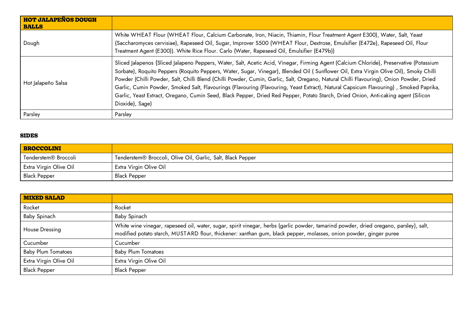| <b>HOT JALAPEÑOS DOUGH</b><br><b>BALLS</b> |                                                                                                                                                                                                                                                                                                                                                                                                                                                                                                                                                                                                                                                                                                                               |
|--------------------------------------------|-------------------------------------------------------------------------------------------------------------------------------------------------------------------------------------------------------------------------------------------------------------------------------------------------------------------------------------------------------------------------------------------------------------------------------------------------------------------------------------------------------------------------------------------------------------------------------------------------------------------------------------------------------------------------------------------------------------------------------|
| Dough                                      | White WHEAT Flour (WHEAT Flour, Calcium Carbonate, Iron, Niacin, Thiamin, Flour Treatment Agent E300), Water, Salt, Yeast<br>(Saccharomyces cervisiae), Rapeseed Oil, Sugar, Improver S500 (WHEAT Flour, Dextrose, Emulsifier (E472e), Rapeseed Oil, Flour<br>Treatment Agent (E300)). White Rice Flour. Carlo (Water, Rapeseed Oil, Emulsifier (E479b))                                                                                                                                                                                                                                                                                                                                                                      |
| Hot Jalapeño Salsa                         | Sliced Jalapenos (Sliced Jalapeno Peppers, Water, Salt, Acetic Acid, Vinegar, Firming Agent (Calcium Chloride), Preservative (Potassium<br>Sorbate), Roquito Peppers (Roquito Peppers, Water, Sugar, Vinegar), Blended Oil (Sunflower Oil, Extra Virgin Olive Oil), Smoky Chilli<br>Powder (Chilli Powder, Salt, Chilli Blend (Chilli Powder, Cumin, Garlic, Salt, Oregano, Natural Chilli Flavouring), Onion Powder, Dried<br>Garlic, Cumin Powder, Smoked Salt, Flavourings (Flavouring (Flavouring, Yeast Extract), Natural Capsicum Flavouring), Smoked Paprika,<br>Garlic, Yeast Extract, Oregano, Cumin Seed, Black Pepper, Dried Red Pepper, Potato Starch, Dried Onion, Anti-caking agent (Silicon<br>Dioxide), Sage) |
| Parsley                                    | Parsley                                                                                                                                                                                                                                                                                                                                                                                                                                                                                                                                                                                                                                                                                                                       |

## **SIDES**

| BROCCOLINI                       |                                                             |
|----------------------------------|-------------------------------------------------------------|
| Tenderstem <sup>®</sup> Broccoli | Tenderstem® Broccoli, Olive Oil, Garlic, Salt, Black Pepper |
| <b>Extra Virgin Olive Oil</b>    | Extra Virgin Olive Oil                                      |
| <b>Black Pepper</b>              | Black Pepper                                                |

| <b>MIXED SALAD</b>        |                                                                                                                                                                                                                                                            |
|---------------------------|------------------------------------------------------------------------------------------------------------------------------------------------------------------------------------------------------------------------------------------------------------|
| Rocket                    | Rocket                                                                                                                                                                                                                                                     |
| Baby Spinach              | Baby Spinach                                                                                                                                                                                                                                               |
| House Dressing            | White wine vinegar, rapeseed oil, water, sugar, spirit vinegar, herbs (garlic powder, tamarind powder, dried oregano, parsley), salt,<br>modified potato starch, MUSTARD flour, thickener: xanthan gum, black pepper, molasses, onion powder, ginger puree |
| Cucumber                  | Cucumber                                                                                                                                                                                                                                                   |
| <b>Baby Plum Tomatoes</b> | <b>Baby Plum Tomatoes</b>                                                                                                                                                                                                                                  |
| Extra Virgin Olive Oil    | Extra Virgin Olive Oil                                                                                                                                                                                                                                     |
| <b>Black Pepper</b>       | <b>Black Pepper</b>                                                                                                                                                                                                                                        |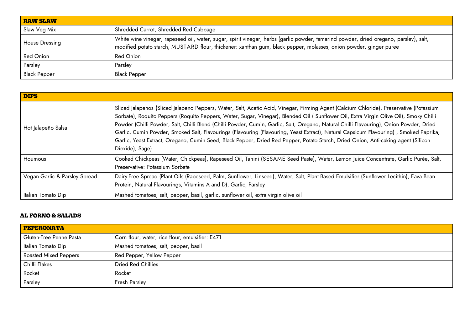| <b>RAW SLAW</b>     |                                                                                                                                                                                                                                                            |
|---------------------|------------------------------------------------------------------------------------------------------------------------------------------------------------------------------------------------------------------------------------------------------------|
| Slaw Veg Mix        | Shredded Carrot, Shredded Red Cabbage                                                                                                                                                                                                                      |
| House Dressing      | White wine vinegar, rapeseed oil, water, sugar, spirit vinegar, herbs (garlic powder, tamarind powder, dried oregano, parsley), salt,<br>modified potato starch, MUSTARD flour, thickener: xanthan gum, black pepper, molasses, onion powder, ginger puree |
| <b>Red Onion</b>    | <b>Red Onion</b>                                                                                                                                                                                                                                           |
| Parsley             | Parsley                                                                                                                                                                                                                                                    |
| <b>Black Pepper</b> | <b>Black Pepper</b>                                                                                                                                                                                                                                        |

| <b>DIPS</b>                   |                                                                                                                                                                                                                                                                                                                                                                                                                                                                                                                                                                                                                                                                                                                               |
|-------------------------------|-------------------------------------------------------------------------------------------------------------------------------------------------------------------------------------------------------------------------------------------------------------------------------------------------------------------------------------------------------------------------------------------------------------------------------------------------------------------------------------------------------------------------------------------------------------------------------------------------------------------------------------------------------------------------------------------------------------------------------|
| Hot Jalapeño Salsa            | Sliced Jalapenos (Sliced Jalapeno Peppers, Water, Salt, Acetic Acid, Vinegar, Firming Agent (Calcium Chloride), Preservative (Potassium<br>Sorbate), Roquito Peppers (Roquito Peppers, Water, Sugar, Vinegar), Blended Oil (Sunflower Oil, Extra Virgin Olive Oil), Smoky Chilli<br>Powder (Chilli Powder, Salt, Chilli Blend (Chilli Powder, Cumin, Garlic, Salt, Oregano, Natural Chilli Flavouring), Onion Powder, Dried<br>Garlic, Cumin Powder, Smoked Salt, Flavourings (Flavouring (Flavouring, Yeast Extract), Natural Capsicum Flavouring), Smoked Paprika,<br>Garlic, Yeast Extract, Oregano, Cumin Seed, Black Pepper, Dried Red Pepper, Potato Starch, Dried Onion, Anti-caking agent (Silicon<br>Dioxide), Sage) |
| <b>Houmous</b>                | Cooked Chickpeas [Water, Chickpeas], Rapeseed Oil, Tahini (SESAME Seed Paste), Water, Lemon Juice Concentrate, Garlic Purée, Salt,<br>Preservative: Potassium Sorbate                                                                                                                                                                                                                                                                                                                                                                                                                                                                                                                                                         |
| Vegan Garlic & Parsley Spread | Dairy-Free Spread (Plant Oils (Rapeseed, Palm, Sunflower, Linseed), Water, Salt, Plant Based Emulsifier (Sunflower Lecithin), Fava Bean<br>Protein, Natural Flavourings, Vitamins A and D), Garlic, Parsley                                                                                                                                                                                                                                                                                                                                                                                                                                                                                                                   |
| Italian Tomato Dip            | Mashed tomatoes, salt, pepper, basil, garlic, sunflower oil, extra virgin olive oil                                                                                                                                                                                                                                                                                                                                                                                                                                                                                                                                                                                                                                           |

### **AL FORNO & SALADS**

| PEPERONATA                   |                                                 |
|------------------------------|-------------------------------------------------|
| Gluten-Free Penne Pasta      | Corn flour, water, rice flour, emulsifier: E471 |
| Italian Tomato Dip           | Mashed tomatoes, salt, pepper, basil            |
| <b>Roasted Mixed Peppers</b> | Red Pepper, Yellow Pepper                       |
| Chilli Flakes                | <b>Dried Red Chillies</b>                       |
| Rocket                       | Rocket                                          |
| Parsley                      | Fresh Parsley                                   |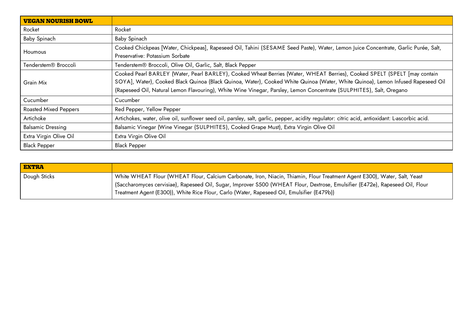| <b>VEGAN NOURISH BOWL</b>    |                                                                                                                                                                                                                                                                                                                                                                                    |
|------------------------------|------------------------------------------------------------------------------------------------------------------------------------------------------------------------------------------------------------------------------------------------------------------------------------------------------------------------------------------------------------------------------------|
| Rocket                       | Rocket                                                                                                                                                                                                                                                                                                                                                                             |
| <b>Baby Spinach</b>          | Baby Spinach                                                                                                                                                                                                                                                                                                                                                                       |
| Houmous                      | Cooked Chickpeas [Water, Chickpeas], Rapeseed Oil, Tahini (SESAME Seed Paste), Water, Lemon Juice Concentrate, Garlic Purée, Salt,<br>Preservative: Potassium Sorbate                                                                                                                                                                                                              |
| Tenderstem® Broccoli         | Tenderstem <sup>®</sup> Broccoli, Olive Oil, Garlic, Salt, Black Pepper                                                                                                                                                                                                                                                                                                            |
| Grain Mix                    | Cooked Pearl BARLEY (Water, Pearl BARLEY), Cooked Wheat Berries (Water, WHEAT Berries), Cooked SPELT (SPELT [may contain<br>SOYA], Water), Cooked Black Quinoa (Black Quinoa, Water), Cooked White Quinoa (Water, White Quinoa), Lemon Infused Rapeseed Oil<br>(Rapeseed Oil, Natural Lemon Flavouring), White Wine Vinegar, Parsley, Lemon Concentrate (SULPHITES), Salt, Oregano |
| Cucumber                     | Cucumber                                                                                                                                                                                                                                                                                                                                                                           |
| <b>Roasted Mixed Peppers</b> | Red Pepper, Yellow Pepper                                                                                                                                                                                                                                                                                                                                                          |
| Artichoke                    | Artichokes, water, olive oil, sunflower seed oil, parsley, salt, garlic, pepper, acidity regulator: citric acid, antioxidant: L-ascorbic acid.                                                                                                                                                                                                                                     |
| <b>Balsamic Dressing</b>     | Balsamic Vinegar (Wine Vinegar (SULPHITES), Cooked Grape Must), Extra Virgin Olive Oil                                                                                                                                                                                                                                                                                             |
| Extra Virgin Olive Oil       | Extra Virgin Olive Oil                                                                                                                                                                                                                                                                                                                                                             |
| <b>Black Pepper</b>          | <b>Black Pepper</b>                                                                                                                                                                                                                                                                                                                                                                |

| <b>EXTRA</b> |                                                                                                                                                                                                                                                                                                                                                           |
|--------------|-----------------------------------------------------------------------------------------------------------------------------------------------------------------------------------------------------------------------------------------------------------------------------------------------------------------------------------------------------------|
| Dough Sticks | White WHEAT Flour (WHEAT Flour, Calcium Carbonate, Iron, Niacin, Thiamin, Flour Treatment Agent E300), Water, Salt, Yeast<br>Saccharomyces cervisiae), Rapeseed Oil, Sugar, Improver S500 (WHEAT Flour, Dextrose, Emulsifier (E472e), Rapeseed Oil, Flour  <br>Treatment Agent (E300)), White Rice Flour, Carlo (Water, Rapeseed Oil, Emulsifier (E479b)) |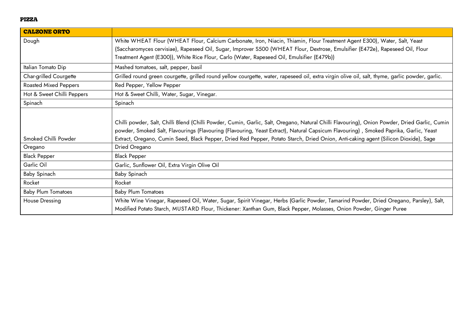#### **PIZZA**

| <b>CALZONE ORTO</b>        |                                                                                                                                                                                                                                                                                                                                                                                                                               |
|----------------------------|-------------------------------------------------------------------------------------------------------------------------------------------------------------------------------------------------------------------------------------------------------------------------------------------------------------------------------------------------------------------------------------------------------------------------------|
| Dough                      | White WHEAT Flour (WHEAT Flour, Calcium Carbonate, Iron, Niacin, Thiamin, Flour Treatment Agent E300), Water, Salt, Yeast                                                                                                                                                                                                                                                                                                     |
|                            | (Saccharomyces cervisiae), Rapeseed Oil, Sugar, Improver S500 (WHEAT Flour, Dextrose, Emulsifier (E472e), Rapeseed Oil, Flour                                                                                                                                                                                                                                                                                                 |
|                            | Treatment Agent (E300)), White Rice Flour, Carlo (Water, Rapeseed Oil, Emulsifier (E479b))                                                                                                                                                                                                                                                                                                                                    |
| Italian Tomato Dip         | Mashed tomatoes, salt, pepper, basil                                                                                                                                                                                                                                                                                                                                                                                          |
| Char-grilled Courgette     | Grilled round green courgette, grilled round yellow courgette, water, rapeseed oil, extra virgin olive oil, salt, thyme, garlic powder, garlic.                                                                                                                                                                                                                                                                               |
| Roasted Mixed Peppers      | Red Pepper, Yellow Pepper                                                                                                                                                                                                                                                                                                                                                                                                     |
| Hot & Sweet Chilli Peppers | Hot & Sweet Chilli, Water, Sugar, Vinegar.                                                                                                                                                                                                                                                                                                                                                                                    |
| Spinach                    | Spinach                                                                                                                                                                                                                                                                                                                                                                                                                       |
| Smoked Chilli Powder       | Chilli powder, Salt, Chilli Blend (Chilli Powder, Cumin, Garlic, Salt, Oregano, Natural Chilli Flavouring), Onion Powder, Dried Garlic, Cumin<br>powder, Smoked Salt, Flavourings (Flavouring (Flavouring, Yeast Extract), Natural Capsicum Flavouring), Smoked Paprika, Garlic, Yeast<br>Extract, Oregano, Cumin Seed, Black Pepper, Dried Red Pepper, Potato Starch, Dried Onion, Anti-caking agent (Silicon Dioxide), Sage |
| Oregano                    | Dried Oregano                                                                                                                                                                                                                                                                                                                                                                                                                 |
| <b>Black Pepper</b>        | <b>Black Pepper</b>                                                                                                                                                                                                                                                                                                                                                                                                           |
| Garlic Oil                 | Garlic, Sunflower Oil, Extra Virgin Olive Oil                                                                                                                                                                                                                                                                                                                                                                                 |
| Baby Spinach               | Baby Spinach                                                                                                                                                                                                                                                                                                                                                                                                                  |
| Rocket                     | Rocket                                                                                                                                                                                                                                                                                                                                                                                                                        |
| <b>Baby Plum Tomatoes</b>  | <b>Baby Plum Tomatoes</b>                                                                                                                                                                                                                                                                                                                                                                                                     |
| House Dressing             | White Wine Vinegar, Rapeseed Oil, Water, Sugar, Spirit Vinegar, Herbs (Garlic Powder, Tamarind Powder, Dried Oregano, Parsley), Salt,<br>Modified Potato Starch, MUSTARD Flour, Thickener: Xanthan Gum, Black Pepper, Molasses, Onion Powder, Ginger Puree                                                                                                                                                                    |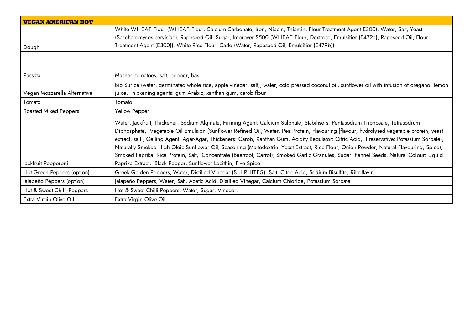| <b>VEGAN AMERICAN HOT</b>    |                                                                                                                                                |
|------------------------------|------------------------------------------------------------------------------------------------------------------------------------------------|
|                              | White WHEAT Flour (WHEAT Flour, Calcium Carbonate, Iron, Niacin, Thiamin, Flour Treatment Agent E300), Water, Salt, Yeast                      |
|                              | (Saccharomyces cervisiae), Rapeseed Oil, Sugar, Improver S500 (WHEAT Flour, Dextrose, Emulsifier (E472e), Rapeseed Oil, Flour                  |
| Dough                        | Treatment Agent (E300)). White Rice Flour. Carlo (Water, Rapeseed Oil, Emulsifier (E479b))                                                     |
|                              |                                                                                                                                                |
|                              |                                                                                                                                                |
| Passata                      | Mashed tomatoes, salt, pepper, basil                                                                                                           |
|                              | Bio Surice (water, germinated whole rice, apple vinegar, salt), water, cold pressed coconut oil, sunflower oil with infusion of oregano, lemon |
| Vegan Mozzarella Alternative | juice. Thickening agents: gum Arabic, xanthan gum, carob flour                                                                                 |
| Tomato                       | Tomato                                                                                                                                         |
| <b>Roasted Mixed Peppers</b> | Yellow Pepper                                                                                                                                  |
|                              | Water, Jackfruit, Thickener: Sodium Alginate, Firming Agent: Calcium Sulphate, Stabilisers: Pentasodium Triphosate, Tetrasodium                |
|                              | Diphosphate, Vegetable Oil Emulsion (Sunflower Refined Oil, Water, Pea Protein, Flavouring [flavour, hydrolysed vegetable protein, yeast       |
|                              | extract, salt], Gelling Agent: Agar-Agar, Thickeners: Carob, Xanthan Gum, Acidity Regulator: Citric Acid, Preservative: Potassium Sorbate),    |
|                              | Naturally Smoked High Oleic Sunflower Oil, Seasoning (Maltodextrin, Yeast Extract, Rice Flour, Onion Powder, Natural Flavouring, Spice),       |
|                              | Smoked Paprika, Rice Protein, Salt, Concentrate (Beetroot, Carrot), Smoked Garlic Granules, Sugar, Fennel Seeds, Natural Colour: Liquid        |
| Jackfruit Pepperoni          | Paprika Extract, Black Pepper, Sunflower Lecithin, Five Spice                                                                                  |
| Hot Green Peppers (option)   | Greek Golden Peppers, Water, Distilled Vinegar (SULPHITES), Salt, Citric Acid, Sodium Bisulfite, Riboflavin                                    |
| Jalapeño Peppers (option)    | Jalapeño Peppers, Water, Salt, Acetic Acid, Distilled Vinegar, Calcium Chloride, Potassium Sorbate                                             |
| Hot & Sweet Chilli Peppers   | Hot & Sweet Chilli Peppers, Water, Sugar, Vinegar.                                                                                             |
| Extra Virgin Olive Oil       | Extra Virgin Olive Oil                                                                                                                         |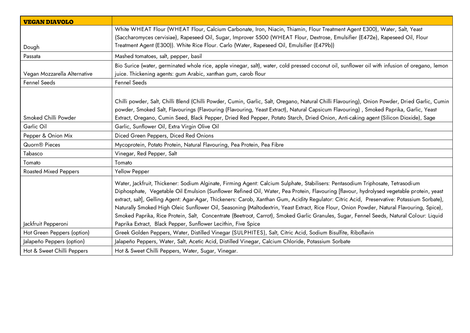| <b>VEGAN DIAVOLO</b>         |                                                                                                                                                                                                                                                                                                                                                                                                                                                                                                                                                                                                                                                                                                                   |
|------------------------------|-------------------------------------------------------------------------------------------------------------------------------------------------------------------------------------------------------------------------------------------------------------------------------------------------------------------------------------------------------------------------------------------------------------------------------------------------------------------------------------------------------------------------------------------------------------------------------------------------------------------------------------------------------------------------------------------------------------------|
|                              | White WHEAT Flour (WHEAT Flour, Calcium Carbonate, Iron, Niacin, Thiamin, Flour Treatment Agent E300), Water, Salt, Yeast                                                                                                                                                                                                                                                                                                                                                                                                                                                                                                                                                                                         |
|                              | (Saccharomyces cervisiae), Rapeseed Oil, Sugar, Improver S500 (WHEAT Flour, Dextrose, Emulsifier (E472e), Rapeseed Oil, Flour                                                                                                                                                                                                                                                                                                                                                                                                                                                                                                                                                                                     |
| Dough                        | Treatment Agent (E300)). White Rice Flour. Carlo (Water, Rapeseed Oil, Emulsifier (E479b))                                                                                                                                                                                                                                                                                                                                                                                                                                                                                                                                                                                                                        |
| Passata                      | Mashed tomatoes, salt, pepper, basil                                                                                                                                                                                                                                                                                                                                                                                                                                                                                                                                                                                                                                                                              |
| Vegan Mozzarella Alternative | Bio Surice (water, germinated whole rice, apple vinegar, salt), water, cold pressed coconut oil, sunflower oil with infusion of oregano, lemon<br>juice. Thickening agents: gum Arabic, xanthan gum, carob flour                                                                                                                                                                                                                                                                                                                                                                                                                                                                                                  |
| Fennel Seeds                 | <b>Fennel Seeds</b>                                                                                                                                                                                                                                                                                                                                                                                                                                                                                                                                                                                                                                                                                               |
|                              |                                                                                                                                                                                                                                                                                                                                                                                                                                                                                                                                                                                                                                                                                                                   |
|                              | Chilli powder, Salt, Chilli Blend (Chilli Powder, Cumin, Garlic, Salt, Oregano, Natural Chilli Flavouring), Onion Powder, Dried Garlic, Cumin<br>powder, Smoked Salt, Flavourings (Flavouring (Flavouring, Yeast Extract), Natural Capsicum Flavouring), Smoked Paprika, Garlic, Yeast                                                                                                                                                                                                                                                                                                                                                                                                                            |
| Smoked Chilli Powder         | Extract, Oregano, Cumin Seed, Black Pepper, Dried Red Pepper, Potato Starch, Dried Onion, Anti-caking agent (Silicon Dioxide), Sage                                                                                                                                                                                                                                                                                                                                                                                                                                                                                                                                                                               |
| Garlic Oil                   | Garlic, Sunflower Oil, Extra Virgin Olive Oil                                                                                                                                                                                                                                                                                                                                                                                                                                                                                                                                                                                                                                                                     |
| Pepper & Onion Mix           | Diced Green Peppers, Diced Red Onions                                                                                                                                                                                                                                                                                                                                                                                                                                                                                                                                                                                                                                                                             |
| Quorn <sup>®</sup> Pieces    | Mycoprotein, Potato Protein, Natural Flavouring, Pea Protein, Pea Fibre                                                                                                                                                                                                                                                                                                                                                                                                                                                                                                                                                                                                                                           |
| Tabasco                      | Vinegar, Red Pepper, Salt                                                                                                                                                                                                                                                                                                                                                                                                                                                                                                                                                                                                                                                                                         |
| Tomato                       | Tomato                                                                                                                                                                                                                                                                                                                                                                                                                                                                                                                                                                                                                                                                                                            |
| <b>Roasted Mixed Peppers</b> | Yellow Pepper                                                                                                                                                                                                                                                                                                                                                                                                                                                                                                                                                                                                                                                                                                     |
|                              | Water, Jackfruit, Thickener: Sodium Alginate, Firming Agent: Calcium Sulphate, Stabilisers: Pentasodium Triphosate, Tetrasodium<br>Diphosphate, Vegetable Oil Emulsion (Sunflower Refined Oil, Water, Pea Protein, Flavouring [flavour, hydrolysed vegetable protein, yeast<br>extract, salt], Gelling Agent: Agar-Agar, Thickeners: Carob, Xanthan Gum, Acidity Regulator: Citric Acid, Preservative: Potassium Sorbate),<br>Naturally Smoked High Oleic Sunflower Oil, Seasoning (Maltodextrin, Yeast Extract, Rice Flour, Onion Powder, Natural Flavouring, Spice),<br>Smoked Paprika, Rice Protein, Salt, Concentrate (Beetroot, Carrot), Smoked Garlic Granules, Sugar, Fennel Seeds, Natural Colour: Liquid |
| Jackfruit Pepperoni          | Paprika Extract, Black Pepper, Sunflower Lecithin, Five Spice                                                                                                                                                                                                                                                                                                                                                                                                                                                                                                                                                                                                                                                     |
| Hot Green Peppers (option)   | Greek Golden Peppers, Water, Distilled Vinegar (SULPHITES), Salt, Citric Acid, Sodium Bisulfite, Riboflavin                                                                                                                                                                                                                                                                                                                                                                                                                                                                                                                                                                                                       |
| Jalapeño Peppers (option)    | Jalapeño Peppers, Water, Salt, Acetic Acid, Distilled Vinegar, Calcium Chloride, Potassium Sorbate                                                                                                                                                                                                                                                                                                                                                                                                                                                                                                                                                                                                                |
| Hot & Sweet Chilli Peppers   | Hot & Sweet Chilli Peppers, Water, Sugar, Vinegar.                                                                                                                                                                                                                                                                                                                                                                                                                                                                                                                                                                                                                                                                |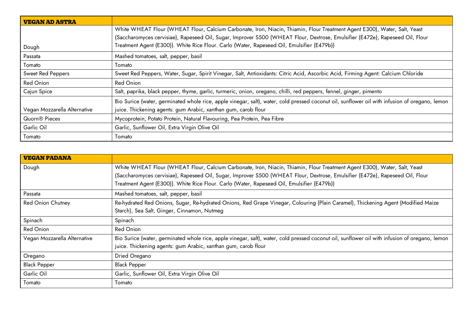| VEGAN AD ASTRA               |                                                                                                                                                |  |
|------------------------------|------------------------------------------------------------------------------------------------------------------------------------------------|--|
|                              | White WHEAT Flour (WHEAT Flour, Calcium Carbonate, Iron, Niacin, Thiamin, Flour Treatment Agent E300), Water, Salt, Yeast                      |  |
|                              | (Saccharomyces cervisiae), Rapeseed Oil, Sugar, Improver S500 (WHEAT Flour, Dextrose, Emulsifier (E472e), Rapeseed Oil, Flour                  |  |
| Dough                        | Treatment Agent (E300)). White Rice Flour. Carlo (Water, Rapeseed Oil, Emulsifier (E479b))                                                     |  |
| Passata                      | Mashed tomatoes, salt, pepper, basil                                                                                                           |  |
| Tomato                       | Tomato                                                                                                                                         |  |
| Sweet Red Peppers            | Sweet Red Peppers, Water, Sugar, Spirit Vinegar, Salt, Antioxidants: Citric Acid, Ascorbic Acid, Firming Agent: Calcium Chloride               |  |
| Red Onion                    | <b>Red Onion</b>                                                                                                                               |  |
| Cajun Spice                  | Salt, paprika, black pepper, thyme, garlic, turmeric, onion, oregano, chilli, red peppers, fennel, ginger, pimento                             |  |
|                              | Bio Surice (water, germinated whole rice, apple vinegar, salt), water, cold pressed coconut oil, sunflower oil with infusion of oregano, lemon |  |
| Vegan Mozzarella Alternative | juice. Thickening agents: gum Arabic, xanthan gum, carob flour                                                                                 |  |
| Quorn <sup>®</sup> Pieces    | Mycoprotein, Potato Protein, Natural Flavouring, Pea Protein, Pea Fibre                                                                        |  |
| Garlic Oil                   | Garlic, Sunflower Oil, Extra Virgin Olive Oil                                                                                                  |  |
| Tomato                       | Tomato                                                                                                                                         |  |

| <b>VEGAN PADANA</b>          |                                                                                                                                                                                                                                                                                                                                                          |  |
|------------------------------|----------------------------------------------------------------------------------------------------------------------------------------------------------------------------------------------------------------------------------------------------------------------------------------------------------------------------------------------------------|--|
| Dough                        | White WHEAT Flour (WHEAT Flour, Calcium Carbonate, Iron, Niacin, Thiamin, Flour Treatment Agent E300), Water, Salt, Yeast<br>(Saccharomyces cervisiae), Rapeseed Oil, Sugar, Improver S500 (WHEAT Flour, Dextrose, Emulsifier (E472e), Rapeseed Oil, Flour<br>Treatment Agent (E300)). White Rice Flour. Carlo (Water, Rapeseed Oil, Emulsifier (E479b)) |  |
| Passata                      | Mashed tomatoes, salt, pepper, basil                                                                                                                                                                                                                                                                                                                     |  |
| <b>Red Onion Chutney</b>     | Re-hydrated Red Onions, Sugar, Re-hydrated Onions, Red Grape Vinegar, Colouring (Plain Caramel), Thickening Agent (Modified Maize<br>Starch), Sea Salt, Ginger, Cinnamon, Nutmeg                                                                                                                                                                         |  |
| Spinach                      | Spinach                                                                                                                                                                                                                                                                                                                                                  |  |
| <b>Red Onion</b>             | <b>Red Onion</b>                                                                                                                                                                                                                                                                                                                                         |  |
| Vegan Mozzarella Alternative | Bio Surice (water, germinated whole rice, apple vinegar, salt), water, cold pressed coconut oil, sunflower oil with infusion of oregano, lemon<br>juice. Thickening agents: gum Arabic, xanthan gum, carob flour                                                                                                                                         |  |
| Oregano                      | Dried Oregano                                                                                                                                                                                                                                                                                                                                            |  |
| <b>Black Pepper</b>          | <b>Black Pepper</b>                                                                                                                                                                                                                                                                                                                                      |  |
| Garlic Oil                   | Garlic, Sunflower Oil, Extra Virgin Olive Oil                                                                                                                                                                                                                                                                                                            |  |
| Tomato                       | Tomato                                                                                                                                                                                                                                                                                                                                                   |  |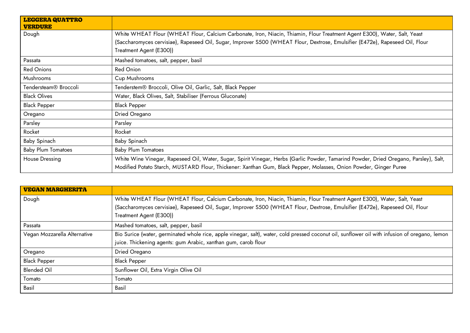| <b>LEGGERA QUATTRO</b><br><b>VERDURE</b> |                                                                                                                                                                                                                                                                                       |  |
|------------------------------------------|---------------------------------------------------------------------------------------------------------------------------------------------------------------------------------------------------------------------------------------------------------------------------------------|--|
| Dough                                    | White WHEAT Flour (WHEAT Flour, Calcium Carbonate, Iron, Niacin, Thiamin, Flour Treatment Agent E300), Water, Salt, Yeast<br>(Saccharomyces cervisiae), Rapeseed Oil, Sugar, Improver S500 (WHEAT Flour, Dextrose, Emulsifier (E472e), Rapeseed Oil, Flour<br>Treatment Agent (E300)) |  |
| Passata                                  | Mashed tomatoes, salt, pepper, basil                                                                                                                                                                                                                                                  |  |
| <b>Red Onions</b>                        | Red Onion                                                                                                                                                                                                                                                                             |  |
| Mushrooms                                | Cup Mushrooms                                                                                                                                                                                                                                                                         |  |
| Tendersteam <sup>®</sup> Broccoli        | Tenderstem® Broccoli, Olive Oil, Garlic, Salt, Black Pepper                                                                                                                                                                                                                           |  |
| <b>Black Olives</b>                      | Water, Black Olives, Salt, Stabiliser (Ferrous Gluconate)                                                                                                                                                                                                                             |  |
| <b>Black Pepper</b>                      | <b>Black Pepper</b>                                                                                                                                                                                                                                                                   |  |
| Oregano                                  | Dried Oregano                                                                                                                                                                                                                                                                         |  |
| Parsley                                  | Parsley                                                                                                                                                                                                                                                                               |  |
| Rocket                                   | Rocket                                                                                                                                                                                                                                                                                |  |
| Baby Spinach                             | Baby Spinach                                                                                                                                                                                                                                                                          |  |
| <b>Baby Plum Tomatoes</b>                | <b>Baby Plum Tomatoes</b>                                                                                                                                                                                                                                                             |  |
| House Dressing                           | White Wine Vinegar, Rapeseed Oil, Water, Sugar, Spirit Vinegar, Herbs (Garlic Powder, Tamarind Powder, Dried Oregano, Parsley), Salt,<br>Modified Potato Starch, MUSTARD Flour, Thickener: Xanthan Gum, Black Pepper, Molasses, Onion Powder, Ginger Puree                            |  |

| <b>VEGAN MARGHERITA</b>      |                                                                                                                                                |  |
|------------------------------|------------------------------------------------------------------------------------------------------------------------------------------------|--|
| Dough                        | White WHEAT Flour (WHEAT Flour, Calcium Carbonate, Iron, Niacin, Thiamin, Flour Treatment Agent E300), Water, Salt, Yeast                      |  |
|                              | (Saccharomyces cervisiae), Rapeseed Oil, Sugar, Improver S500 (WHEAT Flour, Dextrose, Emulsifier (E472e), Rapeseed Oil, Flour                  |  |
|                              | Treatment Agent (E300))                                                                                                                        |  |
| Passata                      | Mashed tomatoes, salt, pepper, basil                                                                                                           |  |
| Vegan Mozzarella Alternative | Bio Surice (water, germinated whole rice, apple vinegar, salt), water, cold pressed coconut oil, sunflower oil with infusion of oregano, lemon |  |
|                              | juice. Thickening agents: gum Arabic, xanthan gum, carob flour                                                                                 |  |
| Oregano                      | Dried Oregano                                                                                                                                  |  |
| <b>Black Pepper</b>          | <b>Black Pepper</b>                                                                                                                            |  |
| <b>Blended Oil</b>           | Sunflower Oil, Extra Virgin Olive Oil                                                                                                          |  |
| Tomato                       | Tomato                                                                                                                                         |  |
| Basil                        | Basil                                                                                                                                          |  |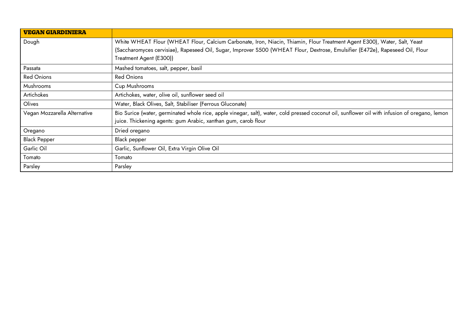| <b>VEGAN GIARDINIERA</b>     |                                                                                                                                                |  |
|------------------------------|------------------------------------------------------------------------------------------------------------------------------------------------|--|
| Dough                        | White WHEAT Flour (WHEAT Flour, Calcium Carbonate, Iron, Niacin, Thiamin, Flour Treatment Agent E300), Water, Salt, Yeast                      |  |
|                              | (Saccharomyces cervisiae), Rapeseed Oil, Sugar, Improver S500 (WHEAT Flour, Dextrose, Emulsifier (E472e), Rapeseed Oil, Flour                  |  |
|                              | Treatment Agent (E300))                                                                                                                        |  |
| Passata                      | Mashed tomatoes, salt, pepper, basil                                                                                                           |  |
| <b>Red Onions</b>            | <b>Red Onions</b>                                                                                                                              |  |
| Mushrooms                    | Cup Mushrooms                                                                                                                                  |  |
| Artichokes                   | Artichokes, water, olive oil, sunflower seed oil                                                                                               |  |
| Olives                       | Water, Black Olives, Salt, Stabiliser (Ferrous Gluconate)                                                                                      |  |
| Vegan Mozzarella Alternative | Bio Surice (water, germinated whole rice, apple vinegar, salt), water, cold pressed coconut oil, sunflower oil with infusion of oregano, lemon |  |
|                              | juice. Thickening agents: gum Arabic, xanthan gum, carob flour                                                                                 |  |
| Oregano                      | Dried oregano                                                                                                                                  |  |
| <b>Black Pepper</b>          | Black pepper                                                                                                                                   |  |
| Garlic Oil                   | Garlic, Sunflower Oil, Extra Virgin Olive Oil                                                                                                  |  |
| Tomato                       | Tomato                                                                                                                                         |  |
| Parsley                      | Parsley                                                                                                                                        |  |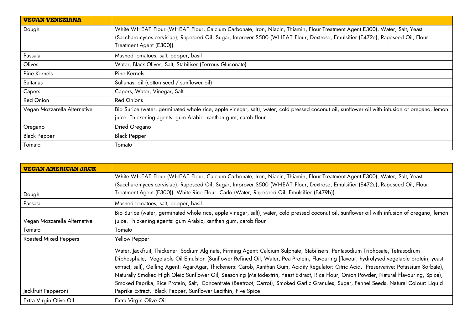| <b>VEGAN VENEZIANA</b>       |                                                                                                                                                |  |
|------------------------------|------------------------------------------------------------------------------------------------------------------------------------------------|--|
| Dough                        | White WHEAT Flour (WHEAT Flour, Calcium Carbonate, Iron, Niacin, Thiamin, Flour Treatment Agent E300), Water, Salt, Yeast                      |  |
|                              | (Saccharomyces cervisiae), Rapeseed Oil, Sugar, Improver S500 (WHEAT Flour, Dextrose, Emulsifier (E472e), Rapeseed Oil, Flour                  |  |
|                              | Treatment Agent (E300))                                                                                                                        |  |
| Passata                      | Mashed tomatoes, salt, pepper, basil                                                                                                           |  |
| Olives                       | Water, Black Olives, Salt, Stabiliser (Ferrous Gluconate)                                                                                      |  |
| Pine Kernels                 | Pine Kernels                                                                                                                                   |  |
| Sultanas                     | Sultanas, oil (cotton seed / sunflower oil)                                                                                                    |  |
| Capers                       | Capers, Water, Vinegar, Salt                                                                                                                   |  |
| Red Onion                    | <b>Red Onions</b>                                                                                                                              |  |
| Vegan Mozzarella Alternative | Bio Surice (water, germinated whole rice, apple vinegar, salt), water, cold pressed coconut oil, sunflower oil with infusion of oregano, lemon |  |
|                              | juice. Thickening agents: gum Arabic, xanthan gum, carob flour                                                                                 |  |
| Oregano                      | Dried Oregano                                                                                                                                  |  |
| <b>Black Pepper</b>          | <b>Black Pepper</b>                                                                                                                            |  |
| Tomato                       | Tomato                                                                                                                                         |  |

| <b>VEGAN AMERICAN JACK</b>   |                                                                                                                                                |  |
|------------------------------|------------------------------------------------------------------------------------------------------------------------------------------------|--|
|                              | White WHEAT Flour (WHEAT Flour, Calcium Carbonate, Iron, Niacin, Thiamin, Flour Treatment Agent E300), Water, Salt, Yeast                      |  |
|                              | (Saccharomyces cervisiae), Rapeseed Oil, Sugar, Improver S500 (WHEAT Flour, Dextrose, Emulsifier (E472e), Rapeseed Oil, Flour                  |  |
| Dough                        | Treatment Agent (E300)). White Rice Flour. Carlo (Water, Rapeseed Oil, Emulsifier (E479b))                                                     |  |
| Passata                      | Mashed tomatoes, salt, pepper, basil                                                                                                           |  |
|                              | Bio Surice (water, germinated whole rice, apple vinegar, salt), water, cold pressed coconut oil, sunflower oil with infusion of oregano, lemon |  |
| Vegan Mozzarella Alternative | juice. Thickening agents: gum Arabic, xanthan gum, carob flour                                                                                 |  |
| Tomato                       | Tomato                                                                                                                                         |  |
| <b>Roasted Mixed Peppers</b> | Yellow Pepper                                                                                                                                  |  |
|                              | Water, Jackfruit, Thickener: Sodium Alginate, Firming Agent: Calcium Sulphate, Stabilisers: Pentasodium Triphosate, Tetrasodium                |  |
|                              | Diphosphate, Vegetable Oil Emulsion (Sunflower Refined Oil, Water, Pea Protein, Flavouring [flavour, hydrolysed vegetable protein, yeast       |  |
|                              | extract, salt], Gelling Agent: Agar-Agar, Thickeners: Carob, Xanthan Gum, Acidity Regulator: Citric Acid, Preservative: Potassium Sorbate),    |  |
|                              | Naturally Smoked High Oleic Sunflower Oil, Seasoning (Maltodextrin, Yeast Extract, Rice Flour, Onion Powder, Natural Flavouring, Spice),       |  |
|                              | Smoked Paprika, Rice Protein, Salt, Concentrate (Beetroot, Carrot), Smoked Garlic Granules, Sugar, Fennel Seeds, Natural Colour: Liquid        |  |
| Jackfruit Pepperoni          | Paprika Extract, Black Pepper, Sunflower Lecithin, Five Spice                                                                                  |  |
| Extra Virgin Olive Oil       | Extra Virgin Olive Oil                                                                                                                         |  |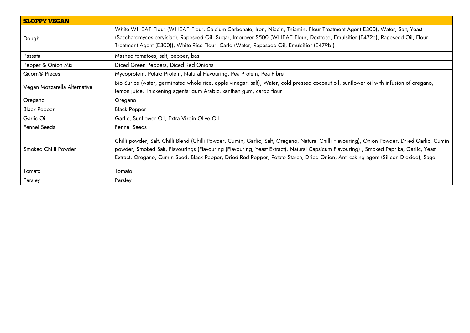| <b>SLOPPY VEGAN</b>          |                                                                                                                                                                                                                                                                                                                                                                                                                               |  |
|------------------------------|-------------------------------------------------------------------------------------------------------------------------------------------------------------------------------------------------------------------------------------------------------------------------------------------------------------------------------------------------------------------------------------------------------------------------------|--|
| Dough                        | White WHEAT Flour (WHEAT Flour, Calcium Carbonate, Iron, Niacin, Thiamin, Flour Treatment Agent E300), Water, Salt, Yeast<br>(Saccharomyces cervisiae), Rapeseed Oil, Sugar, Improver S500 (WHEAT Flour, Dextrose, Emulsifier (E472e), Rapeseed Oil, Flour<br>Treatment Agent (E300)), White Rice Flour, Carlo (Water, Rapeseed Oil, Emulsifier (E479b))                                                                      |  |
| Passata                      | Mashed tomatoes, salt, pepper, basil                                                                                                                                                                                                                                                                                                                                                                                          |  |
| Pepper & Onion Mix           | Diced Green Peppers, Diced Red Onions                                                                                                                                                                                                                                                                                                                                                                                         |  |
| Quorn <sup>®</sup> Pieces    | Mycoprotein, Potato Protein, Natural Flavouring, Pea Protein, Pea Fibre                                                                                                                                                                                                                                                                                                                                                       |  |
| Vegan Mozzarella Alternative | Bio Surice (water, germinated whole rice, apple vinegar, salt), Water, cold pressed coconut oil, sunflower oil with infusion of oregano,<br>lemon juice. Thickening agents: gum Arabic, xanthan gum, carob flour                                                                                                                                                                                                              |  |
| Oregano                      | Oregano                                                                                                                                                                                                                                                                                                                                                                                                                       |  |
| <b>Black Pepper</b>          | <b>Black Pepper</b>                                                                                                                                                                                                                                                                                                                                                                                                           |  |
| Garlic Oil                   | Garlic, Sunflower Oil, Extra Virgin Olive Oil                                                                                                                                                                                                                                                                                                                                                                                 |  |
| Fennel Seeds                 | Fennel Seeds                                                                                                                                                                                                                                                                                                                                                                                                                  |  |
| Smoked Chilli Powder         | Chilli powder, Salt, Chilli Blend (Chilli Powder, Cumin, Garlic, Salt, Oregano, Natural Chilli Flavouring), Onion Powder, Dried Garlic, Cumin<br>powder, Smoked Salt, Flavourings (Flavouring (Flavouring, Yeast Extract), Natural Capsicum Flavouring), Smoked Paprika, Garlic, Yeast<br>Extract, Oregano, Cumin Seed, Black Pepper, Dried Red Pepper, Potato Starch, Dried Onion, Anti-caking agent (Silicon Dioxide), Sage |  |
| Tomato                       | Tomato                                                                                                                                                                                                                                                                                                                                                                                                                        |  |
| Parsley                      | Parsley                                                                                                                                                                                                                                                                                                                                                                                                                       |  |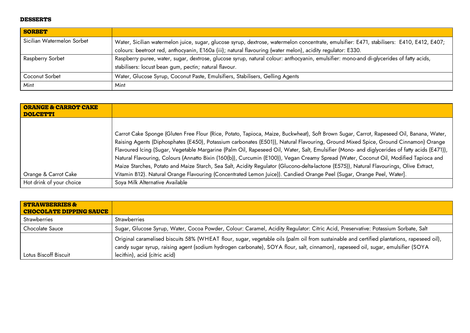### **DESSERTS**

| <b>SORBET</b>              |                                                                                                                                                                                                                                                           |
|----------------------------|-----------------------------------------------------------------------------------------------------------------------------------------------------------------------------------------------------------------------------------------------------------|
| Sicilian Watermelon Sorbet | Water, Sicilian watermelon juice, sugar, glucose syrup, dextrose, watermelon concentrate, emulsifier: E471, stabilisers: E410, E412, E407;<br>colours: beetroot red, anthocyanin, E160a (iii); natural flavouring (water melon), acidity regulator: E330. |
| Raspberry Sorbet           | Raspberry puree, water, sugar, dextrose, glucose syrup, natural colour: anthocyanin, emulsifier: mono-and di-glycerides of fatty acids,                                                                                                                   |
|                            | stabilisers: locust bean gum, pectin; natural flavour.                                                                                                                                                                                                    |
| Coconut Sorbet             | Water, Glucose Syrup, Coconut Paste, Emulsifiers, Stabilisers, Gelling Agents                                                                                                                                                                             |
| Mint                       | Mint                                                                                                                                                                                                                                                      |

| <b>ORANGE &amp; CARROT CAKE</b><br>DOLCETTI |                                                                                                                                                                                                                                                                                                                                                                                                                                                                                                                                                                                                                                                                                                                                                                                                                                            |
|---------------------------------------------|--------------------------------------------------------------------------------------------------------------------------------------------------------------------------------------------------------------------------------------------------------------------------------------------------------------------------------------------------------------------------------------------------------------------------------------------------------------------------------------------------------------------------------------------------------------------------------------------------------------------------------------------------------------------------------------------------------------------------------------------------------------------------------------------------------------------------------------------|
| <b>Orange &amp; Carrot Cake</b>             | Carrot Cake Sponge (Gluten Free Flour (Rice, Potato, Tapioca, Maize, Buckwheat), Soft Brown Sugar, Carrot, Rapeseed Oil, Banana, Water,<br>Raising Agents (Diphosphates (E450), Potassium carbonates (E501)), Natural Flavouring, Ground Mixed Spice, Ground Cinnamon) Orange<br>Flavoured Icing (Sugar, Vegetable Margarine (Palm Oil, Rapeseed Oil, Water, Salt, Emulsifier (Mono- and diglycerides of fatty acids (E471)),<br>Natural Flavouring, Colours (Annatto Bixin (160(b)), Curcumin (E100)), Vegan Creamy Spread (Water, Coconut Oil, Modified Tapioca and<br>Maize Starches, Potato and Maize Starch, Sea Salt, Acidity Regulator (Glucono-delta-lactone (E575)), Natural Flavourings, Olive Extract,<br>Vitamin B12). Natural Orange Flavouring (Concentrated Lemon Juice)). Candied Orange Peel (Sugar, Orange Peel, Water]. |
| Hot drink of your choice                    | Soya Milk Alternative Available                                                                                                                                                                                                                                                                                                                                                                                                                                                                                                                                                                                                                                                                                                                                                                                                            |

| <b>STRAWBERRIES &amp;</b><br><b>CHOCOLATE DIPPING SAUCE</b> |                                                                                                                                                                                                                                                                                |
|-------------------------------------------------------------|--------------------------------------------------------------------------------------------------------------------------------------------------------------------------------------------------------------------------------------------------------------------------------|
| <b>Strawberries</b>                                         | <b>Strawberries</b>                                                                                                                                                                                                                                                            |
| Chocolate Sauce                                             | Sugar, Glucose Syrup, Water, Cocoa Powder, Colour: Caramel, Acidity Regulator: Citric Acid, Preservative: Potassium Sorbate, Salt                                                                                                                                              |
|                                                             | Original caramelised biscuits 58% (WHEAT flour, sugar, vegetable oils (palm oil from sustainable and certified plantations, rapeseed oil),<br>candy sugar syrup, raising agent (sodium hydrogen carbonate), SOYA flour, salt, cinnamon), rapeseed oil, sugar, emulsifier (SOYA |
| Lotus Biscoff Biscuit                                       | lecithin), acid (citric acid)                                                                                                                                                                                                                                                  |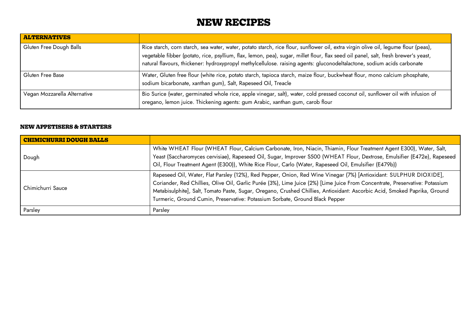# **NEW RECIPES**

| <b>ALTERNATIVES</b>          |                                                                                                                                                                                                                                                                                                                                                                                                     |
|------------------------------|-----------------------------------------------------------------------------------------------------------------------------------------------------------------------------------------------------------------------------------------------------------------------------------------------------------------------------------------------------------------------------------------------------|
| Gluten Free Dough Balls      | Rice starch, corn starch, sea water, water, potato starch, rice flour, sunflower oil, extra virgin olive oil, legume flour (peas),<br>vegetable fibber (potato, rice, psyllium, flax, lemon, pea), sugar, millet flour, flax seed oil panel, salt, fresh brewer's yeast,<br>natural flavours, thickener: hydroxypropyl methylcellulose. raising agents: gluconodeltalactone, sodium acids carbonate |
| Gluten Free Base             | Water, Gluten free flour (white rice, potato starch, tapioca starch, maize flour, buckwheat flour, mono calcium phosphate,<br>sodium bicarbonate, xanthan gum), Salt, Rapeseed Oil, Treacle                                                                                                                                                                                                         |
| Vegan Mozzarella Alternative | Bio Surice (water, germinated whole rice, apple vinegar, salt), water, cold pressed coconut oil, sunflower oil with infusion of<br>oregano, lemon juice. Thickening agents: gum Arabic, xanthan gum, carob flour                                                                                                                                                                                    |

### **NEW APPETISERS & STARTERS**

| <b>CHIMICHURRI DOUGH BALLS</b> |                                                                                                                                                                                                                                                                                                                                                                                                                                                                |
|--------------------------------|----------------------------------------------------------------------------------------------------------------------------------------------------------------------------------------------------------------------------------------------------------------------------------------------------------------------------------------------------------------------------------------------------------------------------------------------------------------|
| Dough                          | White WHEAT Flour (WHEAT Flour, Calcium Carbonate, Iron, Niacin, Thiamin, Flour Treatment Agent E300), Water, Salt,<br>Yeast (Saccharomyces cervisiae), Rapeseed Oil, Sugar, Improver S500 (WHEAT Flour, Dextrose, Emulsifier (E472e), Rapeseed<br>Oil, Flour Treatment Agent (E300)), White Rice Flour, Carlo (Water, Rapeseed Oil, Emulsifier (E479b))                                                                                                       |
| Chimichurri Sauce              | Rapeseed Oil, Water, Flat Parsley (12%), Red Pepper, Onion, Red Wine Vinegar (7%) [Antioxidant: SULPHUR DIOXIDE],<br>Coriander, Red Chillies, Olive Oil, Garlic Purée (3%), Lime Juice (2%) [Lime Juice From Concentrate, Preservative: Potassium<br>Metabisulphite], Salt, Tomato Paste, Sugar, Oregano, Crushed Chillies, Antioxidant: Ascorbic Acid, Smoked Paprika, Ground<br>Turmeric, Ground Cumin, Preservative: Potassium Sorbate, Ground Black Pepper |
| Parsley                        | Parsley                                                                                                                                                                                                                                                                                                                                                                                                                                                        |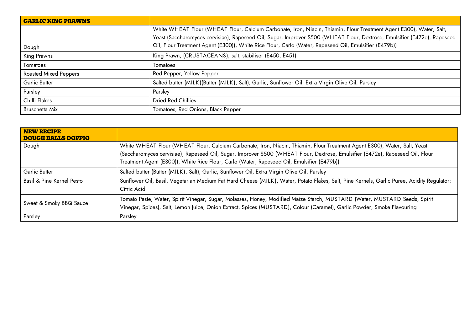| <b>GARLIC KING PRAWNS</b>    |                                                                                                                          |
|------------------------------|--------------------------------------------------------------------------------------------------------------------------|
|                              | White WHEAT Flour (WHEAT Flour, Calcium Carbonate, Iron, Niacin, Thiamin, Flour Treatment Agent E300), Water, Salt,      |
|                              | Yeast (Saccharomyces cervisiae), Rapeseed Oil, Sugar, Improver S500 (WHEAT Flour, Dextrose, Emulsifier (E472e), Rapeseed |
| Dough                        | Oil, Flour Treatment Agent (E300)), White Rice Flour, Carlo (Water, Rapeseed Oil, Emulsifier (E479b))                    |
| King Prawns                  | King Prawn, (CRUSTACEANS), salt, stabiliser (E450, E451)                                                                 |
| Tomatoes                     | Tomatoes                                                                                                                 |
| <b>Roasted Mixed Peppers</b> | Red Pepper, Yellow Pepper                                                                                                |
| <b>Garlic Butter</b>         | Salted butter (MILK)(Butter (MILK), Salt), Garlic, Sunflower Oil, Extra Virgin Olive Oil, Parsley                        |
| Parsley                      | Parsley                                                                                                                  |
| Chilli Flakes                | <b>Dried Red Chillies</b>                                                                                                |
| Bruschetta Mix               | Tomatoes, Red Onions, Black Pepper                                                                                       |

| <b>NEW RECIPE</b><br><b>DOUGH BALLS DOPPIO</b> |                                                                                                                                                                                                                                                                                                                                                          |
|------------------------------------------------|----------------------------------------------------------------------------------------------------------------------------------------------------------------------------------------------------------------------------------------------------------------------------------------------------------------------------------------------------------|
| Dough                                          | White WHEAT Flour (WHEAT Flour, Calcium Carbonate, Iron, Niacin, Thiamin, Flour Treatment Agent E300), Water, Salt, Yeast<br>(Saccharomyces cervisiae), Rapeseed Oil, Sugar, Improver S500 (WHEAT Flour, Dextrose, Emulsifier (E472e), Rapeseed Oil, Flour<br>Treatment Agent (E300)), White Rice Flour, Carlo (Water, Rapeseed Oil, Emulsifier (E479b)) |
| Garlic Butter                                  | Salted butter (Butter (MILK), Salt), Garlic, Sunflower Oil, Extra Virgin Olive Oil, Parsley                                                                                                                                                                                                                                                              |
| Basil & Pine Kernel Pesto                      | Sunflower Oil, Basil, Vegetarian Medium Fat Hard Cheese (MILK), Water, Potato Flakes, Salt, Pine Kernels, Garlic Puree, Acidity Regulator:<br>Citric Acid                                                                                                                                                                                                |
| Sweet & Smoky BBQ Sauce                        | Tomato Paste, Water, Spirit Vinegar, Sugar, Molasses, Honey, Modified Maize Starch, MUSTARD (Water, MUSTARD Seeds, Spirit<br>Vinegar, Spices), Salt, Lemon Juice, Onion Extract, Spices (MUSTARD), Colour (Caramel), Garlic Powder, Smoke Flavouring                                                                                                     |
| Parsley                                        | Parsley                                                                                                                                                                                                                                                                                                                                                  |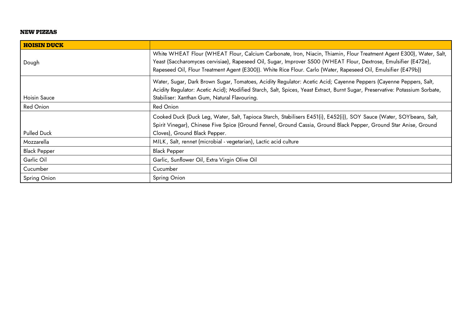#### **NEW PIZZAS**

| <b>HOISIN DUCK</b>  |                                                                                                                                                                                                                                                                                                                                                          |
|---------------------|----------------------------------------------------------------------------------------------------------------------------------------------------------------------------------------------------------------------------------------------------------------------------------------------------------------------------------------------------------|
| Dough               | White WHEAT Flour (WHEAT Flour, Calcium Carbonate, Iron, Niacin, Thiamin, Flour Treatment Agent E300), Water, Salt,<br>Yeast (Saccharomyces cervisiae), Rapeseed Oil, Sugar, Improver S500 (WHEAT Flour, Dextrose, Emulsifier (E472e),<br>Rapeseed Oil, Flour Treatment Agent (E300)). White Rice Flour. Carlo (Water, Rapeseed Oil, Emulsifier (E479b)) |
| Hoisin Sauce        | Water, Sugar, Dark Brown Sugar, Tomatoes, Acidity Regulator: Acetic Acid; Cayenne Peppers (Cayenne Peppers, Salt,<br>Acidity Regulator: Acetic Acid); Modified Starch, Salt, Spices, Yeast Extract, Burnt Sugar, Preservative: Potassium Sorbate,<br>Stabiliser: Xanthan Gum, Natural Flavouring.                                                        |
| Red Onion           | Red Onion                                                                                                                                                                                                                                                                                                                                                |
| <b>Pulled Duck</b>  | Cooked Duck (Duck Leg, Water, Salt, Tapioca Starch, Stabilisers E451(i), E452(i)), SOY Sauce (Water, SOYbeans, Salt,<br>Spirit Vinegar), Chinese Five Spice (Ground Fennel, Ground Cassia, Ground Black Pepper, Ground Star Anise, Ground<br>Cloves), Ground Black Pepper.                                                                               |
| Mozzarella          | MILK, Salt, rennet (microbial - vegetarian), Lactic acid culture                                                                                                                                                                                                                                                                                         |
| <b>Black Pepper</b> | <b>Black Pepper</b>                                                                                                                                                                                                                                                                                                                                      |
| Garlic Oil          | Garlic, Sunflower Oil, Extra Virgin Olive Oil                                                                                                                                                                                                                                                                                                            |
| Cucumber            | Cucumber                                                                                                                                                                                                                                                                                                                                                 |
| Spring Onion        | Spring Onion                                                                                                                                                                                                                                                                                                                                             |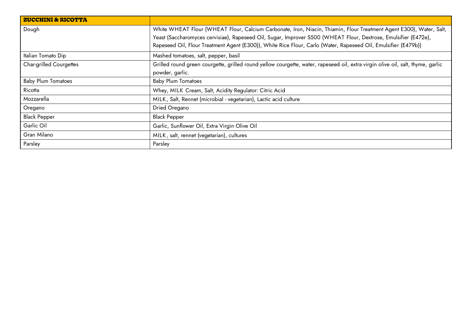| <b>ZUCCHINI &amp; RICOTTA</b>  |                                                                                                                                 |
|--------------------------------|---------------------------------------------------------------------------------------------------------------------------------|
| Dough                          | White WHEAT Flour (WHEAT Flour, Calcium Carbonate, Iron, Niacin, Thiamin, Flour Treatment Agent E300), Water, Salt,             |
|                                | Yeast (Saccharomyces cervisiae), Rapeseed Oil, Sugar, Improver S500 (WHEAT Flour, Dextrose, Emulsifier (E472e),                 |
|                                | Rapeseed Oil, Flour Treatment Agent (E300)), White Rice Flour, Carlo (Water, Rapeseed Oil, Emulsifier (E479b))                  |
| Italian Tomato Dip             | Mashed tomatoes, salt, pepper, basil                                                                                            |
| <b>Char-grilled Courgettes</b> | Grilled round green courgette, grilled round yellow courgette, water, rapeseed oil, extra virgin olive oil, salt, thyme, garlic |
|                                | powder, garlic.                                                                                                                 |
| <b>Baby Plum Tomatoes</b>      | <b>Baby Plum Tomatoes</b>                                                                                                       |
| Ricotta                        | Whey, MILK Cream, Salt, Acidity Regulator: Citric Acid                                                                          |
| Mozzarella                     | MILK, Salt, Rennet (microbial - vegetarian), Lactic acid culture                                                                |
| Oregano                        | Dried Oregano                                                                                                                   |
| <b>Black Pepper</b>            | Black Pepper                                                                                                                    |
| Garlic Oil                     | Garlic, Sunflower Oil, Extra Virgin Olive Oil                                                                                   |
| Gran Milano                    | MILK, salt, rennet (vegetarian), cultures                                                                                       |
| Parsley                        | Parsley                                                                                                                         |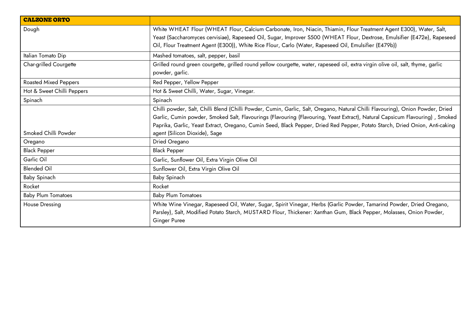| <b>CALZONE ORTO</b>          |                                                                                                                                                                                                                                                                                                                                                                                                 |
|------------------------------|-------------------------------------------------------------------------------------------------------------------------------------------------------------------------------------------------------------------------------------------------------------------------------------------------------------------------------------------------------------------------------------------------|
| Dough                        | White WHEAT Flour (WHEAT Flour, Calcium Carbonate, Iron, Niacin, Thiamin, Flour Treatment Agent E300), Water, Salt,<br>Yeast (Saccharomyces cervisiae), Rapeseed Oil, Sugar, Improver S500 (WHEAT Flour, Dextrose, Emulsifier (E472e), Rapeseed<br>Oil, Flour Treatment Agent (E300)), White Rice Flour, Carlo (Water, Rapeseed Oil, Emulsifier (E479b))                                        |
| Italian Tomato Dip           | Mashed tomatoes, salt, pepper, basil                                                                                                                                                                                                                                                                                                                                                            |
| Char-grilled Courgette       | Grilled round green courgette, grilled round yellow courgette, water, rapeseed oil, extra virgin olive oil, salt, thyme, garlic<br>powder, garlic.                                                                                                                                                                                                                                              |
| <b>Roasted Mixed Peppers</b> | Red Pepper, Yellow Pepper                                                                                                                                                                                                                                                                                                                                                                       |
| Hot & Sweet Chilli Peppers   | Hot & Sweet Chilli, Water, Sugar, Vinegar.                                                                                                                                                                                                                                                                                                                                                      |
| Spinach                      | Spinach                                                                                                                                                                                                                                                                                                                                                                                         |
|                              | Chilli powder, Salt, Chilli Blend (Chilli Powder, Cumin, Garlic, Salt, Oregano, Natural Chilli Flavouring), Onion Powder, Dried<br>Garlic, Cumin powder, Smoked Salt, Flavourings (Flavouring (Flavouring, Yeast Extract), Natural Capsicum Flavouring), Smoked<br>Paprika, Garlic, Yeast Extract, Oregano, Cumin Seed, Black Pepper, Dried Red Pepper, Potato Starch, Dried Onion, Anti-caking |
| Smoked Chilli Powder         | agent (Silicon Dioxide), Sage                                                                                                                                                                                                                                                                                                                                                                   |
| Oregano                      | Dried Oregano                                                                                                                                                                                                                                                                                                                                                                                   |
| <b>Black Pepper</b>          | <b>Black Pepper</b>                                                                                                                                                                                                                                                                                                                                                                             |
| Garlic Oil                   | Garlic, Sunflower Oil, Extra Virgin Olive Oil                                                                                                                                                                                                                                                                                                                                                   |
| <b>Blended Oil</b>           | Sunflower Oil, Extra Virgin Olive Oil                                                                                                                                                                                                                                                                                                                                                           |
| Baby Spinach                 | Baby Spinach                                                                                                                                                                                                                                                                                                                                                                                    |
| Rocket                       | Rocket                                                                                                                                                                                                                                                                                                                                                                                          |
| <b>Baby Plum Tomatoes</b>    | <b>Baby Plum Tomatoes</b>                                                                                                                                                                                                                                                                                                                                                                       |
| <b>House Dressing</b>        | White Wine Vinegar, Rapeseed Oil, Water, Sugar, Spirit Vinegar, Herbs (Garlic Powder, Tamarind Powder, Dried Oregano,<br>Parsley), Salt, Modified Potato Starch, MUSTARD Flour, Thickener: Xanthan Gum, Black Pepper, Molasses, Onion Powder,<br>Ginger Puree                                                                                                                                   |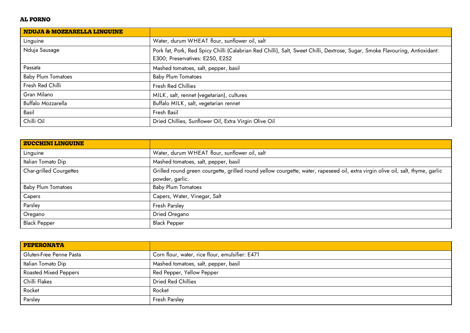## **AL FORNO**

| <b>NDUJA &amp; MOZZARELLA LINGUINE</b> |                                                                                                                                                                 |
|----------------------------------------|-----------------------------------------------------------------------------------------------------------------------------------------------------------------|
| Linguine                               | Water, durum WHEAT flour, sunflower oil, salt                                                                                                                   |
| Nduja Sausage                          | Pork fat, Pork, Red Spicy Chilli (Calabrian Red Chilli), Salt, Sweet Chilli, Dextrose, Sugar, Smoke Flavouring, Antioxidant:<br>E300; Preservatives: E250, E252 |
| Passata                                | Mashed tomatoes, salt, pepper, basil                                                                                                                            |
| <b>Baby Plum Tomatoes</b>              | <b>Baby Plum Tomatoes</b>                                                                                                                                       |
| Fresh Red Chilli                       | Fresh Red Chillies                                                                                                                                              |
| Gran Milano                            | MILK, salt, rennet (vegetarian), cultures                                                                                                                       |
| Buffalo Mozzarella                     | Buffalo MILK, salt, vegetarian rennet                                                                                                                           |
| Basil                                  | Fresh Basil                                                                                                                                                     |
| Chilli Oil                             | Dried Chillies, Sunflower Oil, Extra Virgin Olive Oil                                                                                                           |

| <b>ZUCCHINI LINGUINE</b>       |                                                                                                                                 |
|--------------------------------|---------------------------------------------------------------------------------------------------------------------------------|
| Linguine                       | Water, durum WHEAT flour, sunflower oil, salt                                                                                   |
| Italian Tomato Dip             | Mashed tomatoes, salt, pepper, basil                                                                                            |
| <b>Char-grilled Courgettes</b> | Grilled round green courgette, grilled round yellow courgette, water, rapeseed oil, extra virgin olive oil, salt, thyme, garlic |
|                                | powder, garlic.                                                                                                                 |
| <b>Baby Plum Tomatoes</b>      | <b>Baby Plum Tomatoes</b>                                                                                                       |
| Capers                         | Capers, Water, Vinegar, Salt                                                                                                    |
| Parsley                        | Fresh Parsley                                                                                                                   |
| Oregano                        | Dried Oregano                                                                                                                   |
| <b>Black Pepper</b>            | Black Pepper                                                                                                                    |

| PEPERONATA                   |                                                 |
|------------------------------|-------------------------------------------------|
| Gluten-Free Penne Pasta      | Corn flour, water, rice flour, emulsifier: E471 |
| Italian Tomato Dip           | Mashed tomatoes, salt, pepper, basil            |
| <b>Roasted Mixed Peppers</b> | Red Pepper, Yellow Pepper                       |
| Chilli Flakes                | <b>Dried Red Chillies</b>                       |
| Rocket                       | Rocket                                          |
| Parsley                      | <b>Fresh Parsley</b>                            |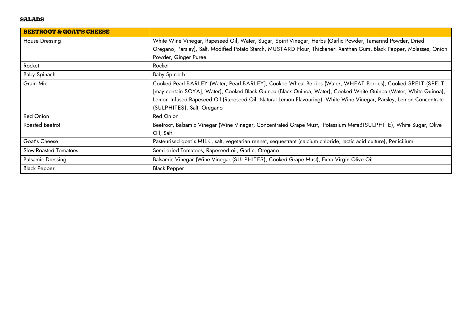#### **SALADS**

| <b>BEETROOT &amp; GOAT'S CHEESE</b> |                                                                                                                       |
|-------------------------------------|-----------------------------------------------------------------------------------------------------------------------|
| <b>House Dressing</b>               | White Wine Vinegar, Rapeseed Oil, Water, Sugar, Spirit Vinegar, Herbs (Garlic Powder, Tamarind Powder, Dried          |
|                                     | Oregano, Parsley), Salt, Modified Potato Starch, MUSTARD Flour, Thickener: Xanthan Gum, Black Pepper, Molasses, Onion |
|                                     | Powder, Ginger Puree                                                                                                  |
| Rocket                              | Rocket                                                                                                                |
| <b>Baby Spinach</b>                 | Baby Spinach                                                                                                          |
| Grain Mix                           | Cooked Pearl BARLEY (Water, Pearl BARLEY), Cooked Wheat Berries (Water, WHEAT Berries), Cooked SPELT (SPELT           |
|                                     | [may contain SOYA], Water), Cooked Black Quinoa (Black Quinoa, Water), Cooked White Quinoa (Water, White Quinoa),     |
|                                     | Lemon Infused Rapeseed Oil (Rapeseed Oil, Natural Lemon Flavouring), White Wine Vinegar, Parsley, Lemon Concentrate   |
|                                     | (SULPHITES), Salt, Oregano                                                                                            |
| <b>Red Onion</b>                    | <b>Red Onion</b>                                                                                                      |
| Roasted Beetrot                     | Beetroot, Balsamic Vinegar (Wine Vinegar, Concentrated Grape Must, Potassium MetaBISULPHITE), White Sugar, Olive      |
|                                     | Oil, Salt                                                                                                             |
| Goat's Cheese                       | Pasteurised goat's MILK, salt, vegetarian rennet, sequestrant (calcium chloride, lactic acid culture), Penicilium     |
| Slow-Roasted Tomatoes               | Semi dried Tomatoes, Rapeseed oil, Garlic, Oregano                                                                    |
| <b>Balsamic Dressing</b>            | Balsamic Vinegar (Wine Vinegar (SULPHITES), Cooked Grape Must), Extra Virgin Olive Oil                                |
| <b>Black Pepper</b>                 | <b>Black Pepper</b>                                                                                                   |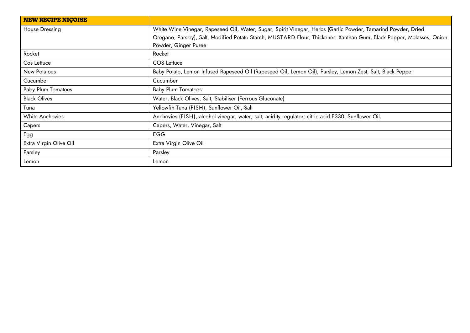| <b>NEW RECIPE NICOISE</b> |                                                                                                                       |
|---------------------------|-----------------------------------------------------------------------------------------------------------------------|
| House Dressing            | White Wine Vinegar, Rapeseed Oil, Water, Sugar, Spirit Vinegar, Herbs (Garlic Powder, Tamarind Powder, Dried          |
|                           | Oregano, Parsley), Salt, Modified Potato Starch, MUSTARD Flour, Thickener: Xanthan Gum, Black Pepper, Molasses, Onion |
|                           | Powder, Ginger Puree                                                                                                  |
| Rocket                    | Rocket                                                                                                                |
| Cos Lettuce               | COS Lettuce                                                                                                           |
| New Potatoes              | Baby Potato, Lemon Infused Rapeseed Oil (Rapeseed Oil, Lemon Oil), Parsley, Lemon Zest, Salt, Black Pepper            |
| Cucumber                  | Cucumber                                                                                                              |
| <b>Baby Plum Tomatoes</b> | <b>Baby Plum Tomatoes</b>                                                                                             |
| <b>Black Olives</b>       | Water, Black Olives, Salt, Stabiliser (Ferrous Gluconate)                                                             |
| Tuna                      | Yellowfin Tuna (FISH), Sunflower Oil, Salt                                                                            |
| White Anchovies           | Anchovies (FISH), alcohol vinegar, water, salt, acidity regulator: citric acid E330, Sunflower Oil.                   |
| Capers                    | Capers, Water, Vinegar, Salt                                                                                          |
| Egg                       | EGG                                                                                                                   |
| Extra Virgin Olive Oil    | Extra Virgin Olive Oil                                                                                                |
| Parsley                   | Parsley                                                                                                               |
| Lemon                     | Lemon                                                                                                                 |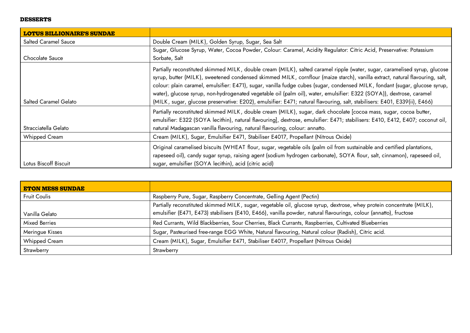#### **DESSERTS**

| <b>Salted Caramel Sauce</b> | Double Cream (MILK), Golden Syrup, Sugar, Sea Salt                                                                                                                                                                                                                                                                                                                                                                                                                                                                                                                                                                                             |
|-----------------------------|------------------------------------------------------------------------------------------------------------------------------------------------------------------------------------------------------------------------------------------------------------------------------------------------------------------------------------------------------------------------------------------------------------------------------------------------------------------------------------------------------------------------------------------------------------------------------------------------------------------------------------------------|
| Chocolate Sauce             | Sugar, Glucose Syrup, Water, Cocoa Powder, Colour: Caramel, Acidity Regulator: Citric Acid, Preservative: Potassium<br>Sorbate, Salt                                                                                                                                                                                                                                                                                                                                                                                                                                                                                                           |
| Salted Caramel Gelato       | Partially reconstituted skimmed MILK, double cream (MILK), salted caramel ripple (water, sugar, caramelised syrup, glucose<br>syrup, butter (MILK), sweetened condensed skimmed MILK, cornflour (maize starch), vanilla extract, natural flavouring, salt,<br>colour: plain caramel, emulsifier: E471), sugar, vanilla fudge cubes (sugar, condensed MILK, fondant (sugar, glucose syrup,<br>water), glucose syrup, non-hydrogenated vegetable oil (palm oil), water, emulsifier: E322 (SOYA)), dextrose, caramel<br>(MILK, sugar, glucose preservative: E202), emulsifier: E471; natural flavouring, salt, stabilisers: E401, E339(ii), E466) |
| Stracciatella Gelato        | Partially reconstituted skimmed MILK, double cream (MILK), sugar, dark chocolate [cocoa mass, sugar, cocoa butter,<br>emulsifier: E322 (SOYA lecithin), natural flavouring], dextrose, emulsifier: E471; stabilisers: E410, E412, E407; coconut oil,<br>natural Madagascan vanilla flavouring, natural flavouring, colour: annatto.                                                                                                                                                                                                                                                                                                            |
| <b>Whipped Cream</b>        | Cream (MILK), Sugar, Emulsifier E471, Stabiliser E4017, Propellant (Nitrous Oxide)                                                                                                                                                                                                                                                                                                                                                                                                                                                                                                                                                             |
| Lotus Biscoff Biscuit       | Original caramelised biscuits (WHEAT flour, sugar, vegetable oils (palm oil from sustainable and certified plantations,<br>rapeseed oil), candy sugar syrup, raising agent (sodium hydrogen carbonate), SOYA flour, salt, cinnamon), rapeseed oil,<br>sugar, emulsifier (SOYA lecithin), acid (citric acid)                                                                                                                                                                                                                                                                                                                                    |

| <b>ETON MESS SUNDAE</b> |                                                                                                                                                                                                                                            |
|-------------------------|--------------------------------------------------------------------------------------------------------------------------------------------------------------------------------------------------------------------------------------------|
| <b>Fruit Coulis</b>     | Raspberry Pure, Sugar, Raspberry Concentrate, Gelling Agent (Pectin)                                                                                                                                                                       |
| Vanilla Gelato          | Partially reconstituted skimmed MILK, sugar, vegetable oil, glucose syrup, dextrose, whey protein concentrate (MILK),<br>emulsifier (E471, E473) stabilisers (E410, E466), vanilla powder, natural flavourings, colour (annatto), fructose |
| <b>Mixed Berries</b>    | Red Currants, Wild Blackberries, Sour Cherries, Black Currants, Raspberries, Cultivated Blueberries                                                                                                                                        |
| Meringue Kisses         | Sugar, Pasteurised free-range EGG White, Natural flavouring, Natural colour (Radish), Citric acid.                                                                                                                                         |
| <b>Whipped Cream</b>    | Cream (MILK), Sugar, Emulsifier E471, Stabiliser E4017, Propellant (Nitrous Oxide)                                                                                                                                                         |
| Strawberry              | Strawberry                                                                                                                                                                                                                                 |